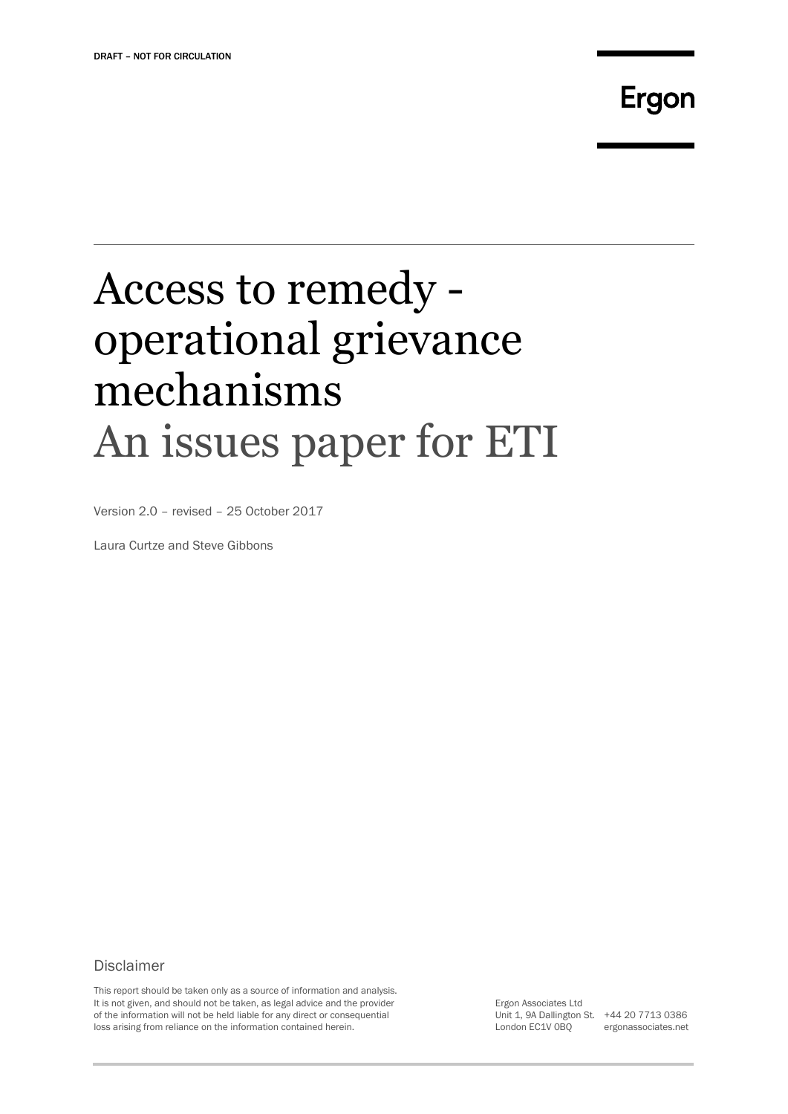## Ergon

# Access to remedy operational grievance mechanisms An issues paper for ETI

Version 2.0 – revised – 25 October 2017

Laura Curtze and Steve Gibbons

### Disclaimer

This report should be taken only as a source of information and analysis. It is not given, and should not be taken, as legal advice and the provider of the information will not be held liable for any direct or consequential loss arising from reliance on the information contained herein.

Ergon Associates Ltd Unit 1, 9A Dallington St. +44 20 7713 0386 London EC1V 0BQ

ergonassociates.net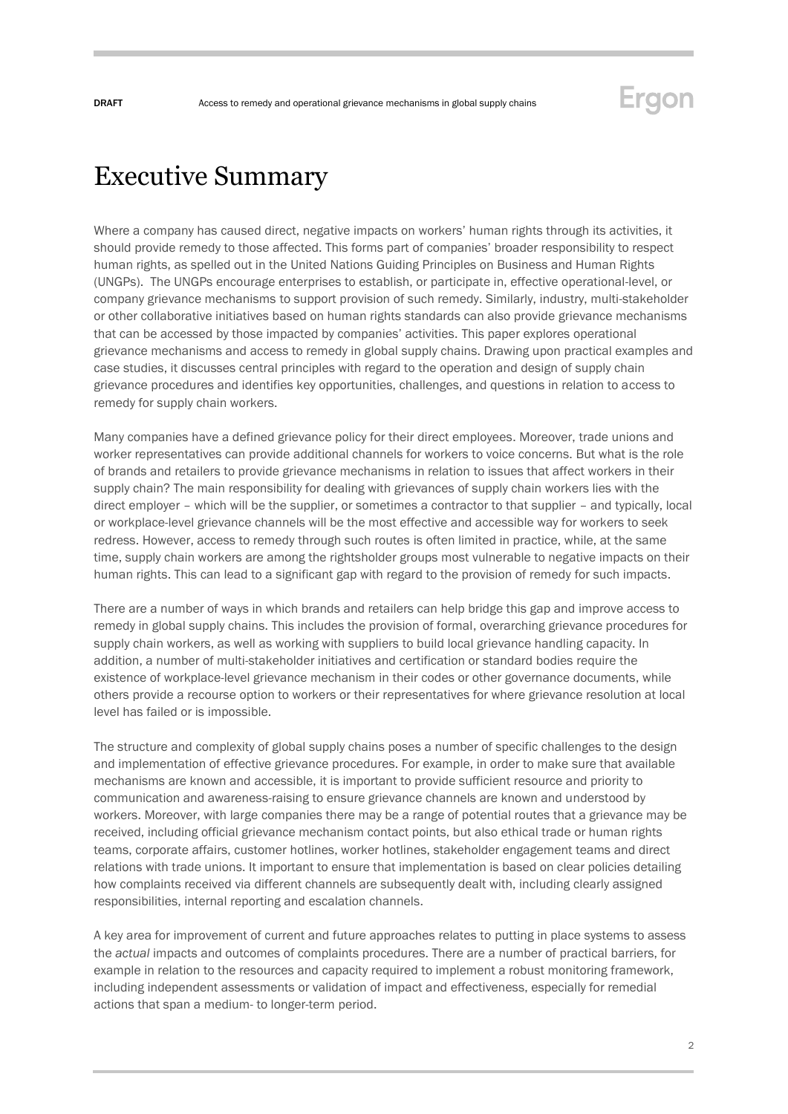## Executive Summary

Where a company has caused direct, negative impacts on workers' human rights through its activities, it should provide remedy to those affected. This forms part of companies' broader responsibility to respect human rights, as spelled out in the United Nations Guiding Principles on Business and Human Rights (UNGPs). The UNGPs encourage enterprises to establish, or participate in, effective operational-level, or company grievance mechanisms to support provision of such remedy. Similarly, industry, multi-stakeholder or other collaborative initiatives based on human rights standards can also provide grievance mechanisms that can be accessed by those impacted by companies' activities. This paper explores operational grievance mechanisms and access to remedy in global supply chains. Drawing upon practical examples and case studies, it discusses central principles with regard to the operation and design of supply chain grievance procedures and identifies key opportunities, challenges, and questions in relation to access to remedy for supply chain workers.

Many companies have a defined grievance policy for their direct employees. Moreover, trade unions and worker representatives can provide additional channels for workers to voice concerns. But what is the role of brands and retailers to provide grievance mechanisms in relation to issues that affect workers in their supply chain? The main responsibility for dealing with grievances of supply chain workers lies with the direct employer – which will be the supplier, or sometimes a contractor to that supplier – and typically, local or workplace-level grievance channels will be the most effective and accessible way for workers to seek redress. However, access to remedy through such routes is often limited in practice, while, at the same time, supply chain workers are among the rightsholder groups most vulnerable to negative impacts on their human rights. This can lead to a significant gap with regard to the provision of remedy for such impacts.

There are a number of ways in which brands and retailers can help bridge this gap and improve access to remedy in global supply chains. This includes the provision of formal, overarching grievance procedures for supply chain workers, as well as working with suppliers to build local grievance handling capacity. In addition, a number of multi-stakeholder initiatives and certification or standard bodies require the existence of workplace-level grievance mechanism in their codes or other governance documents, while others provide a recourse option to workers or their representatives for where grievance resolution at local level has failed or is impossible.

The structure and complexity of global supply chains poses a number of specific challenges to the design and implementation of effective grievance procedures. For example, in order to make sure that available mechanisms are known and accessible, it is important to provide sufficient resource and priority to communication and awareness-raising to ensure grievance channels are known and understood by workers. Moreover, with large companies there may be a range of potential routes that a grievance may be received, including official grievance mechanism contact points, but also ethical trade or human rights teams, corporate affairs, customer hotlines, worker hotlines, stakeholder engagement teams and direct relations with trade unions. It important to ensure that implementation is based on clear policies detailing how complaints received via different channels are subsequently dealt with, including clearly assigned responsibilities, internal reporting and escalation channels.

A key area for improvement of current and future approaches relates to putting in place systems to assess the *actual* impacts and outcomes of complaints procedures. There are a number of practical barriers, for example in relation to the resources and capacity required to implement a robust monitoring framework, including independent assessments or validation of impact and effectiveness, especially for remedial actions that span a medium- to longer-term period.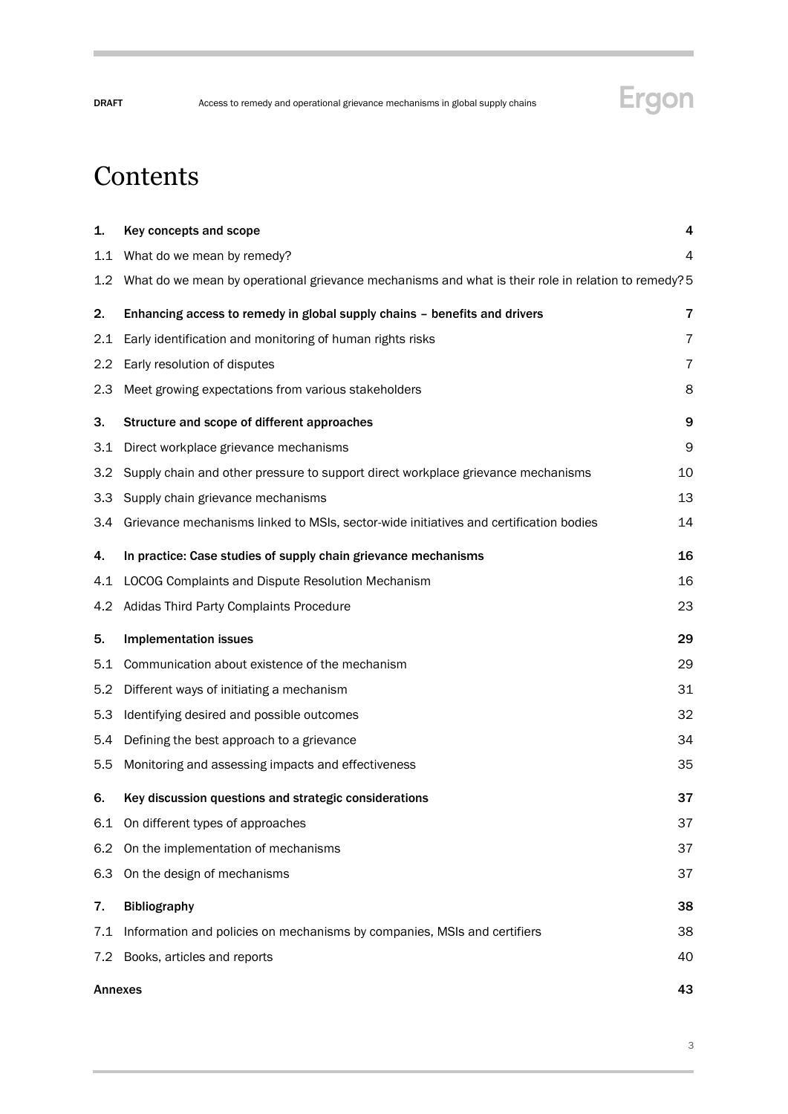

## **Contents**

| 1.      | Key concepts and scope                                                                              | 4  |  |
|---------|-----------------------------------------------------------------------------------------------------|----|--|
| 1.1     | What do we mean by remedy?                                                                          | 4  |  |
| $1.2\,$ | What do we mean by operational grievance mechanisms and what is their role in relation to remedy? 5 |    |  |
| 2.      | Enhancing access to remedy in global supply chains - benefits and drivers                           | 7  |  |
| 2.1     | Early identification and monitoring of human rights risks                                           | 7  |  |
| 2.2     | Early resolution of disputes                                                                        | 7  |  |
| 2.3     | Meet growing expectations from various stakeholders                                                 | 8  |  |
| 3.      | Structure and scope of different approaches                                                         | 9  |  |
| 3.1     | Direct workplace grievance mechanisms                                                               | 9  |  |
| 3.2     | Supply chain and other pressure to support direct workplace grievance mechanisms                    | 10 |  |
| 3.3     | Supply chain grievance mechanisms                                                                   | 13 |  |
| 3.4     | Grievance mechanisms linked to MSIs, sector-wide initiatives and certification bodies               | 14 |  |
| 4.      | In practice: Case studies of supply chain grievance mechanisms                                      | 16 |  |
| 4.1     | LOCOG Complaints and Dispute Resolution Mechanism                                                   | 16 |  |
|         | 4.2 Adidas Third Party Complaints Procedure                                                         | 23 |  |
| 5.      | <b>Implementation issues</b>                                                                        | 29 |  |
| 5.1     | Communication about existence of the mechanism                                                      | 29 |  |
| 5.2     | Different ways of initiating a mechanism                                                            | 31 |  |
| 5.3     | Identifying desired and possible outcomes                                                           | 32 |  |
| 5.4     | Defining the best approach to a grievance                                                           | 34 |  |
| 5.5     | Monitoring and assessing impacts and effectiveness                                                  | 35 |  |
| 6.      | Key discussion questions and strategic considerations                                               | 37 |  |
| 6.1     | On different types of approaches                                                                    | 37 |  |
| 6.2     | On the implementation of mechanisms                                                                 | 37 |  |
| 6.3     | On the design of mechanisms                                                                         | 37 |  |
| 7.      | <b>Bibliography</b>                                                                                 | 38 |  |
| 7.1     | Information and policies on mechanisms by companies, MSIs and certifiers                            | 38 |  |
| 7.2     | Books, articles and reports                                                                         | 40 |  |
|         | <b>Annexes</b>                                                                                      | 43 |  |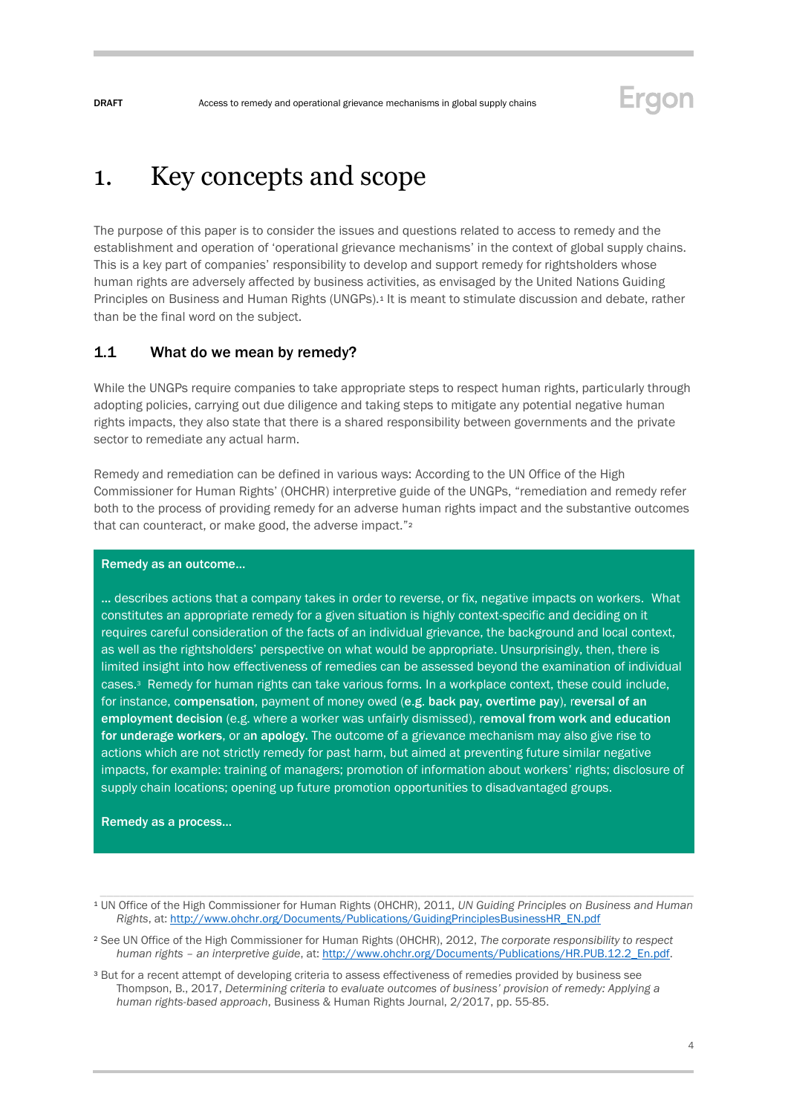## <span id="page-3-0"></span>1. Key concepts and scope

The purpose of this paper is to consider the issues and questions related to access to remedy and the establishment and operation of 'operational grievance mechanisms' in the context of global supply chains. This is a key part of companies' responsibility to develop and support remedy for rightsholders whose human rights are adversely affected by business activities, as envisaged by the United Nations Guiding Principles on Business and Human Rights (UNGPs).<sup>1</sup> It is meant to stimulate discussion and debate, rather than be the final word on the subject.

### <span id="page-3-1"></span>1.1 What do we mean by remedy?

While the UNGPs require companies to take appropriate steps to respect human rights, particularly through adopting policies, carrying out due diligence and taking steps to mitigate any potential negative human rights impacts, they also state that there is a shared responsibility between governments and the private sector to remediate any actual harm.

Remedy and remediation can be defined in various ways: According to the UN Office of the High Commissioner for Human Rights' (OHCHR) interpretive guide of the UNGPs, "remediation and remedy refer both to the process of providing remedy for an adverse human rights impact and the substantive outcomes that can counteract, or make good, the adverse impact."<sup>2</sup>

#### Remedy as an outcome…

… describes actions that a company takes in order to reverse, or fix, negative impacts on workers. What constitutes an appropriate remedy for a given situation is highly context-specific and deciding on it requires careful consideration of the facts of an individual grievance, the background and local context, as well as the rightsholders' perspective on what would be appropriate. Unsurprisingly, then, there is limited insight into how effectiveness of remedies can be assessed beyond the examination of individual cases.3 Remedy for human rights can take various forms. In a workplace context, these could include, for instance, compensation, payment of money owed (e.g. back pay, overtime pay), reversal of an employment decision (e.g. where a worker was unfairly dismissed), removal from work and education for underage workers, or an apology. The outcome of a grievance mechanism may also give rise to actions which are not strictly remedy for past harm, but aimed at preventing future similar negative impacts, for example: training of managers; promotion of information about workers' rights; disclosure of supply chain locations; opening up future promotion opportunities to disadvantaged groups.

Remedy as a process…

Ergon

<sup>1</sup> UN Office of the High Commissioner for Human Rights (OHCHR), 2011, *UN Guiding Principles on Business and Human Rights*, at[: http://www.ohchr.org/Documents/Publications/GuidingPrinciplesBusinessHR\\_EN.pdf](http://www.ohchr.org/Documents/Publications/GuidingPrinciplesBusinessHR_EN.pdf)

<sup>2</sup> See UN Office of the High Commissioner for Human Rights (OHCHR), 2012, *The corporate responsibility to respect human rights – an interpretive guide*, at[: http://www.ohchr.org/Documents/Publications/HR.PUB.12.2\\_En.pdf.](http://www.ohchr.org/Documents/Publications/HR.PUB.12.2_En.pdf)

<sup>3</sup> But for a recent attempt of developing criteria to assess effectiveness of remedies provided by business see Thompson, B., 2017, *Determining criteria to evaluate outcomes of business' provision of remedy: Applying a human rights-based approach*, Business & Human Rights Journal, 2/2017, pp. 55-85.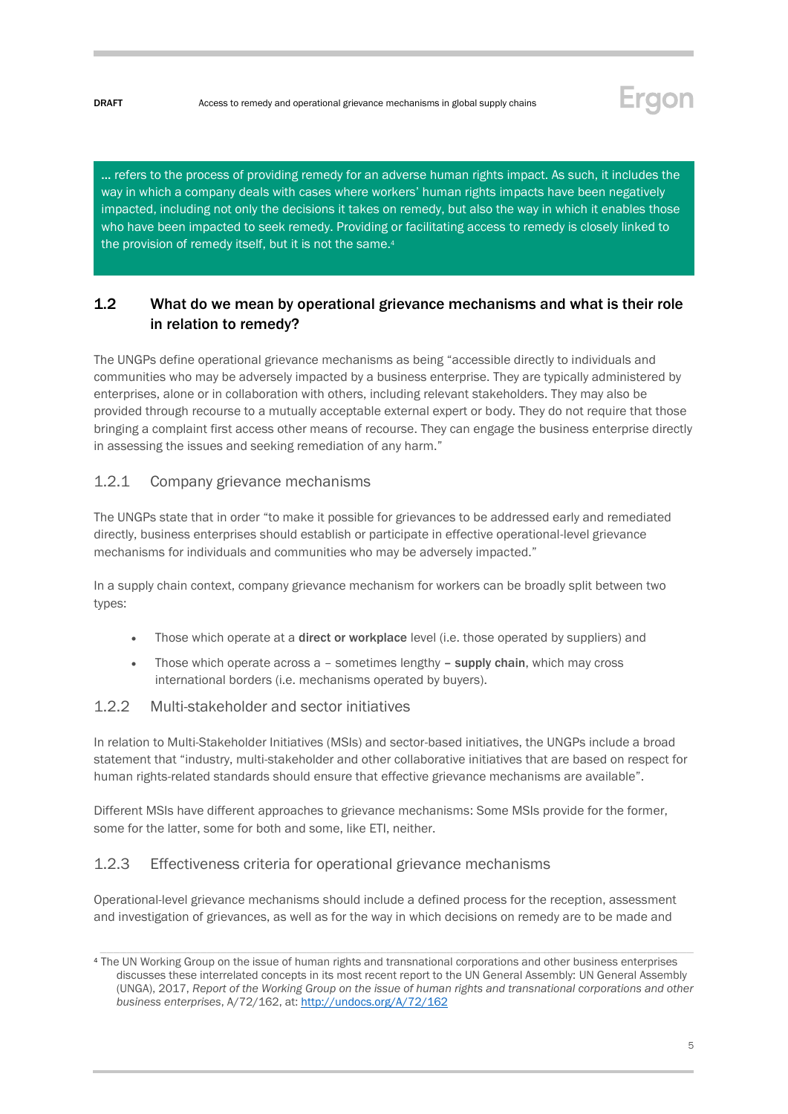

… refers to the process of providing remedy for an adverse human rights impact. As such, it includes the way in which a company deals with cases where workers' human rights impacts have been negatively impacted, including not only the decisions it takes on remedy, but also the way in which it enables those who have been impacted to seek remedy. Providing or facilitating access to remedy is closely linked to the provision of remedy itself, but it is not the same.<sup>4</sup>

## <span id="page-4-0"></span>1.2 What do we mean by operational grievance mechanisms and what is their role in relation to remedy?

The UNGPs define operational grievance mechanisms as being "accessible directly to individuals and communities who may be adversely impacted by a business enterprise. They are typically administered by enterprises, alone or in collaboration with others, including relevant stakeholders. They may also be provided through recourse to a mutually acceptable external expert or body. They do not require that those bringing a complaint first access other means of recourse. They can engage the business enterprise directly in assessing the issues and seeking remediation of any harm."

### 1.2.1 Company grievance mechanisms

The UNGPs state that in order "to make it possible for grievances to be addressed early and remediated directly, business enterprises should establish or participate in effective operational-level grievance mechanisms for individuals and communities who may be adversely impacted."

In a supply chain context, company grievance mechanism for workers can be broadly split between two types:

- Those which operate at a **direct or workplace** level (i.e. those operated by suppliers) and
- Those which operate across  $a$  sometimes lengthy  $-$  supply chain, which may cross international borders (i.e. mechanisms operated by buyers).

### 1.2.2 Multi-stakeholder and sector initiatives

In relation to Multi-Stakeholder Initiatives (MSIs) and sector-based initiatives, the UNGPs include a broad statement that "industry, multi-stakeholder and other collaborative initiatives that are based on respect for human rights-related standards should ensure that effective grievance mechanisms are available".

Different MSIs have different approaches to grievance mechanisms: Some MSIs provide for the former, some for the latter, some for both and some, like ETI, neither.

### 1.2.3 Effectiveness criteria for operational grievance mechanisms

Operational-level grievance mechanisms should include a defined process for the reception, assessment and investigation of grievances, as well as for the way in which decisions on remedy are to be made and

<sup>4</sup> The UN Working Group on the issue of human rights and transnational corporations and other business enterprises discusses these interrelated concepts in its most recent report to the UN General Assembly: UN General Assembly (UNGA), 2017, *Report of the Working Group on the issue of human rights and transnational corporations and other business enterprises*, A/72/162, at[: http://undocs.org/A/72/162](http://undocs.org/A/72/162)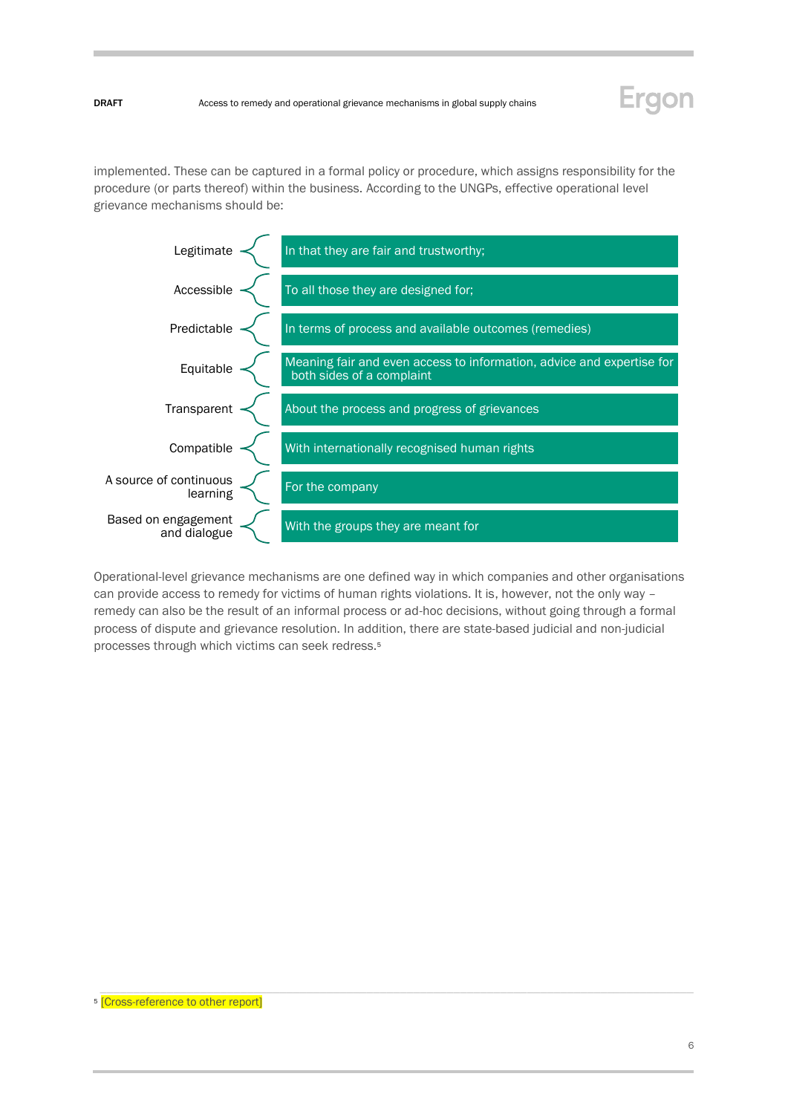

implemented. These can be captured in a formal policy or procedure, which assigns responsibility for the procedure (or parts thereof) within the business. According to the UNGPs, effective operational level grievance mechanisms should be:



Operational-level grievance mechanisms are one defined way in which companies and other organisations can provide access to remedy for victims of human rights violations. It is, however, not the only way remedy can also be the result of an informal process or ad-hoc decisions, without going through a formal process of dispute and grievance resolution. In addition, there are state-based judicial and non-judicial processes through which victims can seek redress.<sup>5</sup>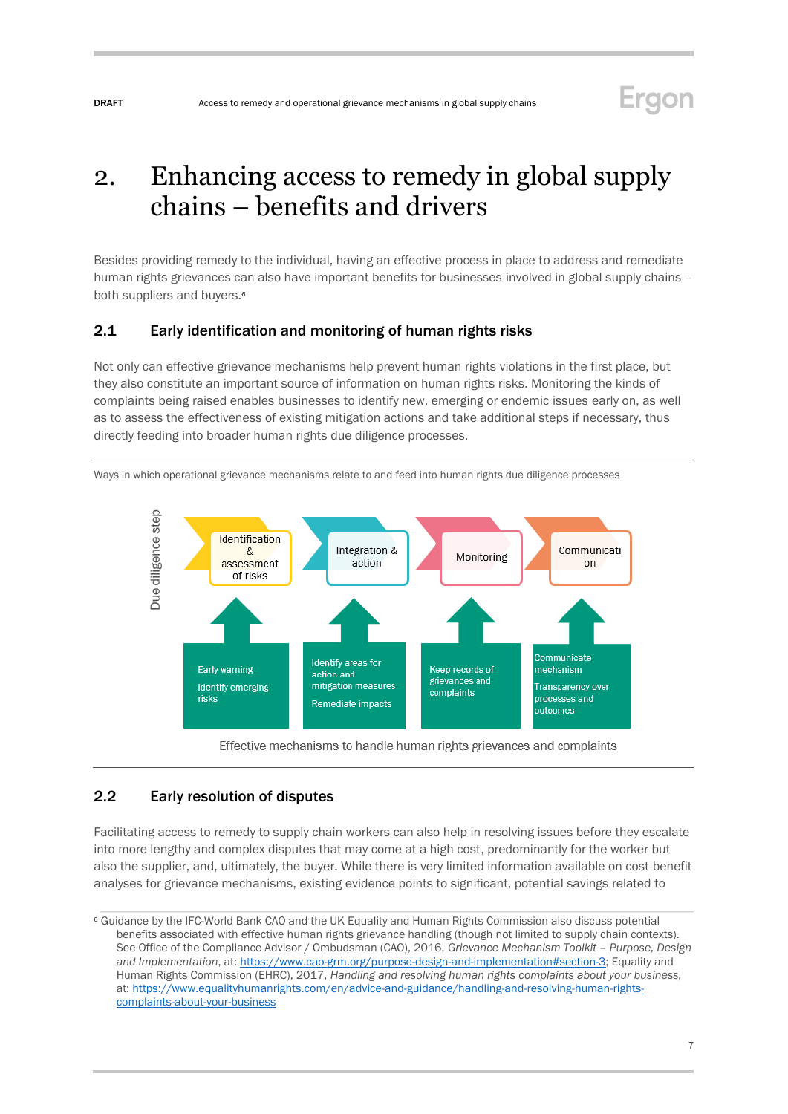## Ergon

## <span id="page-6-0"></span>2. Enhancing access to remedy in global supply chains – benefits and drivers

Besides providing remedy to the individual, having an effective process in place to address and remediate human rights grievances can also have important benefits for businesses involved in global supply chains – both suppliers and buyers.<sup>6</sup>

### <span id="page-6-1"></span>2.1 Early identification and monitoring of human rights risks

Not only can effective grievance mechanisms help prevent human rights violations in the first place, but they also constitute an important source of information on human rights risks. Monitoring the kinds of complaints being raised enables businesses to identify new, emerging or endemic issues early on, as well as to assess the effectiveness of existing mitigation actions and take additional steps if necessary, thus directly feeding into broader human rights due diligence processes.



Ways in which operational grievance mechanisms relate to and feed into human rights due diligence processes

Effective mechanisms to handle human rights grievances and complaints

## <span id="page-6-2"></span>2.2 Early resolution of disputes

Facilitating access to remedy to supply chain workers can also help in resolving issues before they escalate into more lengthy and complex disputes that may come at a high cost, predominantly for the worker but also the supplier, and, ultimately, the buyer. While there is very limited information available on cost-benefit analyses for grievance mechanisms, existing evidence points to significant, potential savings related to

<sup>6</sup> Guidance by the IFC-World Bank CAO and the UK Equality and Human Rights Commission also discuss potential benefits associated with effective human rights grievance handling (though not limited to supply chain contexts). See Office of the Compliance Advisor / Ombudsman (CAO), 2016, *Grievance Mechanism Toolkit – Purpose, Design and Implementation*, at[: https://www.cao-grm.org/purpose-design-and-implementation#section-3;](https://www.cao-grm.org/purpose-design-and-implementation#section-3) Equality and Human Rights Commission (EHRC), 2017, *Handling and resolving human rights complaints about your business,*  at: [https://www.equalityhumanrights.com/en/advice-and-guidance/handling-and-resolving-human-rights](https://www.equalityhumanrights.com/en/advice-and-guidance/handling-and-resolving-human-rights-complaints-about-your-business)[complaints-about-your-business](https://www.equalityhumanrights.com/en/advice-and-guidance/handling-and-resolving-human-rights-complaints-about-your-business)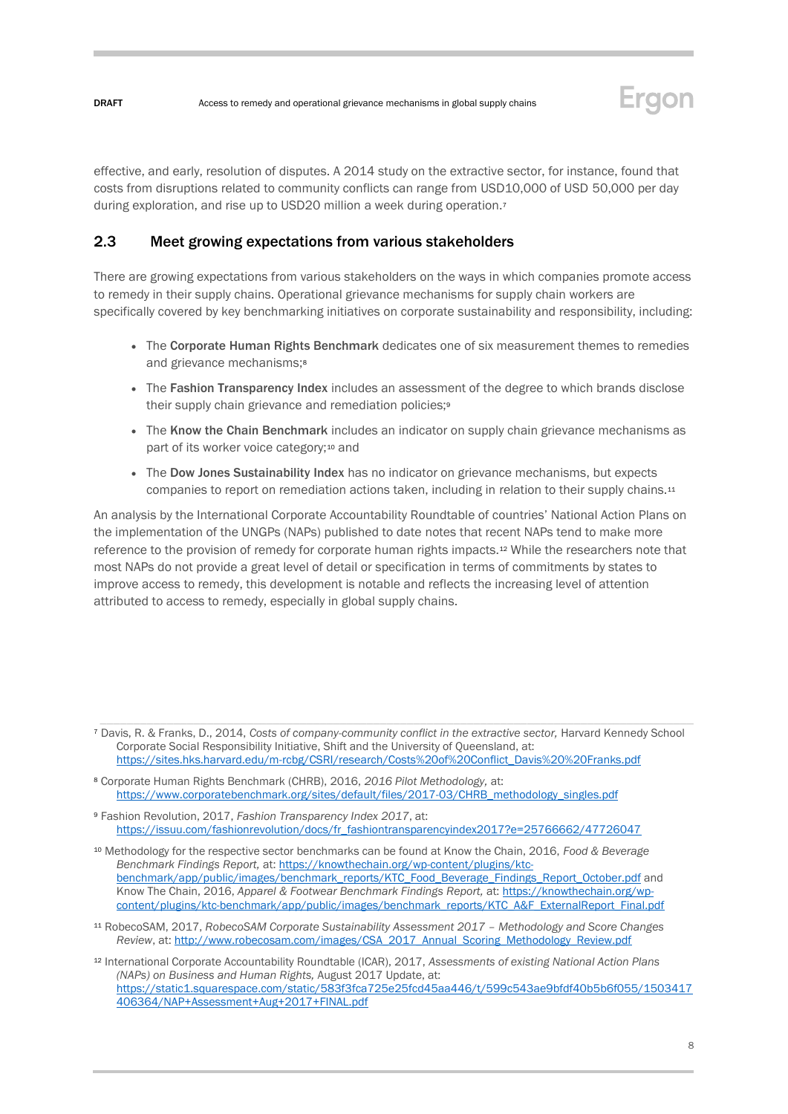

effective, and early, resolution of disputes. A 2014 study on the extractive sector, for instance, found that costs from disruptions related to community conflicts can range from USD10,000 of USD 50,000 per day during exploration, and rise up to USD20 million a week during operation.<sup>7</sup>

### <span id="page-7-0"></span>2.3 Meet growing expectations from various stakeholders

There are growing expectations from various stakeholders on the ways in which companies promote access to remedy in their supply chains. Operational grievance mechanisms for supply chain workers are specifically covered by key benchmarking initiatives on corporate sustainability and responsibility, including:

- The Corporate Human Rights Benchmark dedicates one of six measurement themes to remedies and grievance mechanisms;<sup>8</sup>
- The Fashion Transparency Index includes an assessment of the degree to which brands disclose their supply chain grievance and remediation policies;<sup>9</sup>
- The Know the Chain Benchmark includes an indicator on supply chain grievance mechanisms as part of its worker voice category;<sup>10</sup> and
- The Dow Jones Sustainability Index has no indicator on grievance mechanisms, but expects companies to report on remediation actions taken, including in relation to their supply chains.<sup>11</sup>

An analysis by the International Corporate Accountability Roundtable of countries' National Action Plans on the implementation of the UNGPs (NAPs) published to date notes that recent NAPs tend to make more reference to the provision of remedy for corporate human rights impacts.<sup>12</sup> While the researchers note that most NAPs do not provide a great level of detail or specification in terms of commitments by states to improve access to remedy, this development is notable and reflects the increasing level of attention attributed to access to remedy, especially in global supply chains.

- <sup>8</sup> Corporate Human Rights Benchmark (CHRB), 2016, *2016 Pilot Methodology,* at: [https://www.corporatebenchmark.org/sites/default/files/2017-03/CHRB\\_methodology\\_singles.pdf](https://www.corporatebenchmark.org/sites/default/files/2017-03/CHRB_methodology_singles.pdf)
- <sup>9</sup> Fashion Revolution, 2017, *Fashion Transparency Index 2017*, at: https://issuu.com/fashionrevolution/docs/fr\_fashiontransparencyindex2017?e=25766662/47726047

<sup>10</sup> Methodology for the respective sector benchmarks can be found at Know the Chain, 2016, *Food & Beverage Benchmark Findings Report,* at[: https://knowthechain.org/wp-content/plugins/ktc](https://knowthechain.org/wp-content/plugins/ktc-benchmark/app/public/images/benchmark_reports/KTC_Food_Beverage_Findings_Report_October.pdf)[benchmark/app/public/images/benchmark\\_reports/KTC\\_Food\\_Beverage\\_Findings\\_Report\\_October.pdf](https://knowthechain.org/wp-content/plugins/ktc-benchmark/app/public/images/benchmark_reports/KTC_Food_Beverage_Findings_Report_October.pdf) and Know The Chain, 2016, *Apparel & Footwear Benchmark Findings Report,* at[: https://knowthechain.org/wp](https://knowthechain.org/wp-content/plugins/ktc-benchmark/app/public/images/benchmark_reports/KTC_A&F_ExternalReport_Final.pdf)[content/plugins/ktc-benchmark/app/public/images/benchmark\\_reports/KTC\\_A&F\\_ExternalReport\\_Final.pdf](https://knowthechain.org/wp-content/plugins/ktc-benchmark/app/public/images/benchmark_reports/KTC_A&F_ExternalReport_Final.pdf)

<sup>11</sup> RobecoSAM, 2017, *RobecoSAM Corporate Sustainability Assessment 2017 – Methodology and Score Changes Review*, at[: http://www.robecosam.com/images/CSA\\_2017\\_Annual\\_Scoring\\_Methodology\\_Review.pdf](http://www.robecosam.com/images/CSA_2017_Annual_Scoring_Methodology_Review.pdf)

<sup>7</sup> Davis, R. & Franks, D., 2014, *Costs of company-community conflict in the extractive sector,* Harvard Kennedy School Corporate Social Responsibility Initiative, Shift and the University of Queensland, at: [https://sites.hks.harvard.edu/m-rcbg/CSRI/research/Costs%20of%20Conflict\\_Davis%20%20Franks.pdf](https://sites.hks.harvard.edu/m-rcbg/CSRI/research/Costs%20of%20Conflict_Davis%20%20Franks.pdf)

<sup>12</sup> International Corporate Accountability Roundtable (ICAR), 2017, *Assessments of existing National Action Plans (NAPs) on Business and Human Rights,* August 2017 Update, at: [https://static1.squarespace.com/static/583f3fca725e25fcd45aa446/t/599c543ae9bfdf40b5b6f055/1503417](https://static1.squarespace.com/static/583f3fca725e25fcd45aa446/t/599c543ae9bfdf40b5b6f055/1503417406364/NAP+Assessment+Aug+2017+FINAL.pdf) [406364/NAP+Assessment+Aug+2017+FINAL.pdf](https://static1.squarespace.com/static/583f3fca725e25fcd45aa446/t/599c543ae9bfdf40b5b6f055/1503417406364/NAP+Assessment+Aug+2017+FINAL.pdf)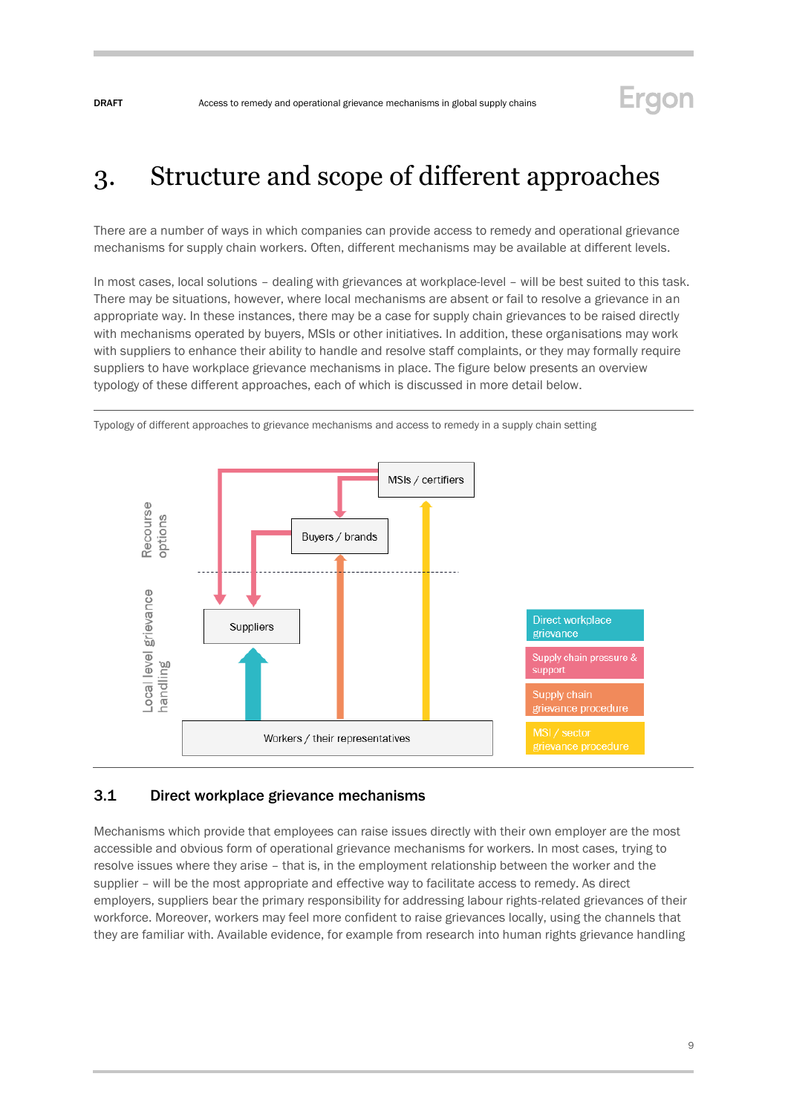## <span id="page-8-0"></span>3. Structure and scope of different approaches

There are a number of ways in which companies can provide access to remedy and operational grievance mechanisms for supply chain workers. Often, different mechanisms may be available at different levels.

In most cases, local solutions – dealing with grievances at workplace-level – will be best suited to this task. There may be situations, however, where local mechanisms are absent or fail to resolve a grievance in an appropriate way. In these instances, there may be a case for supply chain grievances to be raised directly with mechanisms operated by buyers, MSIs or other initiatives. In addition, these organisations may work with suppliers to enhance their ability to handle and resolve staff complaints, or they may formally require suppliers to have workplace grievance mechanisms in place. The figure below presents an overview typology of these different approaches, each of which is discussed in more detail below.



Typology of different approaches to grievance mechanisms and access to remedy in a supply chain setting

### <span id="page-8-1"></span>3.1 Direct workplace grievance mechanisms

Mechanisms which provide that employees can raise issues directly with their own employer are the most accessible and obvious form of operational grievance mechanisms for workers. In most cases, trying to resolve issues where they arise – that is, in the employment relationship between the worker and the supplier – will be the most appropriate and effective way to facilitate access to remedy. As direct employers, suppliers bear the primary responsibility for addressing labour rights-related grievances of their workforce. Moreover, workers may feel more confident to raise grievances locally, using the channels that they are familiar with. Available evidence, for example from research into human rights grievance handling

 $\overline{Q}$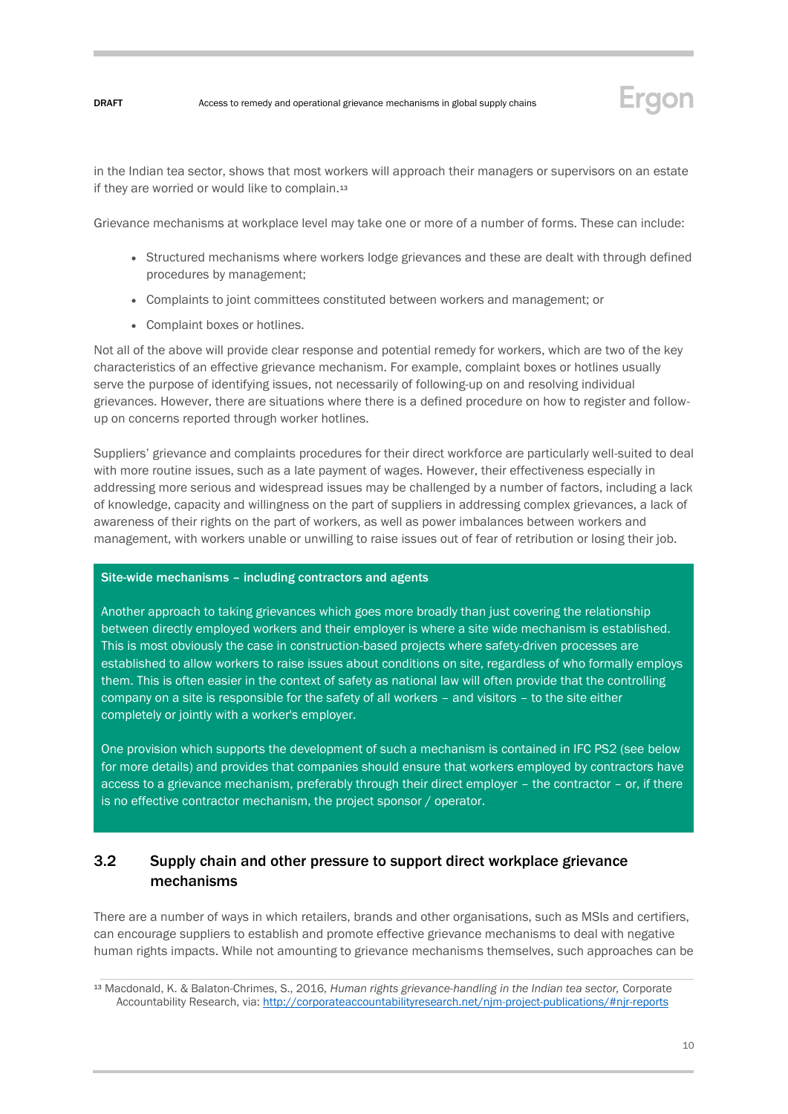

in the Indian tea sector, shows that most workers will approach their managers or supervisors on an estate if they are worried or would like to complain.<sup>13</sup>

Grievance mechanisms at workplace level may take one or more of a number of forms. These can include:

- Structured mechanisms where workers lodge grievances and these are dealt with through defined procedures by management;
- Complaints to joint committees constituted between workers and management; or
- Complaint boxes or hotlines.

Not all of the above will provide clear response and potential remedy for workers, which are two of the key characteristics of an effective grievance mechanism. For example, complaint boxes or hotlines usually serve the purpose of identifying issues, not necessarily of following-up on and resolving individual grievances. However, there are situations where there is a defined procedure on how to register and followup on concerns reported through worker hotlines.

Suppliers' grievance and complaints procedures for their direct workforce are particularly well-suited to deal with more routine issues, such as a late payment of wages. However, their effectiveness especially in addressing more serious and widespread issues may be challenged by a number of factors, including a lack of knowledge, capacity and willingness on the part of suppliers in addressing complex grievances, a lack of awareness of their rights on the part of workers, as well as power imbalances between workers and management, with workers unable or unwilling to raise issues out of fear of retribution or losing their job.

#### Site-wide mechanisms – including contractors and agents

Another approach to taking grievances which goes more broadly than just covering the relationship between directly employed workers and their employer is where a site wide mechanism is established. This is most obviously the case in construction-based projects where safety-driven processes are established to allow workers to raise issues about conditions on site, regardless of who formally employs them. This is often easier in the context of safety as national law will often provide that the controlling company on a site is responsible for the safety of all workers – and visitors – to the site either completely or jointly with a worker's employer.

One provision which supports the development of such a mechanism is contained in IFC PS2 (see below for more details) and provides that companies should ensure that workers employed by contractors have access to a grievance mechanism, preferably through their direct employer – the contractor – or, if there is no effective contractor mechanism, the project sponsor / operator.

## <span id="page-9-0"></span>3.2 Supply chain and other pressure to support direct workplace grievance mechanisms

There are a number of ways in which retailers, brands and other organisations, such as MSIs and certifiers, can encourage suppliers to establish and promote effective grievance mechanisms to deal with negative human rights impacts. While not amounting to grievance mechanisms themselves, such approaches can be

<sup>13</sup> Macdonald, K. & Balaton-Chrimes, S., 2016, *Human rights grievance-handling in the Indian tea sector,* Corporate Accountability Research, via[: http://corporateaccountabilityresearch.net/njm-project-publications/#njr-reports](http://corporateaccountabilityresearch.net/njm-project-publications/#njr-reports)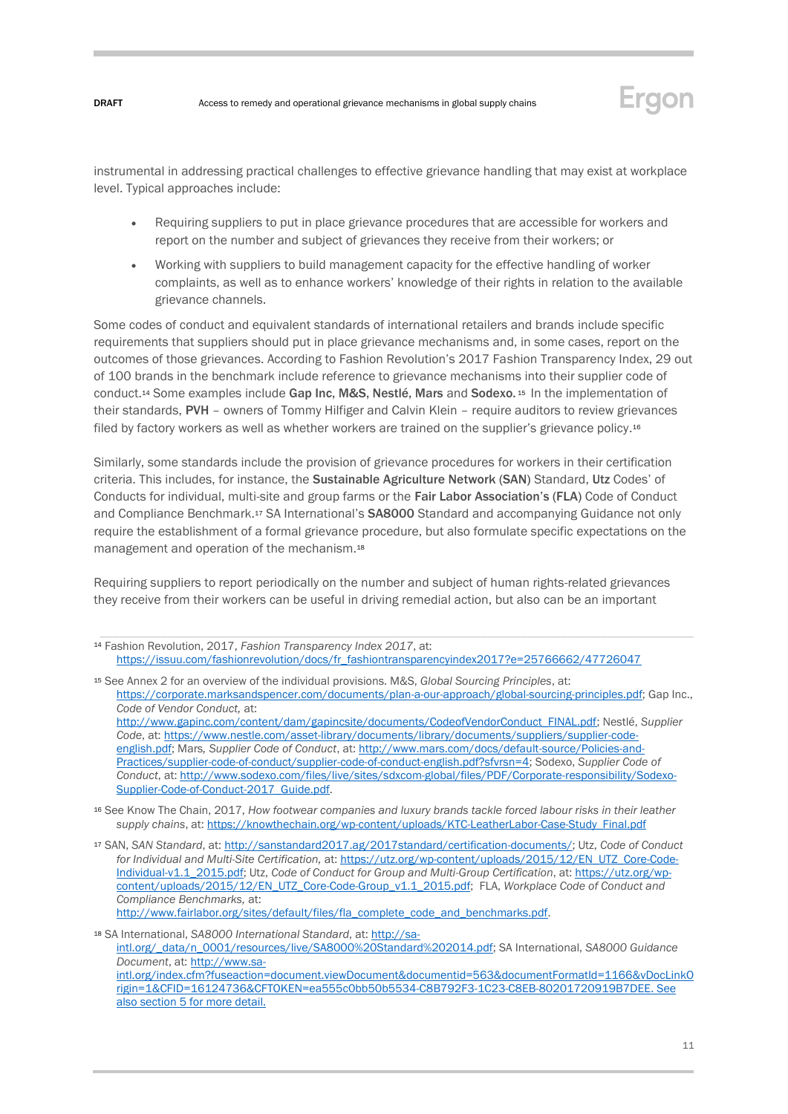

instrumental in addressing practical challenges to effective grievance handling that may exist at workplace level. Typical approaches include:

- Requiring suppliers to put in place grievance procedures that are accessible for workers and report on the number and subject of grievances they receive from their workers; or
- Working with suppliers to build management capacity for the effective handling of worker complaints, as well as to enhance workers' knowledge of their rights in relation to the available grievance channels.

Some codes of conduct and equivalent standards of international retailers and brands include specific requirements that suppliers should put in place grievance mechanisms and, in some cases, report on the outcomes of those grievances. According to Fashion Revolution's 2017 Fashion Transparency Index, 29 out of 100 brands in the benchmark include reference to grievance mechanisms into their supplier code of conduct.<sup>14</sup> Some examples include Gap Inc, M&S, Nestlé, Mars and Sodexo.<sup>15</sup> In the implementation of their standards, PVH – owners of Tommy Hilfiger and Calvin Klein – require auditors to review grievances filed by factory workers as well as whether workers are trained on the supplier's grievance policy.<sup>16</sup>

Similarly, some standards include the provision of grievance procedures for workers in their certification criteria. This includes, for instance, the Sustainable Agriculture Network (SAN) Standard, Utz Codes' of Conducts for individual, multi-site and group farms or the Fair Labor Association's (FLA) Code of Conduct and Compliance Benchmark.<sup>17</sup> SA International's SA8000 Standard and accompanying Guidance not only require the establishment of a formal grievance procedure, but also formulate specific expectations on the management and operation of the mechanism.<sup>18</sup>

Requiring suppliers to report periodically on the number and subject of human rights-related grievances they receive from their workers can be useful in driving remedial action, but also can be an important

| <sup>14</sup> Fashion Revolution, 2017, Fashion Transparency Index 2017, at:                 |
|----------------------------------------------------------------------------------------------|
| https://issuu.com/fashionrevolution/docs/fr_fashiontransparencyindex2017?e=25766662/47726047 |

<sup>15</sup> See Annex 2 for an overview of the individual provisions. M&S, *Global Sourcing Principles*, at: [https://corporate.marksandspencer.com/documents/plan-a-our-approach/global-sourcing-principles.pdf;](https://corporate.marksandspencer.com/documents/plan-a-our-approach/global-sourcing-principles.pdf) Gap Inc., *Code of Vendor Conduct,* at: [http://www.gapinc.com/content/dam/gapincsite/documents/CodeofVendorConduct\\_FINAL.pdf;](http://www.gapinc.com/content/dam/gapincsite/documents/CodeofVendorConduct_FINAL.pdf) Nestlé, *Supplier Code*, at: [https://www.nestle.com/asset-library/documents/library/documents/suppliers/supplier-code](https://www.nestle.com/asset-library/documents/library/documents/suppliers/supplier-code-english.pdf)[english.pdf;](https://www.nestle.com/asset-library/documents/library/documents/suppliers/supplier-code-english.pdf) Mars*, Supplier Code of Conduct*, at: [http://www.mars.com/docs/default-source/Policies-and-](http://www.mars.com/docs/default-source/Policies-and-Practices/supplier-code-of-conduct/supplier-code-of-conduct-english.pdf?sfvrsn=4)[Practices/supplier-code-of-conduct/supplier-code-of-conduct-english.pdf?sfvrsn=4;](http://www.mars.com/docs/default-source/Policies-and-Practices/supplier-code-of-conduct/supplier-code-of-conduct-english.pdf?sfvrsn=4) Sodexo, *Supplier Code of Conduct*, at: [http://www.sodexo.com/files/live/sites/sdxcom-global/files/PDF/Corporate-responsibility/Sodexo-](http://www.sodexo.com/files/live/sites/sdxcom-global/files/PDF/Corporate-responsibility/Sodexo-Supplier-Code-of-Conduct-2017_Guide.pdf)[Supplier-Code-of-Conduct-2017\\_Guide.pdf.](http://www.sodexo.com/files/live/sites/sdxcom-global/files/PDF/Corporate-responsibility/Sodexo-Supplier-Code-of-Conduct-2017_Guide.pdf)

- <sup>16</sup> See Know The Chain, 2017, *How footwear companies and luxury brands tackle forced labour risks in their leather supply chains*, at[: https://knowthechain.org/wp-content/uploads/KTC-LeatherLabor-Case-Study\\_Final.pdf](https://knowthechain.org/wp-content/uploads/KTC-LeatherLabor-Case-Study_Final.pdf)
- <sup>17</sup> SAN, *SAN Standard*, at[: http://sanstandard2017.ag/2017standard/certification-documents/;](http://sanstandard2017.ag/2017standard/certification-documents/) Utz, *Code of Conduct for Individual and Multi-Site Certification,* at[: https://utz.org/wp-content/uploads/2015/12/EN\\_UTZ\\_Core-Code-](https://utz.org/wp-content/uploads/2015/12/EN_UTZ_Core-Code-Individual-v1.1_2015.pdf)[Individual-v1.1\\_2015.pdf;](https://utz.org/wp-content/uploads/2015/12/EN_UTZ_Core-Code-Individual-v1.1_2015.pdf) Utz, *Code of Conduct for Group and Multi-Group Certification*, at[: https://utz.org/wp](https://utz.org/wp-content/uploads/2015/12/EN_UTZ_Core-Code-Group_v1.1_2015.pdf)[content/uploads/2015/12/EN\\_UTZ\\_Core-Code-Group\\_v1.1\\_2015.pdf;](https://utz.org/wp-content/uploads/2015/12/EN_UTZ_Core-Code-Group_v1.1_2015.pdf) FLA, *Workplace Code of Conduct and Compliance Benchmarks,* at: [http://www.fairlabor.org/sites/default/files/fla\\_complete\\_code\\_and\\_benchmarks.pdf.](http://www.fairlabor.org/sites/default/files/fla_complete_code_and_benchmarks.pdf)

<sup>18</sup> SA International, *SA8000 International Standard*, at[: http://sa](http://sa-intl.org/_data/n_0001/resources/live/SA8000%20Standard%202014.pdf)[intl.org/\\_data/n\\_0001/resources/live/SA8000%20Standard%202014.pdf;](http://sa-intl.org/_data/n_0001/resources/live/SA8000%20Standard%202014.pdf) SA International, *SA8000 Guidance Document*, at: [http://www.sa](http://www.sa-intl.org/index.cfm?fuseaction=document.viewDocument&documentid=563&documentFormatId=1166&vDocLinkOrigin=1&CFID=16124736&CFTOKEN=ea555c0bb50b5534-C8B792F3-1C23-C8EB-80201720919B7DEE)[intl.org/index.cfm?fuseaction=document.viewDocument&documentid=563&documentFormatId=1166&vDocLinkO](http://www.sa-intl.org/index.cfm?fuseaction=document.viewDocument&documentid=563&documentFormatId=1166&vDocLinkOrigin=1&CFID=16124736&CFTOKEN=ea555c0bb50b5534-C8B792F3-1C23-C8EB-80201720919B7DEE) [rigin=1&CFID=16124736&CFTOKEN=ea555c0bb50b5534-C8B792F3-1C23-C8EB-80201720919B7DEE.](http://www.sa-intl.org/index.cfm?fuseaction=document.viewDocument&documentid=563&documentFormatId=1166&vDocLinkOrigin=1&CFID=16124736&CFTOKEN=ea555c0bb50b5534-C8B792F3-1C23-C8EB-80201720919B7DEE) See also section 5 for more detail.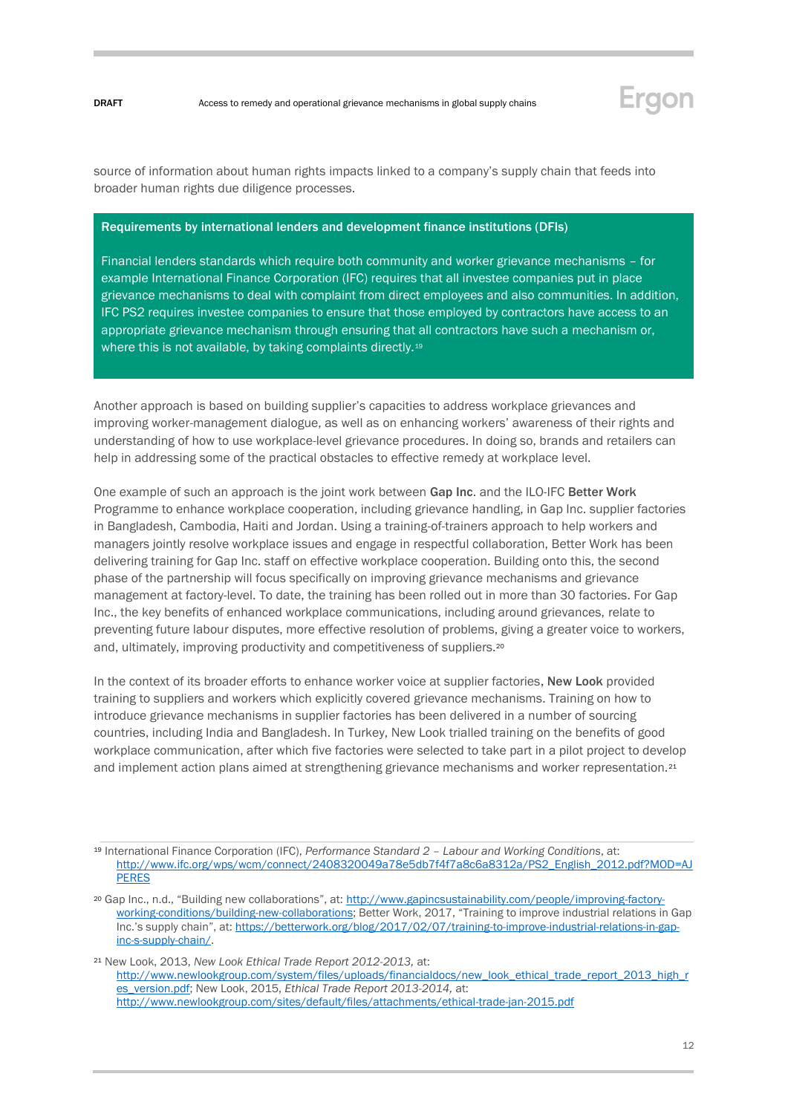

source of information about human rights impacts linked to a company's supply chain that feeds into broader human rights due diligence processes.

#### Requirements by international lenders and development finance institutions (DFIs)

Financial lenders standards which require both community and worker grievance mechanisms – for example International Finance Corporation (IFC) requires that all investee companies put in place grievance mechanisms to deal with complaint from direct employees and also communities. In addition, IFC PS2 requires investee companies to ensure that those employed by contractors have access to an appropriate grievance mechanism through ensuring that all contractors have such a mechanism or, where this is not available, by taking complaints directly.<sup>19</sup>

Another approach is based on building supplier's capacities to address workplace grievances and improving worker-management dialogue, as well as on enhancing workers' awareness of their rights and understanding of how to use workplace-level grievance procedures. In doing so, brands and retailers can help in addressing some of the practical obstacles to effective remedy at workplace level.

One example of such an approach is the joint work between Gap Inc. and the ILO-IFC Better Work Programme to enhance workplace cooperation, including grievance handling, in Gap Inc. supplier factories in Bangladesh, Cambodia, Haiti and Jordan. Using a training-of-trainers approach to help workers and managers jointly resolve workplace issues and engage in respectful collaboration, Better Work has been delivering training for Gap Inc. staff on effective workplace cooperation. Building onto this, the second phase of the partnership will focus specifically on improving grievance mechanisms and grievance management at factory-level. To date, the training has been rolled out in more than 30 factories. For Gap Inc., the key benefits of enhanced workplace communications, including around grievances, relate to preventing future labour disputes, more effective resolution of problems, giving a greater voice to workers, and, ultimately, improving productivity and competitiveness of suppliers.<sup>20</sup>

In the context of its broader efforts to enhance worker voice at supplier factories, New Look provided training to suppliers and workers which explicitly covered grievance mechanisms. Training on how to introduce grievance mechanisms in supplier factories has been delivered in a number of sourcing countries, including India and Bangladesh. In Turkey, New Look trialled training on the benefits of good workplace communication, after which five factories were selected to take part in a pilot project to develop and implement action plans aimed at strengthening grievance mechanisms and worker representation.<sup>21</sup>

<sup>19</sup> International Finance Corporation (IFC), *Performance Standard 2 – Labour and Working Conditions*, at: [http://www.ifc.org/wps/wcm/connect/2408320049a78e5db7f4f7a8c6a8312a/PS2\\_English\\_2012.pdf?MOD=AJ](http://www.ifc.org/wps/wcm/connect/2408320049a78e5db7f4f7a8c6a8312a/PS2_English_2012.pdf?MOD=AJPERES) [PERES](http://www.ifc.org/wps/wcm/connect/2408320049a78e5db7f4f7a8c6a8312a/PS2_English_2012.pdf?MOD=AJPERES)

<sup>&</sup>lt;sup>20</sup> Gap Inc., n.d., "Building new collaborations", at: [http://www.gapincsustainability.com/people/improving-factory](http://www.gapincsustainability.com/people/improving-factory-working-conditions/building-new-collaborations)[working-conditions/building-new-collaborations](http://www.gapincsustainability.com/people/improving-factory-working-conditions/building-new-collaborations); Better Work, 2017, "Training to improve industrial relations in Gap Inc.'s supply chain", at: [https://betterwork.org/blog/2017/02/07/training-to-improve-industrial-relations-in-gap](https://betterwork.org/blog/2017/02/07/training-to-improve-industrial-relations-in-gap-inc-s-supply-chain/)[inc-s-supply-chain/.](https://betterwork.org/blog/2017/02/07/training-to-improve-industrial-relations-in-gap-inc-s-supply-chain/) 

<sup>21</sup> New Look, 2013, *New Look Ethical Trade Report 2012-2013,* at: [http://www.newlookgroup.com/system/files/uploads/financialdocs/new\\_look\\_ethical\\_trade\\_report\\_2013\\_high\\_r](http://www.newlookgroup.com/system/files/uploads/financialdocs/new_look_ethical_trade_report_2013_high_res_version.pdf) [es\\_version.pdf;](http://www.newlookgroup.com/system/files/uploads/financialdocs/new_look_ethical_trade_report_2013_high_res_version.pdf) New Look, 2015, *Ethical Trade Report 2013-2014,* at: <http://www.newlookgroup.com/sites/default/files/attachments/ethical-trade-jan-2015.pdf>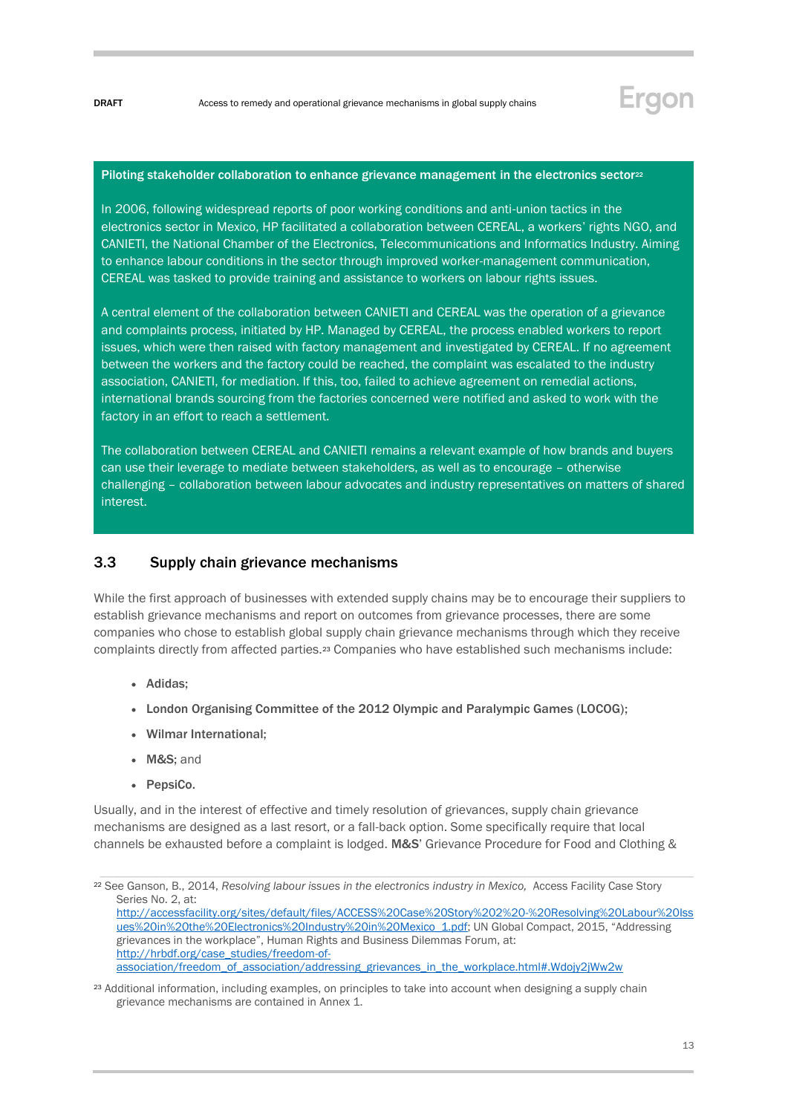

#### Piloting stakeholder collaboration to enhance grievance management in the electronics sector<sup>22</sup>

In 2006, following widespread reports of poor working conditions and anti-union tactics in the electronics sector in Mexico, HP facilitated a collaboration between CEREAL, a workers' rights NGO, and CANIETI, the National Chamber of the Electronics, Telecommunications and Informatics Industry. Aiming to enhance labour conditions in the sector through improved worker-management communication, CEREAL was tasked to provide training and assistance to workers on labour rights issues.

A central element of the collaboration between CANIETI and CEREAL was the operation of a grievance and complaints process, initiated by HP. Managed by CEREAL, the process enabled workers to report issues, which were then raised with factory management and investigated by CEREAL. If no agreement between the workers and the factory could be reached, the complaint was escalated to the industry association, CANIETI, for mediation. If this, too, failed to achieve agreement on remedial actions, international brands sourcing from the factories concerned were notified and asked to work with the factory in an effort to reach a settlement.

The collaboration between CEREAL and CANIETI remains a relevant example of how brands and buyers can use their leverage to mediate between stakeholders, as well as to encourage – otherwise challenging – collaboration between labour advocates and industry representatives on matters of shared interest.

### <span id="page-12-0"></span>3.3 Supply chain grievance mechanisms

While the first approach of businesses with extended supply chains may be to encourage their suppliers to establish grievance mechanisms and report on outcomes from grievance processes, there are some companies who chose to establish global supply chain grievance mechanisms through which they receive complaints directly from affected parties.<sup>23</sup> Companies who have established such mechanisms include:

- Adidas;
- London Organising Committee of the 2012 Olympic and Paralympic Games (LOCOG);
- Wilmar International;
- M&S; and
- PepsiCo.

Usually, and in the interest of effective and timely resolution of grievances, supply chain grievance mechanisms are designed as a last resort, or a fall-back option. Some specifically require that local channels be exhausted before a complaint is lodged. M&S' Grievance Procedure for Food and Clothing &

<sup>22</sup> See Ganson, B., 2014, *Resolving labour issues in the electronics industry in Mexico,* Access Facility Case Story Series No. 2, at: [http://accessfacility.org/sites/default/files/ACCESS%20Case%20Story%202%20-%20Resolving%20Labour%20Iss](http://accessfacility.org/sites/default/files/ACCESS%20Case%20Story%202%20-%20Resolving%20Labour%20Issues%20in%20the%20Electronics%20Industry%20in%20Mexico_1.pdf) [ues%20in%20the%20Electronics%20Industry%20in%20Mexico\\_1.pdf;](http://accessfacility.org/sites/default/files/ACCESS%20Case%20Story%202%20-%20Resolving%20Labour%20Issues%20in%20the%20Electronics%20Industry%20in%20Mexico_1.pdf) UN Global Compact, 2015, "Addressing grievances in the workplace", Human Rights and Business Dilemmas Forum, at: [http://hrbdf.org/case\\_studies/freedom-of](http://hrbdf.org/case_studies/freedom-of-association/freedom_of_association/addressing_grievances_in_the_workplace.html#.Wdojy2jWw2w)[association/freedom\\_of\\_association/addressing\\_grievances\\_in\\_the\\_workplace.html#.Wdojy2jWw2w](http://hrbdf.org/case_studies/freedom-of-association/freedom_of_association/addressing_grievances_in_the_workplace.html#.Wdojy2jWw2w)

<sup>23</sup> Additional information, including examples, on principles to take into account when designing a supply chain grievance mechanisms are contained in Annex 1.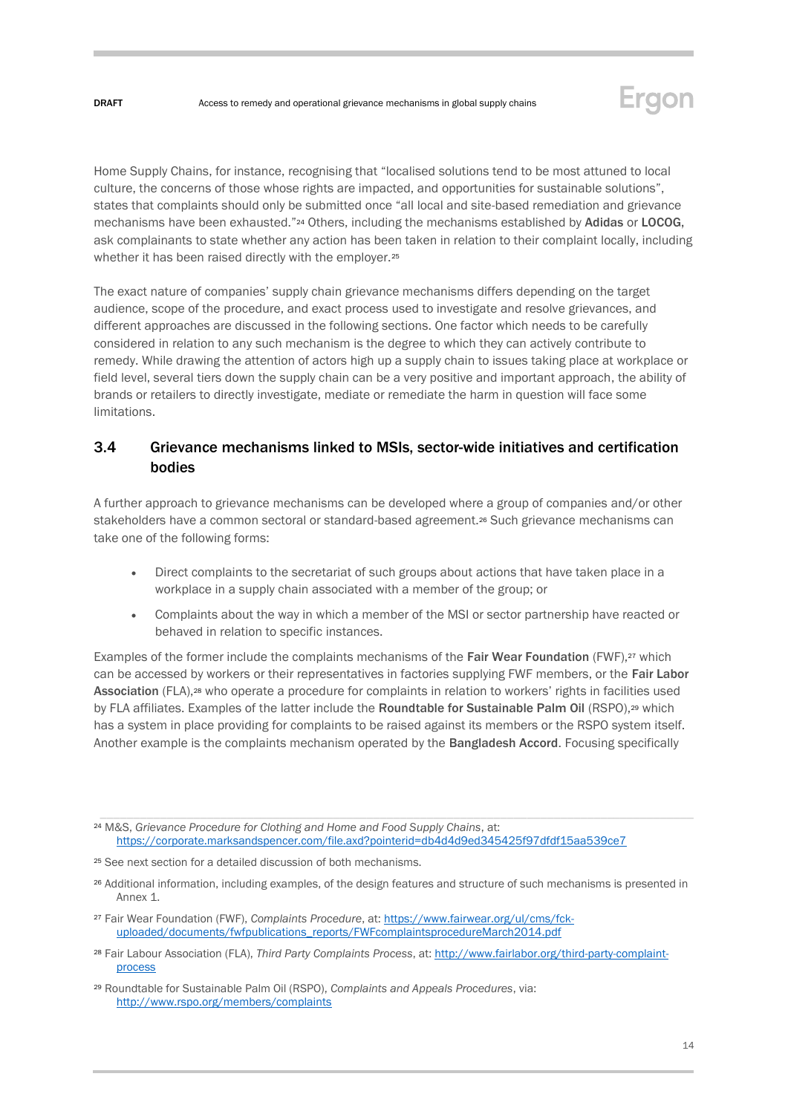

Home Supply Chains, for instance, recognising that "localised solutions tend to be most attuned to local culture, the concerns of those whose rights are impacted, and opportunities for sustainable solutions", states that complaints should only be submitted once "all local and site-based remediation and grievance mechanisms have been exhausted."<sup>24</sup> Others, including the mechanisms established by Adidas or LOCOG, ask complainants to state whether any action has been taken in relation to their complaint locally, including whether it has been raised directly with the employer.<sup>25</sup>

The exact nature of companies' supply chain grievance mechanisms differs depending on the target audience, scope of the procedure, and exact process used to investigate and resolve grievances, and different approaches are discussed in the following sections. One factor which needs to be carefully considered in relation to any such mechanism is the degree to which they can actively contribute to remedy. While drawing the attention of actors high up a supply chain to issues taking place at workplace or field level, several tiers down the supply chain can be a very positive and important approach, the ability of brands or retailers to directly investigate, mediate or remediate the harm in question will face some limitations.

## <span id="page-13-0"></span>3.4 Grievance mechanisms linked to MSIs, sector-wide initiatives and certification bodies

A further approach to grievance mechanisms can be developed where a group of companies and/or other stakeholders have a common sectoral or standard-based agreement.<sup>26</sup> Such grievance mechanisms can take one of the following forms:

- Direct complaints to the secretariat of such groups about actions that have taken place in a workplace in a supply chain associated with a member of the group; or
- Complaints about the way in which a member of the MSI or sector partnership have reacted or behaved in relation to specific instances.

Examples of the former include the complaints mechanisms of the Fair Wear Foundation (FWF),<sup>27</sup> which can be accessed by workers or their representatives in factories supplying FWF members, or the Fair Labor Association (FLA),<sup>28</sup> who operate a procedure for complaints in relation to workers' rights in facilities used by FLA affiliates. Examples of the latter include the Roundtable for Sustainable Palm Oil (RSPO),<sup>29</sup> which has a system in place providing for complaints to be raised against its members or the RSPO system itself. Another example is the complaints mechanism operated by the Bangladesh Accord. Focusing specifically

<sup>24</sup> M&S, *Grievance Procedure for Clothing and Home and Food Supply Chains*, at: <https://corporate.marksandspencer.com/file.axd?pointerid=db4d4d9ed345425f97dfdf15aa539ce7>

<sup>25</sup> See next section for a detailed discussion of both mechanisms.

<sup>26</sup> Additional information, including examples, of the design features and structure of such mechanisms is presented in Annex 1.

<sup>27</sup> Fair Wear Foundation (FWF), *Complaints Procedure*, at: [https://www.fairwear.org/ul/cms/fck](https://www.fairwear.org/ul/cms/fck-uploaded/documents/fwfpublications_reports/FWFcomplaintsprocedureMarch2014.pdf)[uploaded/documents/fwfpublications\\_reports/FWFcomplaintsprocedureMarch2014.pdf](https://www.fairwear.org/ul/cms/fck-uploaded/documents/fwfpublications_reports/FWFcomplaintsprocedureMarch2014.pdf)

<sup>28</sup> Fair Labour Association (FLA), *Third Party Complaints Process*, at[: http://www.fairlabor.org/third-party-complaint](http://www.fairlabor.org/third-party-complaint-process)[process](http://www.fairlabor.org/third-party-complaint-process)

<sup>29</sup> Roundtable for Sustainable Palm Oil (RSPO), *Complaints and Appeals Procedures*, via: <http://www.rspo.org/members/complaints>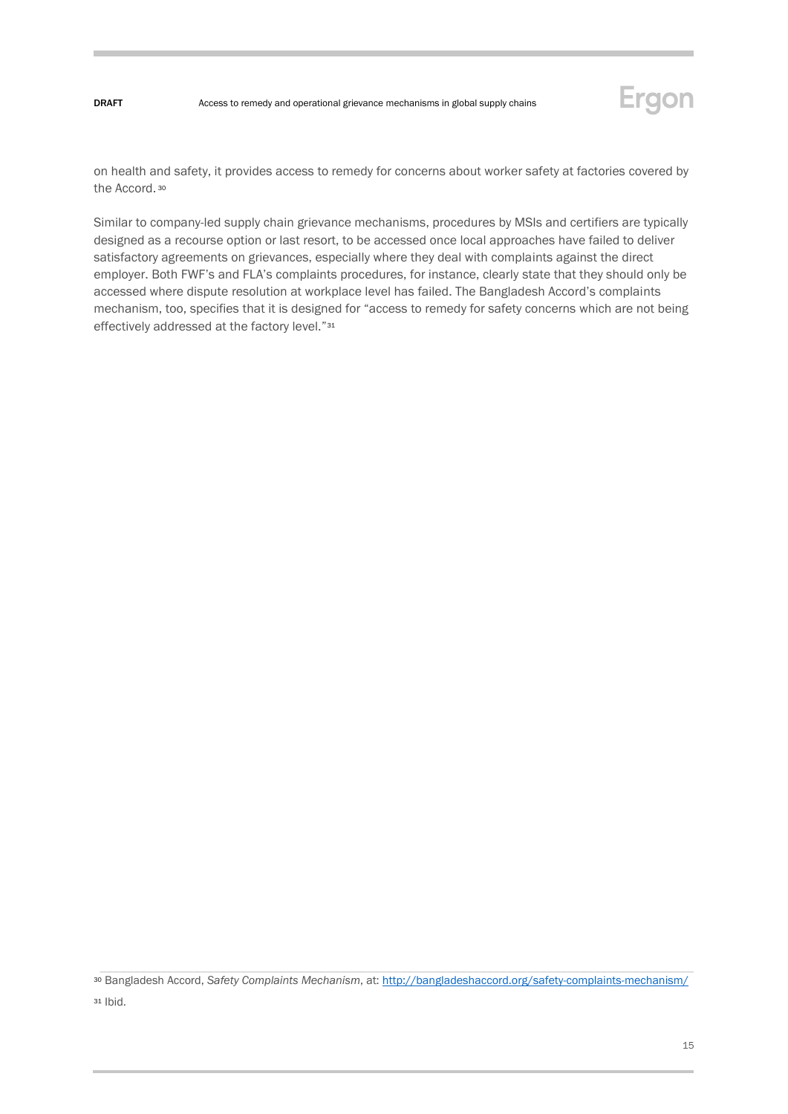

on health and safety, it provides access to remedy for concerns about worker safety at factories covered by the Accord. <sup>30</sup>

Similar to company-led supply chain grievance mechanisms, procedures by MSIs and certifiers are typically designed as a recourse option or last resort, to be accessed once local approaches have failed to deliver satisfactory agreements on grievances, especially where they deal with complaints against the direct employer. Both FWF's and FLA's complaints procedures, for instance, clearly state that they should only be accessed where dispute resolution at workplace level has failed. The Bangladesh Accord's complaints mechanism, too, specifies that it is designed for "access to remedy for safety concerns which are not being effectively addressed at the factory level."<sup>31</sup>

<sup>30</sup> Bangladesh Accord, *Safety Complaints Mechanism*, at[: http://bangladeshaccord.org/safety-complaints-mechanism/](http://bangladeshaccord.org/safety-complaints-mechanism/)

<sup>31</sup> Ibid.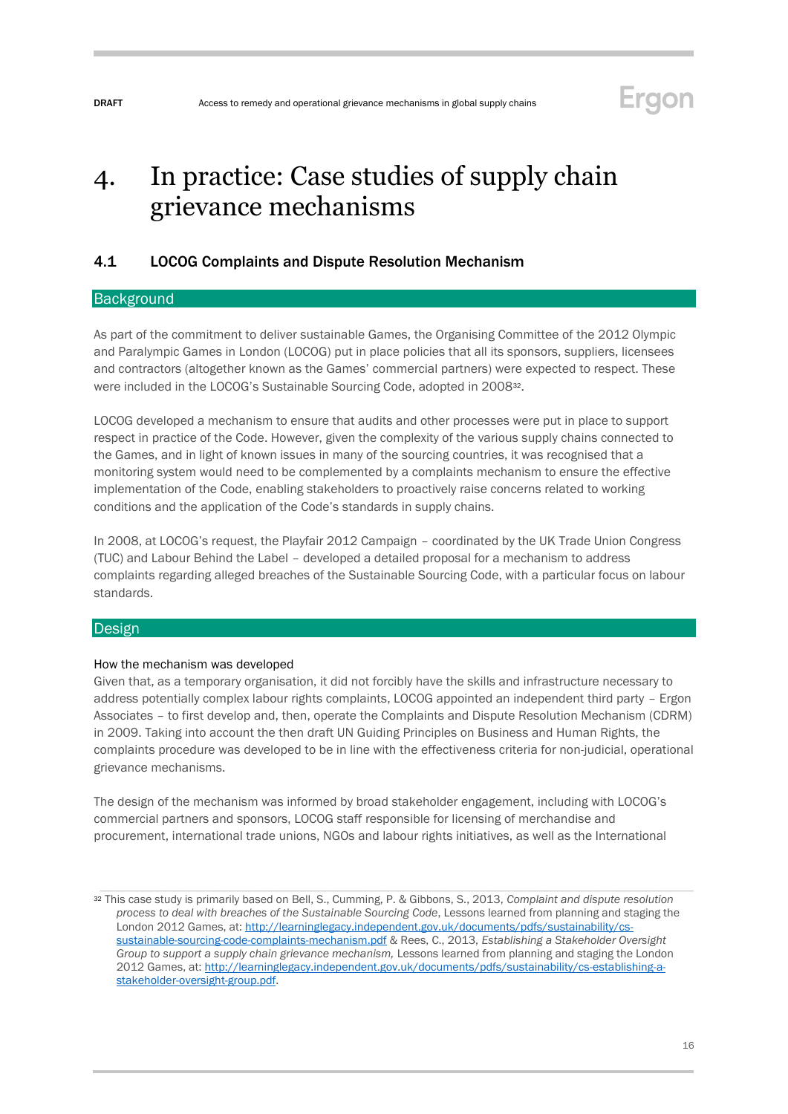## Ergon

## <span id="page-15-0"></span>4. In practice: Case studies of supply chain grievance mechanisms

### <span id="page-15-1"></span>4.1 LOCOG Complaints and Dispute Resolution Mechanism

#### **Background**

As part of the commitment to deliver sustainable Games, the Organising Committee of the 2012 Olympic and Paralympic Games in London (LOCOG) put in place policies that all its sponsors, suppliers, licensees and contractors (altogether known as the Games' commercial partners) were expected to respect. These were included in the LOCOG's Sustainable Sourcing Code, adopted in 200832.

LOCOG developed a mechanism to ensure that audits and other processes were put in place to support respect in practice of the Code. However, given the complexity of the various supply chains connected to the Games, and in light of known issues in many of the sourcing countries, it was recognised that a monitoring system would need to be complemented by a complaints mechanism to ensure the effective implementation of the Code, enabling stakeholders to proactively raise concerns related to working conditions and the application of the Code's standards in supply chains.

In 2008, at LOCOG's request, the Playfair 2012 Campaign – coordinated by the UK Trade Union Congress (TUC) and Labour Behind the Label – developed a detailed proposal for a mechanism to address complaints regarding alleged breaches of the Sustainable Sourcing Code, with a particular focus on labour standards.

#### **Design**

#### How the mechanism was developed

Given that, as a temporary organisation, it did not forcibly have the skills and infrastructure necessary to address potentially complex labour rights complaints, LOCOG appointed an independent third party – Ergon Associates – to first develop and, then, operate the Complaints and Dispute Resolution Mechanism (CDRM) in 2009. Taking into account the then draft UN Guiding Principles on Business and Human Rights, the complaints procedure was developed to be in line with the effectiveness criteria for non-judicial, operational grievance mechanisms.

The design of the mechanism was informed by broad stakeholder engagement, including with LOCOG's commercial partners and sponsors, LOCOG staff responsible for licensing of merchandise and procurement, international trade unions, NGOs and labour rights initiatives, as well as the International

<sup>32</sup> This case study is primarily based on Bell, S., Cumming, P. & Gibbons, S., 2013, *Complaint and dispute resolution process to deal with breaches of the Sustainable Sourcing Code*, Lessons learned from planning and staging the London 2012 Games, at[: http://learninglegacy.independent.gov.uk/documents/pdfs/sustainability/cs](http://learninglegacy.independent.gov.uk/documents/pdfs/sustainability/cs-sustainable-sourcing-code-complaints-mechanism.pdf)[sustainable-sourcing-code-complaints-mechanism.pdf](http://learninglegacy.independent.gov.uk/documents/pdfs/sustainability/cs-sustainable-sourcing-code-complaints-mechanism.pdf) & Rees, C., 2013, *Establishing a Stakeholder Oversight Group to support a supply chain grievance mechanism,* Lessons learned from planning and staging the London 2012 Games, at[: http://learninglegacy.independent.gov.uk/documents/pdfs/sustainability/cs-establishing-a](http://learninglegacy.independent.gov.uk/documents/pdfs/sustainability/cs-establishing-a-stakeholder-oversight-group.pdf)[stakeholder-oversight-group.pdf.](http://learninglegacy.independent.gov.uk/documents/pdfs/sustainability/cs-establishing-a-stakeholder-oversight-group.pdf)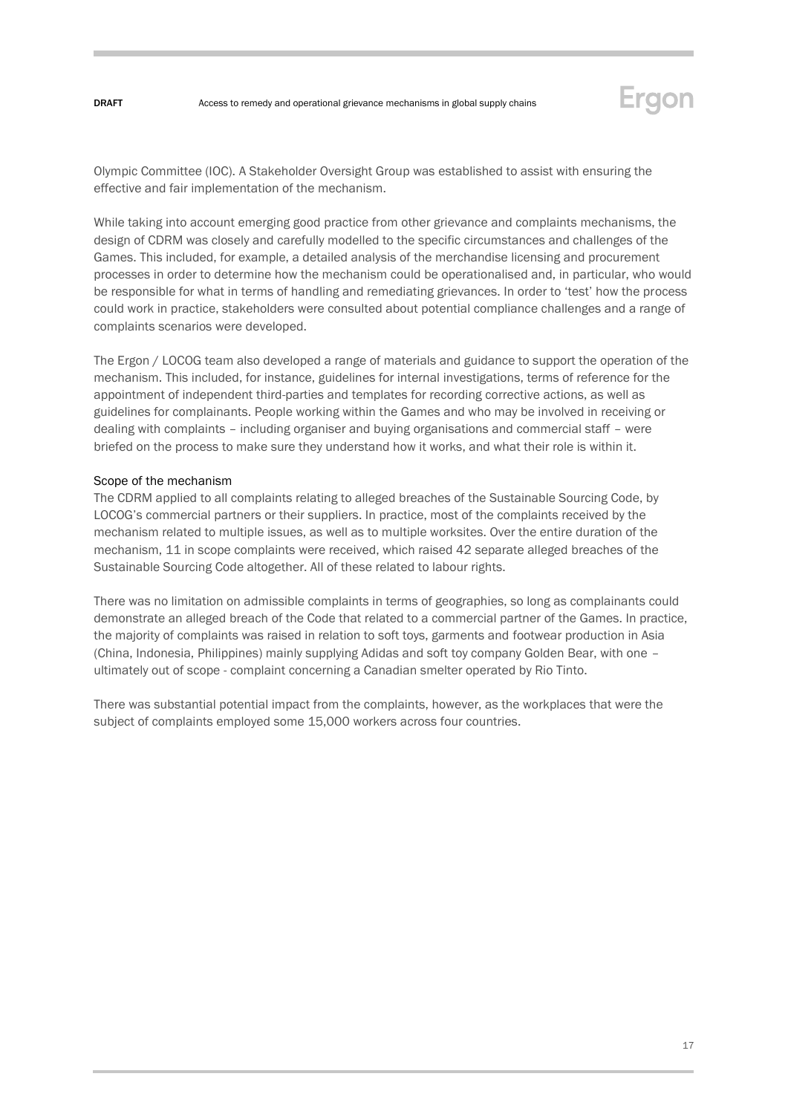

Olympic Committee (IOC). A Stakeholder Oversight Group was established to assist with ensuring the effective and fair implementation of the mechanism.

While taking into account emerging good practice from other grievance and complaints mechanisms, the design of CDRM was closely and carefully modelled to the specific circumstances and challenges of the Games. This included, for example, a detailed analysis of the merchandise licensing and procurement processes in order to determine how the mechanism could be operationalised and, in particular, who would be responsible for what in terms of handling and remediating grievances. In order to 'test' how the process could work in practice, stakeholders were consulted about potential compliance challenges and a range of complaints scenarios were developed.

The Ergon / LOCOG team also developed a range of materials and guidance to support the operation of the mechanism. This included, for instance, guidelines for internal investigations, terms of reference for the appointment of independent third-parties and templates for recording corrective actions, as well as guidelines for complainants. People working within the Games and who may be involved in receiving or dealing with complaints – including organiser and buying organisations and commercial staff – were briefed on the process to make sure they understand how it works, and what their role is within it.

#### Scope of the mechanism

The CDRM applied to all complaints relating to alleged breaches of the Sustainable Sourcing Code, by LOCOG's commercial partners or their suppliers. In practice, most of the complaints received by the mechanism related to multiple issues, as well as to multiple worksites. Over the entire duration of the mechanism, 11 in scope complaints were received, which raised 42 separate alleged breaches of the Sustainable Sourcing Code altogether. All of these related to labour rights.

There was no limitation on admissible complaints in terms of geographies, so long as complainants could demonstrate an alleged breach of the Code that related to a commercial partner of the Games. In practice, the majority of complaints was raised in relation to soft toys, garments and footwear production in Asia (China, Indonesia, Philippines) mainly supplying Adidas and soft toy company Golden Bear, with one – ultimately out of scope - complaint concerning a Canadian smelter operated by Rio Tinto.

There was substantial potential impact from the complaints, however, as the workplaces that were the subject of complaints employed some 15,000 workers across four countries.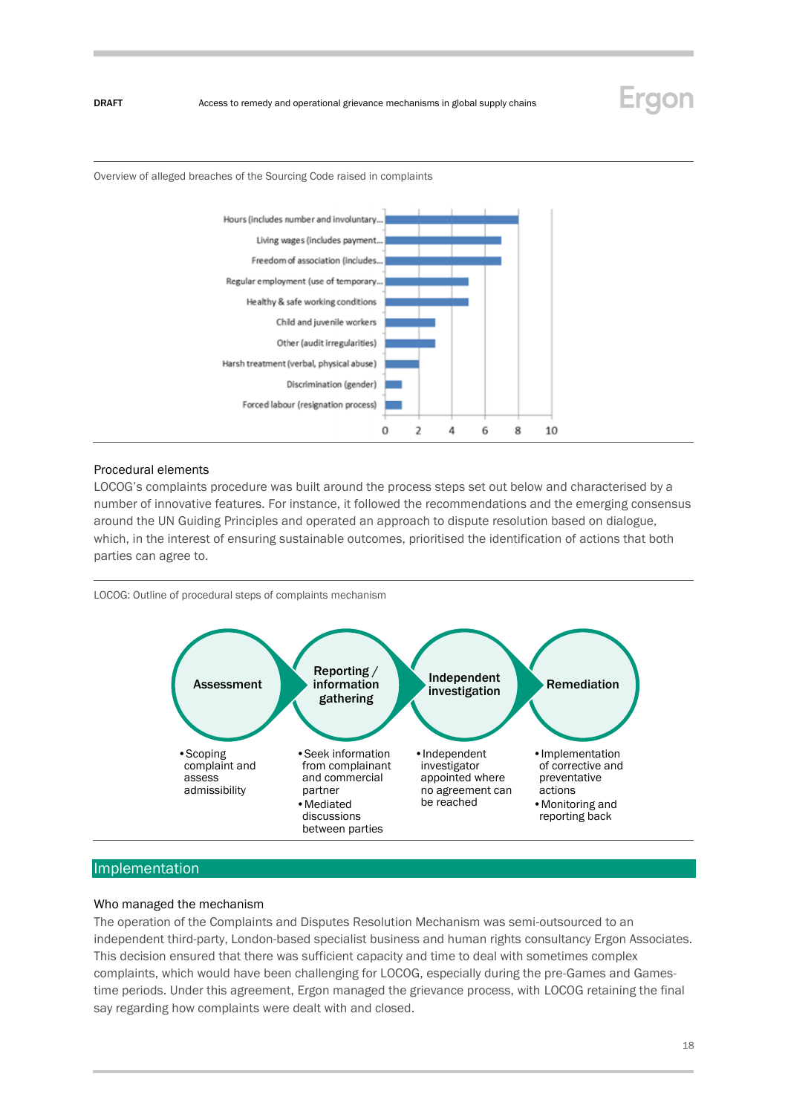## Ergon

Overview of alleged breaches of the Sourcing Code raised in complaints



#### Procedural elements

LOCOG's complaints procedure was built around the process steps set out below and characterised by a number of innovative features. For instance, it followed the recommendations and the emerging consensus around the UN Guiding Principles and operated an approach to dispute resolution based on dialogue, which, in the interest of ensuring sustainable outcomes, prioritised the identification of actions that both parties can agree to.

LOCOG: Outline of procedural steps of complaints mechanism



#### Implementation

#### Who managed the mechanism

The operation of the Complaints and Disputes Resolution Mechanism was semi-outsourced to an independent third-party, London-based specialist business and human rights consultancy Ergon Associates. This decision ensured that there was sufficient capacity and time to deal with sometimes complex complaints, which would have been challenging for LOCOG, especially during the pre-Games and Gamestime periods. Under this agreement, Ergon managed the grievance process, with LOCOG retaining the final say regarding how complaints were dealt with and closed.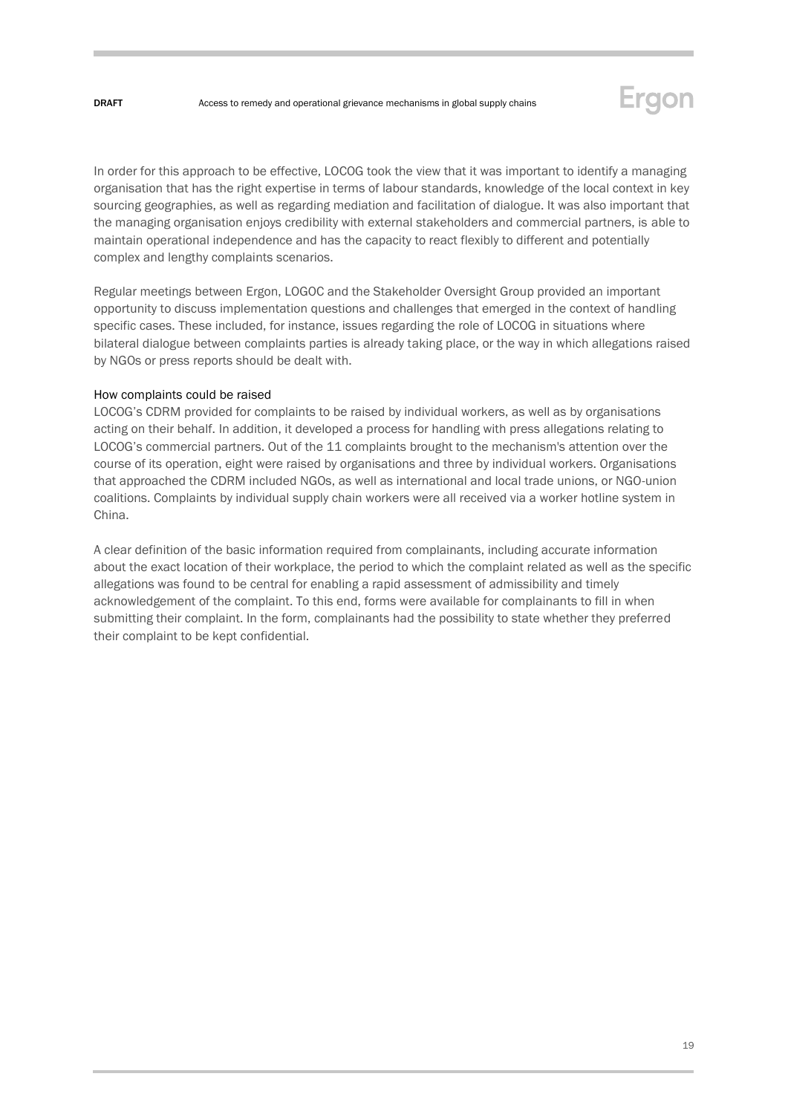

In order for this approach to be effective, LOCOG took the view that it was important to identify a managing organisation that has the right expertise in terms of labour standards, knowledge of the local context in key sourcing geographies, as well as regarding mediation and facilitation of dialogue. It was also important that the managing organisation enjoys credibility with external stakeholders and commercial partners, is able to maintain operational independence and has the capacity to react flexibly to different and potentially complex and lengthy complaints scenarios.

Regular meetings between Ergon, LOGOC and the Stakeholder Oversight Group provided an important opportunity to discuss implementation questions and challenges that emerged in the context of handling specific cases. These included, for instance, issues regarding the role of LOCOG in situations where bilateral dialogue between complaints parties is already taking place, or the way in which allegations raised by NGOs or press reports should be dealt with.

#### How complaints could be raised

LOCOG's CDRM provided for complaints to be raised by individual workers, as well as by organisations acting on their behalf. In addition, it developed a process for handling with press allegations relating to LOCOG's commercial partners. Out of the 11 complaints brought to the mechanism's attention over the course of its operation, eight were raised by organisations and three by individual workers. Organisations that approached the CDRM included NGOs, as well as international and local trade unions, or NGO-union coalitions. Complaints by individual supply chain workers were all received via a worker hotline system in China.

A clear definition of the basic information required from complainants, including accurate information about the exact location of their workplace, the period to which the complaint related as well as the specific allegations was found to be central for enabling a rapid assessment of admissibility and timely acknowledgement of the complaint. To this end, forms were available for complainants to fill in when submitting their complaint. In the form, complainants had the possibility to state whether they preferred their complaint to be kept confidential.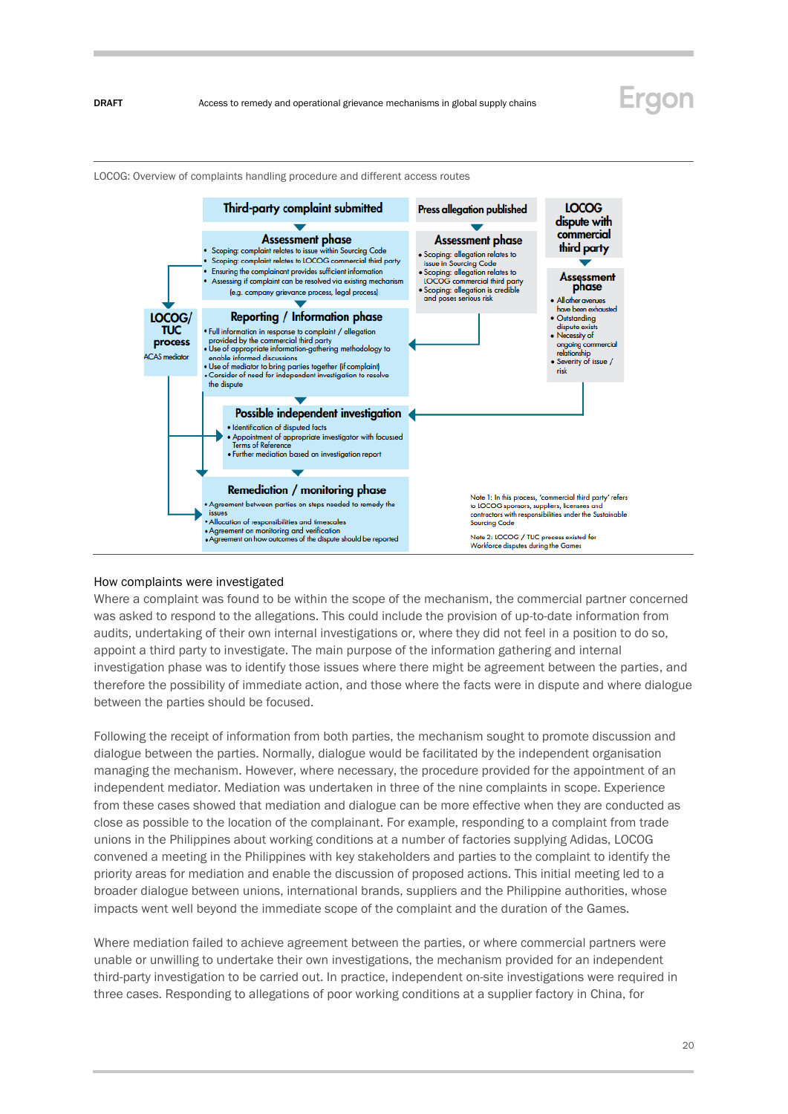

LOCOG: Overview of complaints handling procedure and different access routes

#### How complaints were investigated

Where a complaint was found to be within the scope of the mechanism, the commercial partner concerned was asked to respond to the allegations. This could include the provision of up-to-date information from audits, undertaking of their own internal investigations or, where they did not feel in a position to do so, appoint a third party to investigate. The main purpose of the information gathering and internal investigation phase was to identify those issues where there might be agreement between the parties, and therefore the possibility of immediate action, and those where the facts were in dispute and where dialogue between the parties should be focused.

Following the receipt of information from both parties, the mechanism sought to promote discussion and dialogue between the parties. Normally, dialogue would be facilitated by the independent organisation managing the mechanism. However, where necessary, the procedure provided for the appointment of an independent mediator. Mediation was undertaken in three of the nine complaints in scope. Experience from these cases showed that mediation and dialogue can be more effective when they are conducted as close as possible to the location of the complainant. For example, responding to a complaint from trade unions in the Philippines about working conditions at a number of factories supplying Adidas, LOCOG convened a meeting in the Philippines with key stakeholders and parties to the complaint to identify the priority areas for mediation and enable the discussion of proposed actions. This initial meeting led to a broader dialogue between unions, international brands, suppliers and the Philippine authorities, whose impacts went well beyond the immediate scope of the complaint and the duration of the Games.

Where mediation failed to achieve agreement between the parties, or where commercial partners were unable or unwilling to undertake their own investigations, the mechanism provided for an independent third-party investigation to be carried out. In practice, independent on-site investigations were required in three cases. Responding to allegations of poor working conditions at a supplier factory in China, for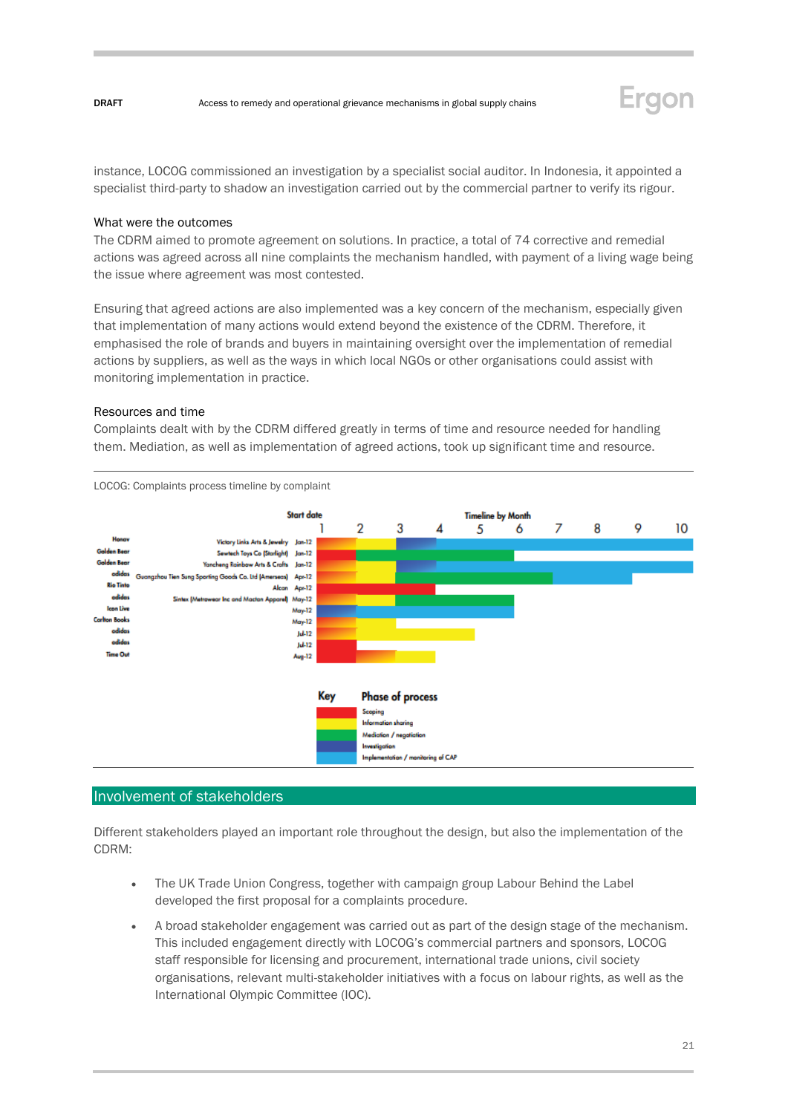

instance, LOCOG commissioned an investigation by a specialist social auditor. In Indonesia, it appointed a specialist third-party to shadow an investigation carried out by the commercial partner to verify its rigour.

#### What were the outcomes

The CDRM aimed to promote agreement on solutions. In practice, a total of 74 corrective and remedial actions was agreed across all nine complaints the mechanism handled, with payment of a living wage being the issue where agreement was most contested.

Ensuring that agreed actions are also implemented was a key concern of the mechanism, especially given that implementation of many actions would extend beyond the existence of the CDRM. Therefore, it emphasised the role of brands and buyers in maintaining oversight over the implementation of remedial actions by suppliers, as well as the ways in which local NGOs or other organisations could assist with monitoring implementation in practice.

#### Resources and time

Complaints dealt with by the CDRM differed greatly in terms of time and resource needed for handling them. Mediation, as well as implementation of agreed actions, took up significant time and resource.



#### Involvement of stakeholders

Different stakeholders played an important role throughout the design, but also the implementation of the CDRM:

- The UK Trade Union Congress, together with campaign group Labour Behind the Label developed the first proposal for a complaints procedure.
- A broad stakeholder engagement was carried out as part of the design stage of the mechanism. This included engagement directly with LOCOG's commercial partners and sponsors, LOCOG staff responsible for licensing and procurement, international trade unions, civil society organisations, relevant multi-stakeholder initiatives with a focus on labour rights, as well as the International Olympic Committee (IOC).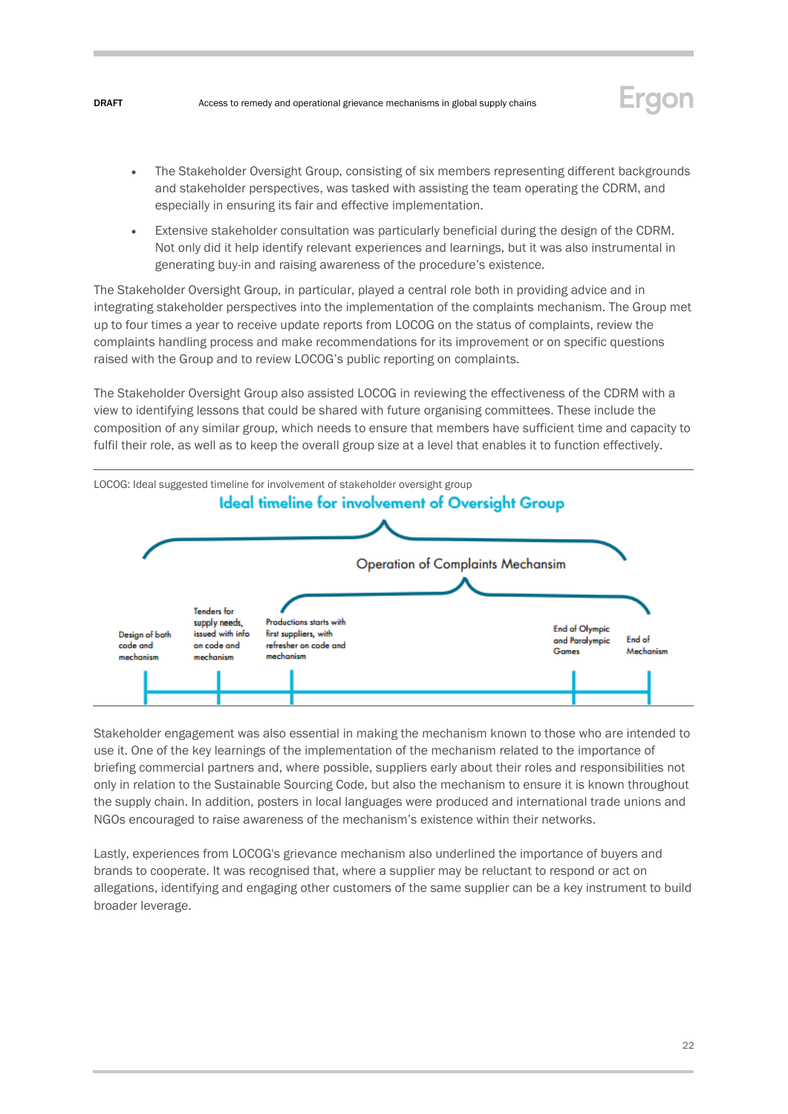

- The Stakeholder Oversight Group, consisting of six members representing different backgrounds and stakeholder perspectives, was tasked with assisting the team operating the CDRM, and especially in ensuring its fair and effective implementation.
- Extensive stakeholder consultation was particularly beneficial during the design of the CDRM. Not only did it help identify relevant experiences and learnings, but it was also instrumental in generating buy-in and raising awareness of the procedure's existence.

The Stakeholder Oversight Group, in particular, played a central role both in providing advice and in integrating stakeholder perspectives into the implementation of the complaints mechanism. The Group met up to four times a year to receive update reports from LOCOG on the status of complaints, review the complaints handling process and make recommendations for its improvement or on specific questions raised with the Group and to review LOCOG's public reporting on complaints.

The Stakeholder Oversight Group also assisted LOCOG in reviewing the effectiveness of the CDRM with a view to identifying lessons that could be shared with future organising committees. These include the composition of any similar group, which needs to ensure that members have sufficient time and capacity to fulfil their role, as well as to keep the overall group size at a level that enables it to function effectively.



Stakeholder engagement was also essential in making the mechanism known to those who are intended to use it. One of the key learnings of the implementation of the mechanism related to the importance of briefing commercial partners and, where possible, suppliers early about their roles and responsibilities not only in relation to the Sustainable Sourcing Code, but also the mechanism to ensure it is known throughout the supply chain. In addition, posters in local languages were produced and international trade unions and NGOs encouraged to raise awareness of the mechanism's existence within their networks.

Lastly, experiences from LOCOG's grievance mechanism also underlined the importance of buyers and brands to cooperate. It was recognised that, where a supplier may be reluctant to respond or act on allegations, identifying and engaging other customers of the same supplier can be a key instrument to build broader leverage.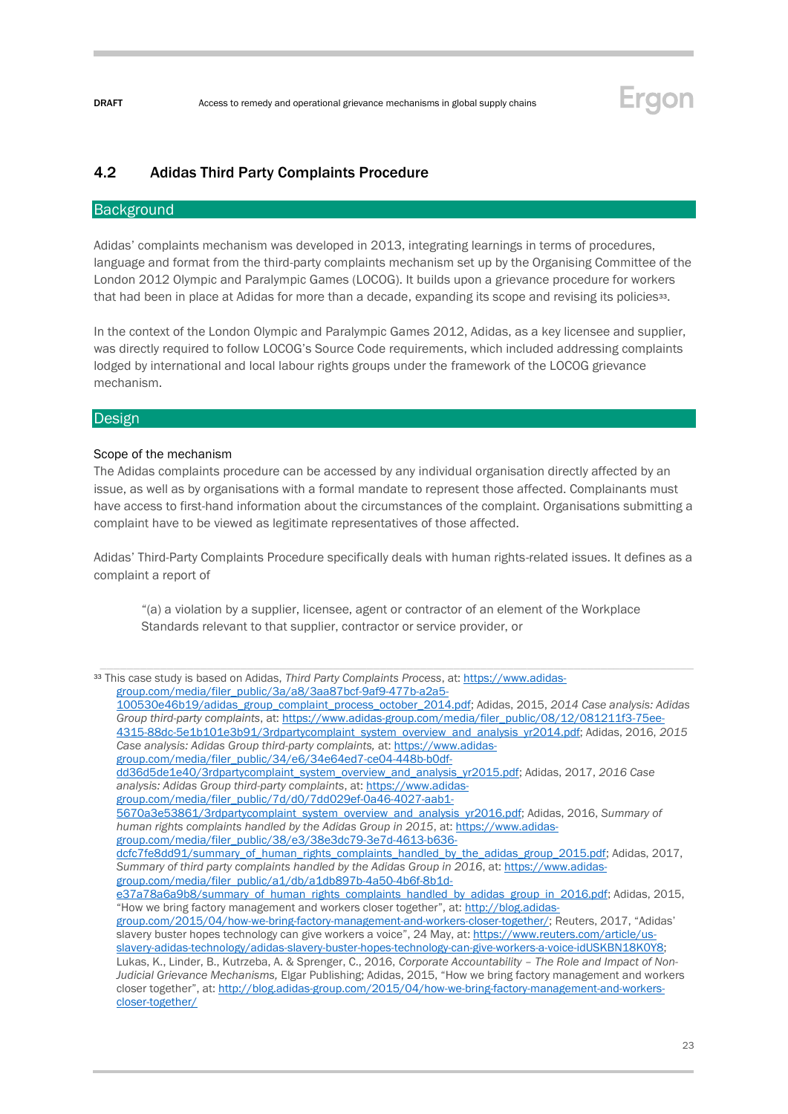

### <span id="page-22-0"></span>4.2 Adidas Third Party Complaints Procedure

#### **Background**

Adidas' complaints mechanism was developed in 2013, integrating learnings in terms of procedures, language and format from the third-party complaints mechanism set up by the Organising Committee of the London 2012 Olympic and Paralympic Games (LOCOG). It builds upon a grievance procedure for workers that had been in place at Adidas for more than a decade, expanding its scope and revising its policies<sup>33</sup>.

In the context of the London Olympic and Paralympic Games 2012, Adidas, as a key licensee and supplier, was directly required to follow LOCOG's Source Code requirements, which included addressing complaints lodged by international and local labour rights groups under the framework of the LOCOG grievance mechanism.

#### **Design**

#### Scope of the mechanism

[closer-together/](http://blog.adidas-group.com/2015/04/how-we-bring-factory-management-and-workers-closer-together/) 

The Adidas complaints procedure can be accessed by any individual organisation directly affected by an issue, as well as by organisations with a formal mandate to represent those affected. Complainants must have access to first-hand information about the circumstances of the complaint. Organisations submitting a complaint have to be viewed as legitimate representatives of those affected.

Adidas' Third-Party Complaints Procedure specifically deals with human rights-related issues. It defines as a complaint a report of

"(a) a violation by a supplier, licensee, agent or contractor of an element of the Workplace Standards relevant to that supplier, contractor or service provider, or

```
group.com/media/filer_public/34/e6/34e64ed7-ce04-448b-b0df-
```

```
dd36d5de1e40/3rdpartycomplaint_system_overview_and_analysis_yr2015.pdf; Adidas, 2017, 2016 Case 
analysis: Adidas Group third-party complaints, at: https://www.adidas-
```

```
group.com/media/filer_public/7d/d0/7dd029ef-0a46-4027-aab1-
```

```
5670a3e53861/3rdpartycomplaint_system_overview_and_analysis_yr2016.pdf; Adidas, 2016, Summary of 
human rights complaints handled by the Adidas Group in 2015, at: https://www.adidas-
```
[group.com/media/filer\\_public/38/e3/38e3dc79-3e7d-4613-b636-](https://www.adidas-group.com/media/filer_public/38/e3/38e3dc79-3e7d-4613-b636-dcfc7fe8dd91/summary_of_human_rights_complaints_handled_by_the_adidas_group_2015.pdf)

<sup>33</sup> This case study is based on Adidas, *Third Party Complaints Process*, at[: https://www.adidas](https://www.adidas-group.com/media/filer_public/3a/a8/3aa87bcf-9af9-477b-a2a5-100530e46b19/adidas_group_complaint_process_october_2014.pdf)[group.com/media/filer\\_public/3a/a8/3aa87bcf-9af9-477b-a2a5-](https://www.adidas-group.com/media/filer_public/3a/a8/3aa87bcf-9af9-477b-a2a5-100530e46b19/adidas_group_complaint_process_october_2014.pdf)

[<sup>100530</sup>e46b19/adidas\\_group\\_complaint\\_process\\_october\\_2014.pdf;](https://www.adidas-group.com/media/filer_public/3a/a8/3aa87bcf-9af9-477b-a2a5-100530e46b19/adidas_group_complaint_process_october_2014.pdf) Adidas, 2015, *2014 Case analysis: Adidas Group third-party complaints*, at[: https://www.adidas-group.com/media/filer\\_public/08/12/081211f3-75ee-](https://www.adidas-group.com/media/filer_public/08/12/081211f3-75ee-4315-88dc-5e1b101e3b91/3rdpartycomplaint_system_overview_and_analysis_yr2014.pdf)[4315-88dc-5e1b101e3b91/3rdpartycomplaint\\_system\\_overview\\_and\\_analysis\\_yr2014.pdf;](https://www.adidas-group.com/media/filer_public/08/12/081211f3-75ee-4315-88dc-5e1b101e3b91/3rdpartycomplaint_system_overview_and_analysis_yr2014.pdf) Adidas, 2016, *2015 Case analysis: Adidas Group third-party complaints,* at[: https://www.adidas-](https://www.adidas-group.com/media/filer_public/34/e6/34e64ed7-ce04-448b-b0df-dd36d5de1e40/3rdpartycomplaint_system_overview_and_analysis_yr2015.pdf)

[dcfc7fe8dd91/summary\\_of\\_human\\_rights\\_complaints\\_handled\\_by\\_the\\_adidas\\_group\\_2015.pdf;](https://www.adidas-group.com/media/filer_public/38/e3/38e3dc79-3e7d-4613-b636-dcfc7fe8dd91/summary_of_human_rights_complaints_handled_by_the_adidas_group_2015.pdf) Adidas, 2017, *Summary of third party complaints handled by the Adidas Group in 2016*, at: [https://www.adidas](https://www.adidas-group.com/media/filer_public/a1/db/a1db897b-4a50-4b6f-8b1d-e37a78a6a9b8/summary_of_human_rights_complaints_handled_by_adidas_group_in_2016.pdf)[group.com/media/filer\\_public/a1/db/a1db897b-4a50-4b6f-8b1d-](https://www.adidas-group.com/media/filer_public/a1/db/a1db897b-4a50-4b6f-8b1d-e37a78a6a9b8/summary_of_human_rights_complaints_handled_by_adidas_group_in_2016.pdf)

[e37a78a6a9b8/summary\\_of\\_human\\_rights\\_complaints\\_handled\\_by\\_adidas\\_group\\_in\\_2016.pdf;](https://www.adidas-group.com/media/filer_public/a1/db/a1db897b-4a50-4b6f-8b1d-e37a78a6a9b8/summary_of_human_rights_complaints_handled_by_adidas_group_in_2016.pdf) Adidas, 2015, "How we bring factory management and workers closer together", at: [http://blog.adidas-](http://blog.adidas-group.com/2015/04/how-we-bring-factory-management-and-workers-closer-together/)

[group.com/2015/04/how-we-bring-factory-management-and-workers-closer-together/;](http://blog.adidas-group.com/2015/04/how-we-bring-factory-management-and-workers-closer-together/) Reuters, 2017, "Adidas' slavery buster hopes technology can give workers a voice", 24 May, at[: https://www.reuters.com/article/us](https://www.reuters.com/article/us-slavery-adidas-technology/adidas-slavery-buster-hopes-technology-can-give-workers-a-voice-idUSKBN18K0Y8)[slavery-adidas-technology/adidas-slavery-buster-hopes-technology-can-give-workers-a-voice-idUSKBN18K0Y8;](https://www.reuters.com/article/us-slavery-adidas-technology/adidas-slavery-buster-hopes-technology-can-give-workers-a-voice-idUSKBN18K0Y8)  Lukas, K., Linder, B., Kutrzeba, A. & Sprenger, C., 2016, *Corporate Accountability – The Role and Impact of Non-Judicial Grievance Mechanisms,* Elgar Publishing; Adidas, 2015, "How we bring factory management and workers closer together", at: [http://blog.adidas-group.com/2015/04/how-we-bring-factory-management-and-workers-](http://blog.adidas-group.com/2015/04/how-we-bring-factory-management-and-workers-closer-together/)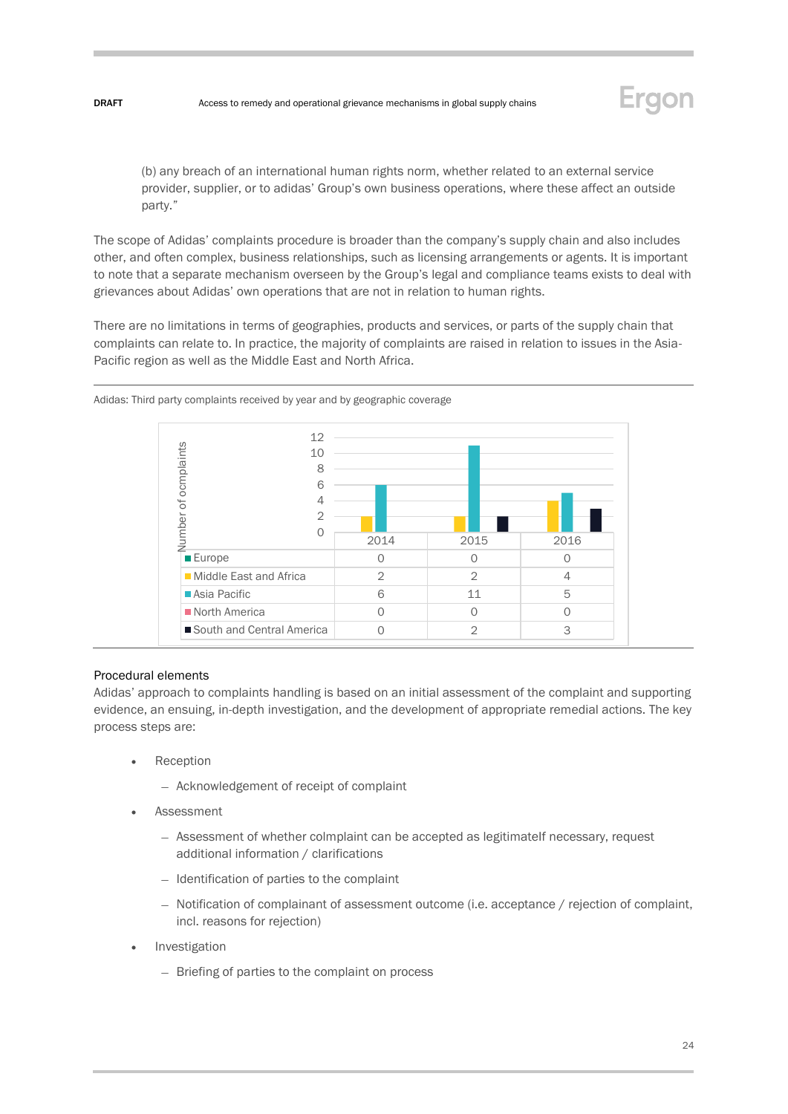

(b) any breach of an international human rights norm, whether related to an external service provider, supplier, or to adidas' Group's own business operations, where these affect an outside party."

The scope of Adidas' complaints procedure is broader than the company's supply chain and also includes other, and often complex, business relationships, such as licensing arrangements or agents. It is important to note that a separate mechanism overseen by the Group's legal and compliance teams exists to deal with grievances about Adidas' own operations that are not in relation to human rights.

There are no limitations in terms of geographies, products and services, or parts of the supply chain that complaints can relate to. In practice, the majority of complaints are raised in relation to issues in the Asia-Pacific region as well as the Middle East and North Africa.



Adidas: Third party complaints received by year and by geographic coverage

#### Procedural elements

Adidas' approach to complaints handling is based on an initial assessment of the complaint and supporting evidence, an ensuing, in-depth investigation, and the development of appropriate remedial actions. The key process steps are:

- **Reception** 
	- Acknowledgement of receipt of complaint
- **Assessment** 
	- Assessment of whether colmplaint can be accepted as legitimateIf necessary, request additional information / clarifications
	- Identification of parties to the complaint
	- Notification of complainant of assessment outcome (i.e. acceptance / rejection of complaint, incl. reasons for rejection)
- **Investigation** 
	- Briefing of parties to the complaint on process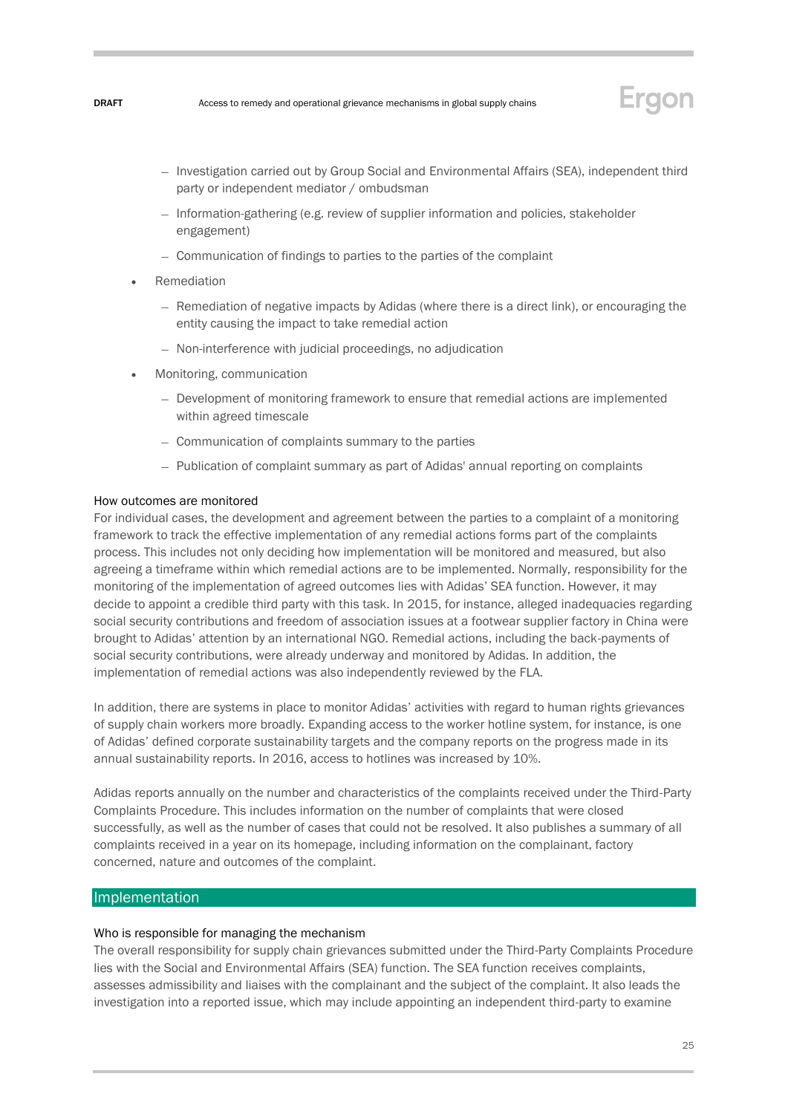

- Investigation carried out by Group Social and Environmental Affairs (SEA), independent third party or independent mediator / ombudsman
- Information-gathering (e.g. review of supplier information and policies, stakeholder engagement)
- Communication of findings to parties to the parties of the complaint
- **Remediation** 
	- Remediation of negative impacts by Adidas (where there is a direct link), or encouraging the entity causing the impact to take remedial action
	- Non-interference with judicial proceedings, no adjudication
- Monitoring, communication
	- Development of monitoring framework to ensure that remedial actions are implemented within agreed timescale
	- Communication of complaints summary to the parties
	- Publication of complaint summary as part of Adidas' annual reporting on complaints

#### How outcomes are monitored

For individual cases, the development and agreement between the parties to a complaint of a monitoring framework to track the effective implementation of any remedial actions forms part of the complaints process. This includes not only deciding how implementation will be monitored and measured, but also agreeing a timeframe within which remedial actions are to be implemented. Normally, responsibility for the monitoring of the implementation of agreed outcomes lies with Adidas' SEA function. However, it may decide to appoint a credible third party with this task. In 2015, for instance, alleged inadequacies regarding social security contributions and freedom of association issues at a footwear supplier factory in China were brought to Adidas' attention by an international NGO. Remedial actions, including the back-payments of social security contributions, were already underway and monitored by Adidas. In addition, the implementation of remedial actions was also independently reviewed by the FLA.

In addition, there are systems in place to monitor Adidas' activities with regard to human rights grievances of supply chain workers more broadly. Expanding access to the worker hotline system, for instance, is one of Adidas' defined corporate sustainability targets and the company reports on the progress made in its annual sustainability reports. In 2016, access to hotlines was increased by 10%.

Adidas reports annually on the number and characteristics of the complaints received under the Third-Party Complaints Procedure. This includes information on the number of complaints that were closed successfully, as well as the number of cases that could not be resolved. It also publishes a summary of all complaints received in a year on its homepage, including information on the complainant, factory concerned, nature and outcomes of the complaint.

#### **Implementation**

#### Who is responsible for managing the mechanism

The overall responsibility for supply chain grievances submitted under the Third-Party Complaints Procedure lies with the Social and Environmental Affairs (SEA) function. The SEA function receives complaints, assesses admissibility and liaises with the complainant and the subject of the complaint. It also leads the investigation into a reported issue, which may include appointing an independent third-party to examine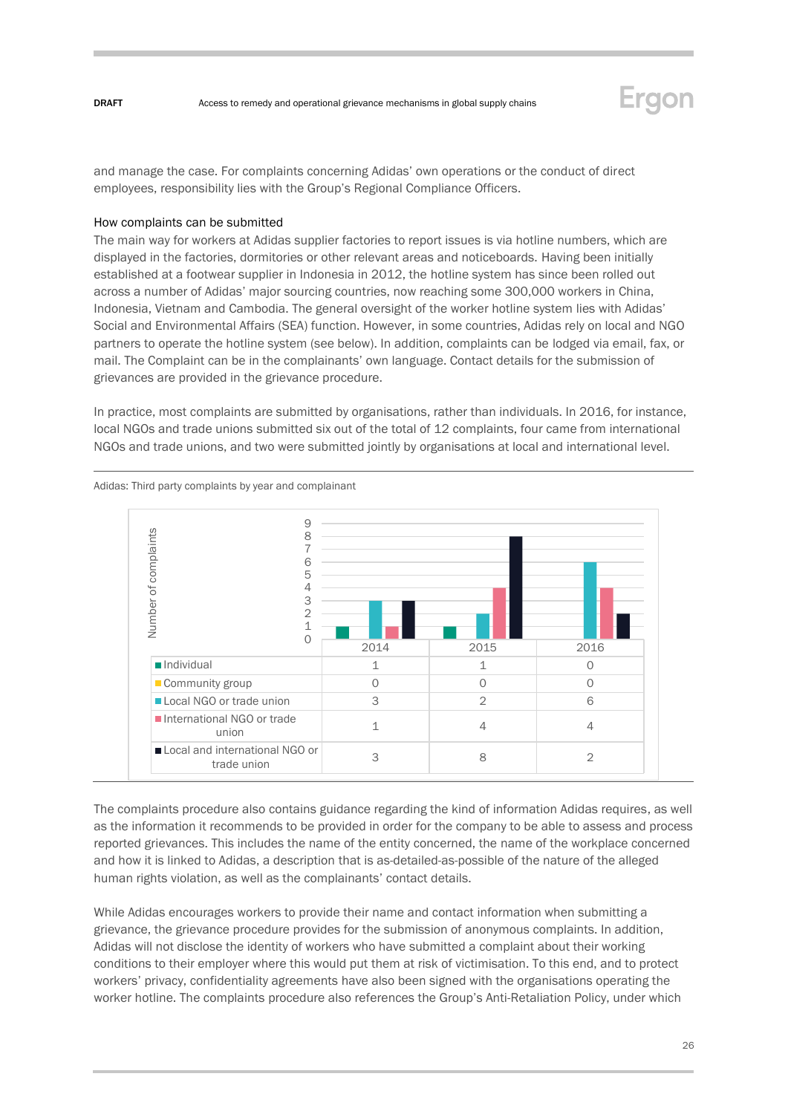

and manage the case. For complaints concerning Adidas' own operations or the conduct of direct employees, responsibility lies with the Group's Regional Compliance Officers.

#### How complaints can be submitted

The main way for workers at Adidas supplier factories to report issues is via hotline numbers, which are displayed in the factories, dormitories or other relevant areas and noticeboards. Having been initially established at a footwear supplier in Indonesia in 2012, the hotline system has since been rolled out across a number of Adidas' major sourcing countries, now reaching some 300,000 workers in China, Indonesia, Vietnam and Cambodia. The general oversight of the worker hotline system lies with Adidas' Social and Environmental Affairs (SEA) function. However, in some countries, Adidas rely on local and NGO partners to operate the hotline system (see below). In addition, complaints can be lodged via email, fax, or mail. The Complaint can be in the complainants' own language. Contact details for the submission of grievances are provided in the grievance procedure.

In practice, most complaints are submitted by organisations, rather than individuals. In 2016, for instance, local NGOs and trade unions submitted six out of the total of 12 complaints, four came from international NGOs and trade unions, and two were submitted jointly by organisations at local and international level.



Adidas: Third party complaints by year and complainant

The complaints procedure also contains guidance regarding the kind of information Adidas requires, as well as the information it recommends to be provided in order for the company to be able to assess and process reported grievances. This includes the name of the entity concerned, the name of the workplace concerned and how it is linked to Adidas, a description that is as-detailed-as-possible of the nature of the alleged human rights violation, as well as the complainants' contact details.

While Adidas encourages workers to provide their name and contact information when submitting a grievance, the grievance procedure provides for the submission of anonymous complaints. In addition, Adidas will not disclose the identity of workers who have submitted a complaint about their working conditions to their employer where this would put them at risk of victimisation. To this end, and to protect workers' privacy, confidentiality agreements have also been signed with the organisations operating the worker hotline. The complaints procedure also references the Group's Anti-Retaliation Policy, under which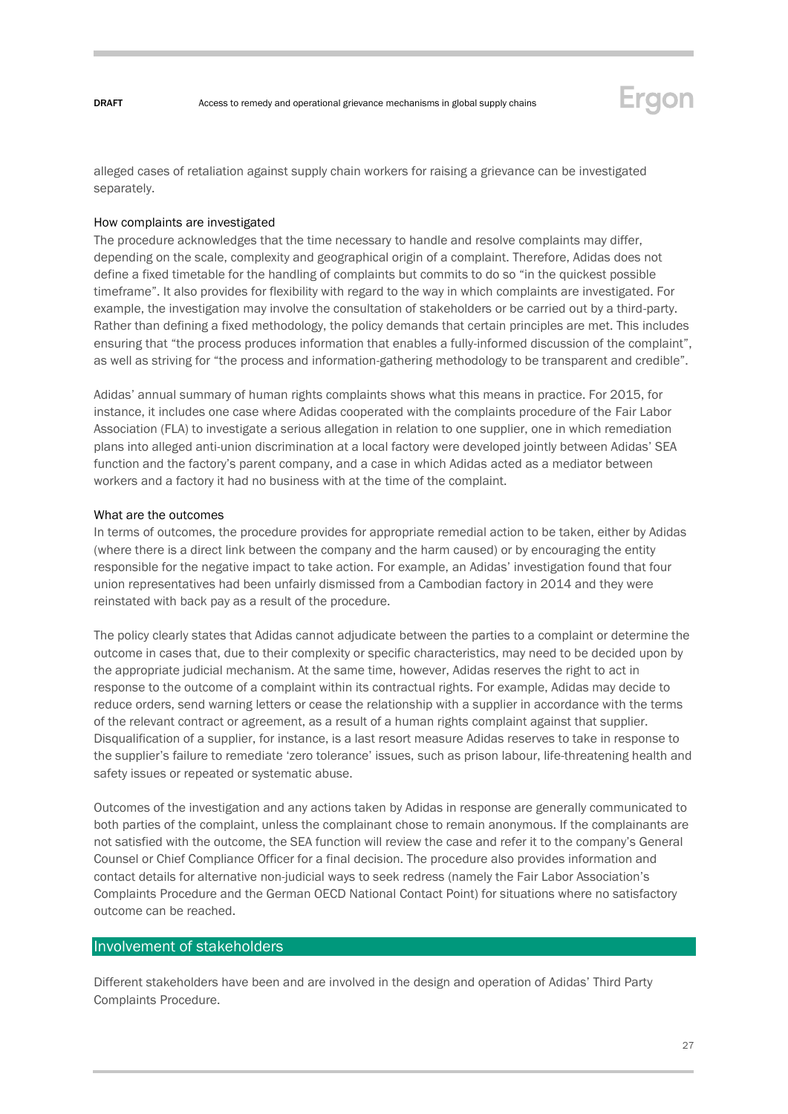

alleged cases of retaliation against supply chain workers for raising a grievance can be investigated separately.

#### How complaints are investigated

The procedure acknowledges that the time necessary to handle and resolve complaints may differ, depending on the scale, complexity and geographical origin of a complaint. Therefore, Adidas does not define a fixed timetable for the handling of complaints but commits to do so "in the quickest possible timeframe". It also provides for flexibility with regard to the way in which complaints are investigated. For example, the investigation may involve the consultation of stakeholders or be carried out by a third-party. Rather than defining a fixed methodology, the policy demands that certain principles are met. This includes ensuring that "the process produces information that enables a fully-informed discussion of the complaint", as well as striving for "the process and information-gathering methodology to be transparent and credible".

Adidas' annual summary of human rights complaints shows what this means in practice. For 2015, for instance, it includes one case where Adidas cooperated with the complaints procedure of the Fair Labor Association (FLA) to investigate a serious allegation in relation to one supplier, one in which remediation plans into alleged anti-union discrimination at a local factory were developed jointly between Adidas' SEA function and the factory's parent company, and a case in which Adidas acted as a mediator between workers and a factory it had no business with at the time of the complaint.

#### What are the outcomes

In terms of outcomes, the procedure provides for appropriate remedial action to be taken, either by Adidas (where there is a direct link between the company and the harm caused) or by encouraging the entity responsible for the negative impact to take action. For example, an Adidas' investigation found that four union representatives had been unfairly dismissed from a Cambodian factory in 2014 and they were reinstated with back pay as a result of the procedure.

The policy clearly states that Adidas cannot adjudicate between the parties to a complaint or determine the outcome in cases that, due to their complexity or specific characteristics, may need to be decided upon by the appropriate judicial mechanism. At the same time, however, Adidas reserves the right to act in response to the outcome of a complaint within its contractual rights. For example, Adidas may decide to reduce orders, send warning letters or cease the relationship with a supplier in accordance with the terms of the relevant contract or agreement, as a result of a human rights complaint against that supplier. Disqualification of a supplier, for instance, is a last resort measure Adidas reserves to take in response to the supplier's failure to remediate 'zero tolerance' issues, such as prison labour, life-threatening health and safety issues or repeated or systematic abuse.

Outcomes of the investigation and any actions taken by Adidas in response are generally communicated to both parties of the complaint, unless the complainant chose to remain anonymous. If the complainants are not satisfied with the outcome, the SEA function will review the case and refer it to the company's General Counsel or Chief Compliance Officer for a final decision. The procedure also provides information and contact details for alternative non-judicial ways to seek redress (namely the Fair Labor Association's Complaints Procedure and the German OECD National Contact Point) for situations where no satisfactory outcome can be reached.

### Involvement of stakeholders

Different stakeholders have been and are involved in the design and operation of Adidas' Third Party Complaints Procedure.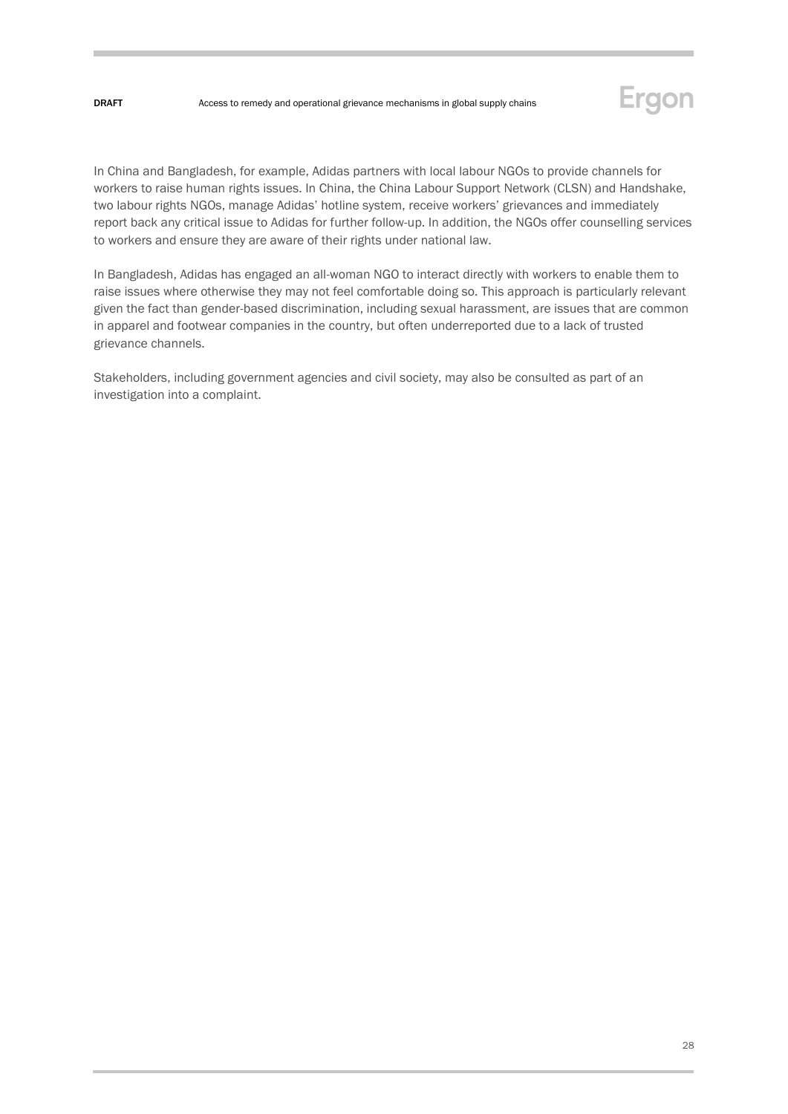

In China and Bangladesh, for example, Adidas partners with local labour NGOs to provide channels for workers to raise human rights issues. In China, the China Labour Support Network (CLSN) and Handshake, two labour rights NGOs, manage Adidas' hotline system, receive workers' grievances and immediately report back any critical issue to Adidas for further follow-up. In addition, the NGOs offer counselling services to workers and ensure they are aware of their rights under national law.

In Bangladesh, Adidas has engaged an all-woman NGO to interact directly with workers to enable them to raise issues where otherwise they may not feel comfortable doing so. This approach is particularly relevant given the fact than gender-based discrimination, including sexual harassment, are issues that are common in apparel and footwear companies in the country, but often underreported due to a lack of trusted grievance channels.

Stakeholders, including government agencies and civil society, may also be consulted as part of an investigation into a complaint.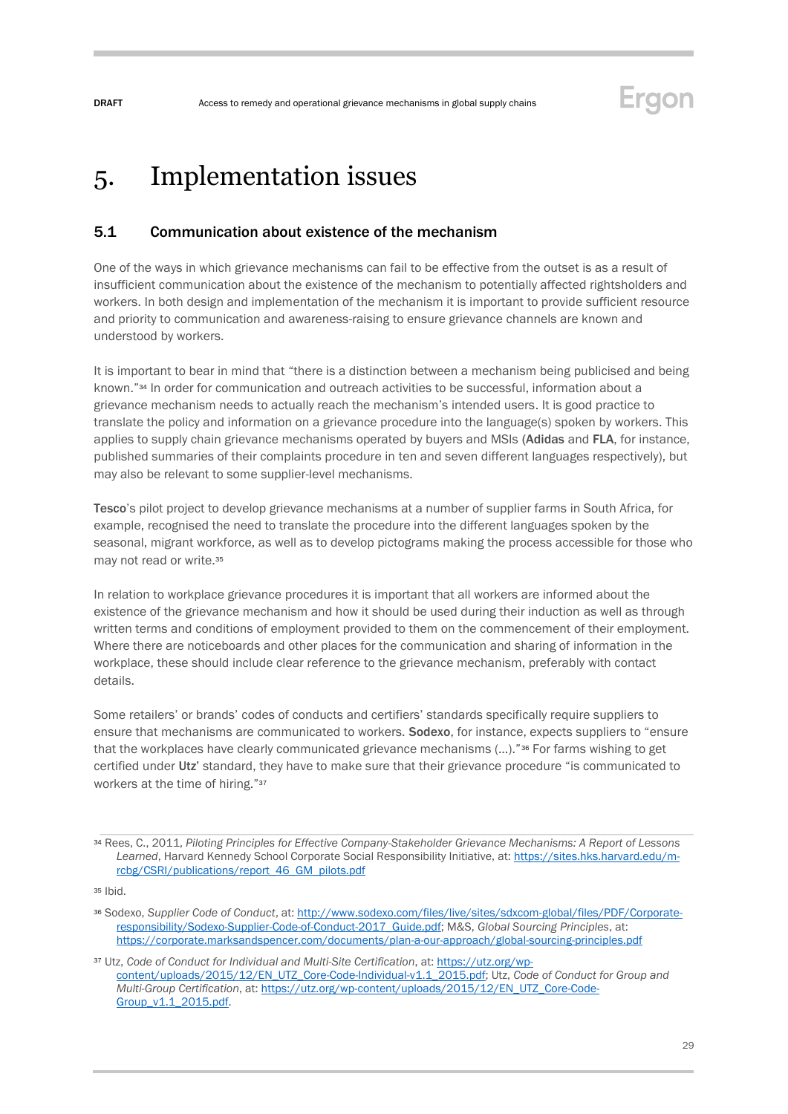# <span id="page-28-0"></span>5. Implementation issues

## <span id="page-28-1"></span>5.1 Communication about existence of the mechanism

One of the ways in which grievance mechanisms can fail to be effective from the outset is as a result of insufficient communication about the existence of the mechanism to potentially affected rightsholders and workers. In both design and implementation of the mechanism it is important to provide sufficient resource and priority to communication and awareness-raising to ensure grievance channels are known and understood by workers.

It is important to bear in mind that "there is a distinction between a mechanism being publicised and being known." <sup>34</sup> In order for communication and outreach activities to be successful, information about a grievance mechanism needs to actually reach the mechanism's intended users. It is good practice to translate the policy and information on a grievance procedure into the language(s) spoken by workers. This applies to supply chain grievance mechanisms operated by buyers and MSIs (Adidas and FLA, for instance, published summaries of their complaints procedure in ten and seven different languages respectively), but may also be relevant to some supplier-level mechanisms.

Tesco's pilot project to develop grievance mechanisms at a number of supplier farms in South Africa, for example, recognised the need to translate the procedure into the different languages spoken by the seasonal, migrant workforce, as well as to develop pictograms making the process accessible for those who may not read or write.<sup>35</sup>

In relation to workplace grievance procedures it is important that all workers are informed about the existence of the grievance mechanism and how it should be used during their induction as well as through written terms and conditions of employment provided to them on the commencement of their employment. Where there are noticeboards and other places for the communication and sharing of information in the workplace, these should include clear reference to the grievance mechanism, preferably with contact details.

Some retailers' or brands' codes of conducts and certifiers' standards specifically require suppliers to ensure that mechanisms are communicated to workers. Sodexo, for instance, expects suppliers to "ensure that the workplaces have clearly communicated grievance mechanisms (...)."<sup>36</sup> For farms wishing to get certified under Utz' standard, they have to make sure that their grievance procedure "is communicated to workers at the time of hiring."<sup>37</sup>

Ergon

<sup>34</sup> Rees, C., 2011, *Piloting Principles for Effective Company-Stakeholder Grievance Mechanisms: A Report of Lessons Learned*, Harvard Kennedy School Corporate Social Responsibility Initiative, at[: https://sites.hks.harvard.edu/m](https://sites.hks.harvard.edu/m-rcbg/CSRI/publications/report_46_GM_pilots.pdf)[rcbg/CSRI/publications/report\\_46\\_GM\\_pilots.pdf](https://sites.hks.harvard.edu/m-rcbg/CSRI/publications/report_46_GM_pilots.pdf)

<sup>35</sup> Ibid.

<sup>36</sup> Sodexo, *Supplier Code of Conduct*, at[: http://www.sodexo.com/files/live/sites/sdxcom-global/files/PDF/Corporate](http://www.sodexo.com/files/live/sites/sdxcom-global/files/PDF/Corporate-responsibility/Sodexo-Supplier-Code-of-Conduct-2017_Guide.pdf)[responsibility/Sodexo-Supplier-Code-of-Conduct-2017\\_Guide.pdf;](http://www.sodexo.com/files/live/sites/sdxcom-global/files/PDF/Corporate-responsibility/Sodexo-Supplier-Code-of-Conduct-2017_Guide.pdf) M&S, *Global Sourcing Principles*, at: <https://corporate.marksandspencer.com/documents/plan-a-our-approach/global-sourcing-principles.pdf>

<sup>37</sup> Utz, *Code of Conduct for Individual and Multi-Site Certification*, at: [https://utz.org/wp](https://utz.org/wp-content/uploads/2015/12/EN_UTZ_Core-Code-Individual-v1.1_2015.pdf)[content/uploads/2015/12/EN\\_UTZ\\_Core-Code-Individual-v1.1\\_2015.pdf;](https://utz.org/wp-content/uploads/2015/12/EN_UTZ_Core-Code-Individual-v1.1_2015.pdf) Utz, *Code of Conduct for Group and Multi-Group Certification*, at[: https://utz.org/wp-content/uploads/2015/12/EN\\_UTZ\\_Core-Code-](https://utz.org/wp-content/uploads/2015/12/EN_UTZ_Core-Code-Group_v1.1_2015.pdf)[Group\\_v1.1\\_2015.pdf.](https://utz.org/wp-content/uploads/2015/12/EN_UTZ_Core-Code-Group_v1.1_2015.pdf)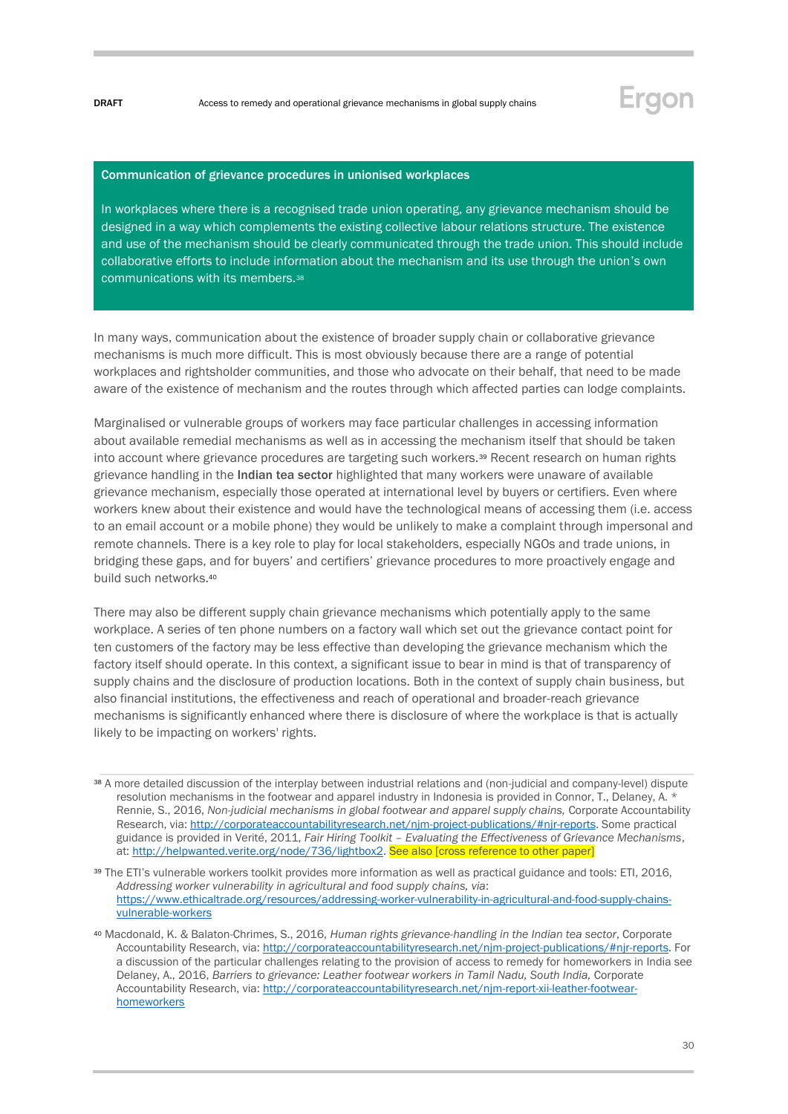## Ergon

#### Communication of grievance procedures in unionised workplaces

In workplaces where there is a recognised trade union operating, any grievance mechanism should be designed in a way which complements the existing collective labour relations structure. The existence and use of the mechanism should be clearly communicated through the trade union. This should include collaborative efforts to include information about the mechanism and its use through the union's own communications with its members.<sup>38</sup>

In many ways, communication about the existence of broader supply chain or collaborative grievance mechanisms is much more difficult. This is most obviously because there are a range of potential workplaces and rightsholder communities, and those who advocate on their behalf, that need to be made aware of the existence of mechanism and the routes through which affected parties can lodge complaints.

Marginalised or vulnerable groups of workers may face particular challenges in accessing information about available remedial mechanisms as well as in accessing the mechanism itself that should be taken into account where grievance procedures are targeting such workers.<sup>39</sup> Recent research on human rights grievance handling in the Indian tea sector highlighted that many workers were unaware of available grievance mechanism, especially those operated at international level by buyers or certifiers. Even where workers knew about their existence and would have the technological means of accessing them (i.e. access to an email account or a mobile phone) they would be unlikely to make a complaint through impersonal and remote channels. There is a key role to play for local stakeholders, especially NGOs and trade unions, in bridging these gaps, and for buyers' and certifiers' grievance procedures to more proactively engage and build such networks.<sup>40</sup>

There may also be different supply chain grievance mechanisms which potentially apply to the same workplace. A series of ten phone numbers on a factory wall which set out the grievance contact point for ten customers of the factory may be less effective than developing the grievance mechanism which the factory itself should operate. In this context, a significant issue to bear in mind is that of transparency of supply chains and the disclosure of production locations. Both in the context of supply chain business, but also financial institutions, the effectiveness and reach of operational and broader-reach grievance mechanisms is significantly enhanced where there is disclosure of where the workplace is that is actually likely to be impacting on workers' rights.

<sup>38</sup> A more detailed discussion of the interplay between industrial relations and (non-judicial and company-level) dispute resolution mechanisms in the footwear and apparel industry in Indonesia is provided in Connor, T., Delaney, A. \* Rennie, S., 2016, *Non-judicial mechanisms in global footwear and apparel supply chains,* Corporate Accountability Research, via[: http://corporateaccountabilityresearch.net/njm-project-publications/#njr-reports.](http://corporateaccountabilityresearch.net/njm-project-publications/#njr-reports) Some practical guidance is provided in Verité, 2011, *Fair Hiring Toolkit – Evaluating the Effectiveness of Grievance Mechanisms*, at: [http://helpwanted.verite.org/node/736/lightbox2.](http://helpwanted.verite.org/node/736/lightbox2) See also [cross reference to other paper]

<sup>39</sup> The ETI's vulnerable workers toolkit provides more information as well as practical guidance and tools: ETI, 2016, *Addressing worker vulnerability in agricultural and food supply chains, via*: [https://www.ethicaltrade.org/resources/addressing-worker-vulnerability-in-agricultural-and-food-supply-chains](https://www.ethicaltrade.org/resources/addressing-worker-vulnerability-in-agricultural-and-food-supply-chains-vulnerable-workers)[vulnerable-workers](https://www.ethicaltrade.org/resources/addressing-worker-vulnerability-in-agricultural-and-food-supply-chains-vulnerable-workers)

<sup>40</sup> Macdonald, K. & Balaton-Chrimes, S., 2016, *Human rights grievance-handling in the Indian tea sector*, Corporate Accountability Research, via[: http://corporateaccountabilityresearch.net/njm-project-publications/#njr-reports.](http://corporateaccountabilityresearch.net/njm-project-publications/#njr-reports) For a discussion of the particular challenges relating to the provision of access to remedy for homeworkers in India see Delaney, A., 2016, *Barriers to grievance: Leather footwear workers in Tamil Nadu, South India, Corporate* Accountability Research, via[: http://corporateaccountabilityresearch.net/njm-report-xii-leather-footwear](http://corporateaccountabilityresearch.net/njm-report-xii-leather-footwear-homeworkers)[homeworkers](http://corporateaccountabilityresearch.net/njm-report-xii-leather-footwear-homeworkers)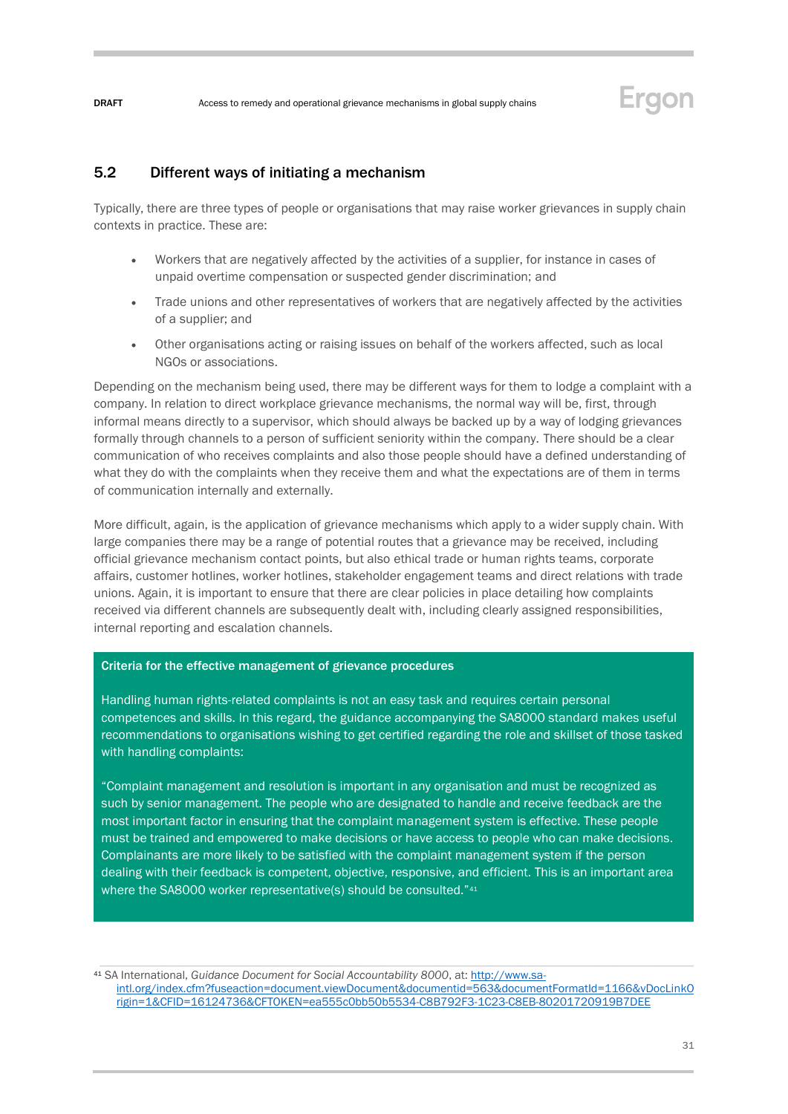<span id="page-30-0"></span>5.2 Different ways of initiating a mechanism

Typically, there are three types of people or organisations that may raise worker grievances in supply chain contexts in practice. These are:

- Workers that are negatively affected by the activities of a supplier, for instance in cases of unpaid overtime compensation or suspected gender discrimination; and
- Trade unions and other representatives of workers that are negatively affected by the activities of a supplier; and
- Other organisations acting or raising issues on behalf of the workers affected, such as local NGOs or associations.

Depending on the mechanism being used, there may be different ways for them to lodge a complaint with a company. In relation to direct workplace grievance mechanisms, the normal way will be, first, through informal means directly to a supervisor, which should always be backed up by a way of lodging grievances formally through channels to a person of sufficient seniority within the company. There should be a clear communication of who receives complaints and also those people should have a defined understanding of what they do with the complaints when they receive them and what the expectations are of them in terms of communication internally and externally.

More difficult, again, is the application of grievance mechanisms which apply to a wider supply chain. With large companies there may be a range of potential routes that a grievance may be received, including official grievance mechanism contact points, but also ethical trade or human rights teams, corporate affairs, customer hotlines, worker hotlines, stakeholder engagement teams and direct relations with trade unions. Again, it is important to ensure that there are clear policies in place detailing how complaints received via different channels are subsequently dealt with, including clearly assigned responsibilities, internal reporting and escalation channels.

#### Criteria for the effective management of grievance procedures

Handling human rights-related complaints is not an easy task and requires certain personal competences and skills. In this regard, the guidance accompanying the SA8000 standard makes useful recommendations to organisations wishing to get certified regarding the role and skillset of those tasked with handling complaints:

"Complaint management and resolution is important in any organisation and must be recognized as such by senior management. The people who are designated to handle and receive feedback are the most important factor in ensuring that the complaint management system is effective. These people must be trained and empowered to make decisions or have access to people who can make decisions. Complainants are more likely to be satisfied with the complaint management system if the person dealing with their feedback is competent, objective, responsive, and efficient. This is an important area where the SA8000 worker representative(s) should be consulted."41

<sup>41</sup> SA International, *Guidance Document for Social Accountability 8000*, at[: http://www.sa](http://www.sa-intl.org/index.cfm?fuseaction=document.viewDocument&documentid=563&documentFormatId=1166&vDocLinkOrigin=1&CFID=16124736&CFTOKEN=ea555c0bb50b5534-C8B792F3-1C23-C8EB-80201720919B7DEE)[intl.org/index.cfm?fuseaction=document.viewDocument&documentid=563&documentFormatId=1166&vDocLinkO](http://www.sa-intl.org/index.cfm?fuseaction=document.viewDocument&documentid=563&documentFormatId=1166&vDocLinkOrigin=1&CFID=16124736&CFTOKEN=ea555c0bb50b5534-C8B792F3-1C23-C8EB-80201720919B7DEE) [rigin=1&CFID=16124736&CFTOKEN=ea555c0bb50b5534-C8B792F3-1C23-C8EB-80201720919B7DEE](http://www.sa-intl.org/index.cfm?fuseaction=document.viewDocument&documentid=563&documentFormatId=1166&vDocLinkOrigin=1&CFID=16124736&CFTOKEN=ea555c0bb50b5534-C8B792F3-1C23-C8EB-80201720919B7DEE)

Ergon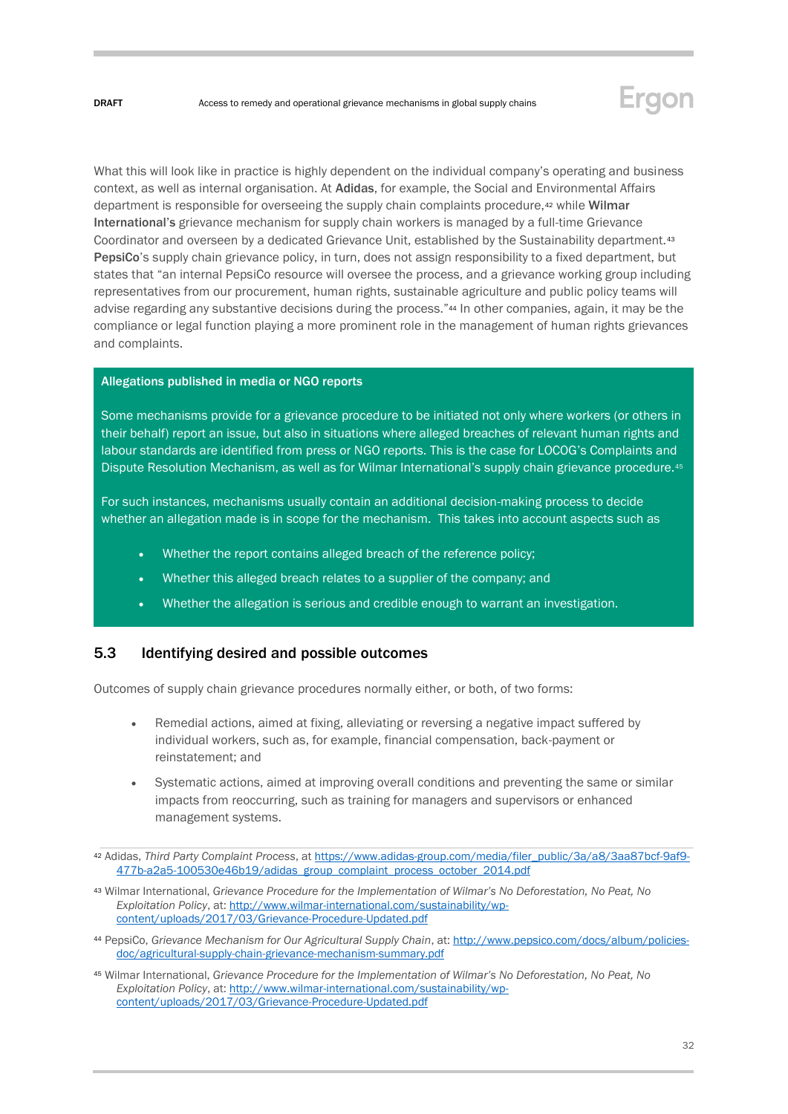

What this will look like in practice is highly dependent on the individual company's operating and business context, as well as internal organisation. At Adidas, for example, the Social and Environmental Affairs department is responsible for overseeing the supply chain complaints procedure,<sup>42</sup> while Wilmar International's grievance mechanism for supply chain workers is managed by a full-time Grievance Coordinator and overseen by a dedicated Grievance Unit, established by the Sustainability department.<sup>43</sup> PepsiCo's supply chain grievance policy, in turn, does not assign responsibility to a fixed department, but states that "an internal PepsiCo resource will oversee the process, and a grievance working group including representatives from our procurement, human rights, sustainable agriculture and public policy teams will advise regarding any substantive decisions during the process."<sup>44</sup> In other companies, again, it may be the compliance or legal function playing a more prominent role in the management of human rights grievances and complaints.

#### Allegations published in media or NGO reports

Some mechanisms provide for a grievance procedure to be initiated not only where workers (or others in their behalf) report an issue, but also in situations where alleged breaches of relevant human rights and labour standards are identified from press or NGO reports. This is the case for LOCOG's Complaints and Dispute Resolution Mechanism, as well as for Wilmar International's supply chain grievance procedure.<sup>45</sup>

For such instances, mechanisms usually contain an additional decision-making process to decide whether an allegation made is in scope for the mechanism. This takes into account aspects such as

- Whether the report contains alleged breach of the reference policy:
- Whether this alleged breach relates to a supplier of the company; and
- Whether the allegation is serious and credible enough to warrant an investigation.

### <span id="page-31-0"></span>5.3 Identifying desired and possible outcomes

Outcomes of supply chain grievance procedures normally either, or both, of two forms:

- Remedial actions, aimed at fixing, alleviating or reversing a negative impact suffered by individual workers, such as, for example, financial compensation, back-payment or reinstatement; and
- Systematic actions, aimed at improving overall conditions and preventing the same or similar impacts from reoccurring, such as training for managers and supervisors or enhanced management systems.

<sup>42</sup> Adidas, *Third Party Complaint Process*, a[t https://www.adidas-group.com/media/filer\\_public/3a/a8/3aa87bcf-9af9-](https://www.adidas-group.com/media/filer_public/3a/a8/3aa87bcf-9af9-477b-a2a5-100530e46b19/adidas_group_complaint_process_october_2014.pdf) [477b-a2a5-100530e46b19/adidas\\_group\\_complaint\\_process\\_october\\_2014.pdf](https://www.adidas-group.com/media/filer_public/3a/a8/3aa87bcf-9af9-477b-a2a5-100530e46b19/adidas_group_complaint_process_october_2014.pdf)

<sup>43</sup> Wilmar International, *Grievance Procedure for the Implementation of Wilmar's No Deforestation, No Peat, No Exploitation Policy*, at[: http://www.wilmar-international.com/sustainability/wp](http://www.wilmar-international.com/sustainability/wp-content/uploads/2017/03/Grievance-Procedure-Updated.pdf)[content/uploads/2017/03/Grievance-Procedure-Updated.pdf](http://www.wilmar-international.com/sustainability/wp-content/uploads/2017/03/Grievance-Procedure-Updated.pdf)

<sup>44</sup> PepsiCo, *Grievance Mechanism for Our Agricultural Supply Chain*, at[: http://www.pepsico.com/docs/album/policies](http://www.pepsico.com/docs/album/policies-doc/agricultural-supply-chain-grievance-mechanism-summary.pdf)[doc/agricultural-supply-chain-grievance-mechanism-summary.pdf](http://www.pepsico.com/docs/album/policies-doc/agricultural-supply-chain-grievance-mechanism-summary.pdf)

<sup>45</sup> Wilmar International, *Grievance Procedure for the Implementation of Wilmar's No Deforestation, No Peat, No Exploitation Policy*, at[: http://www.wilmar-international.com/sustainability/wp](http://www.wilmar-international.com/sustainability/wp-content/uploads/2017/03/Grievance-Procedure-Updated.pdf)[content/uploads/2017/03/Grievance-Procedure-Updated.pdf](http://www.wilmar-international.com/sustainability/wp-content/uploads/2017/03/Grievance-Procedure-Updated.pdf)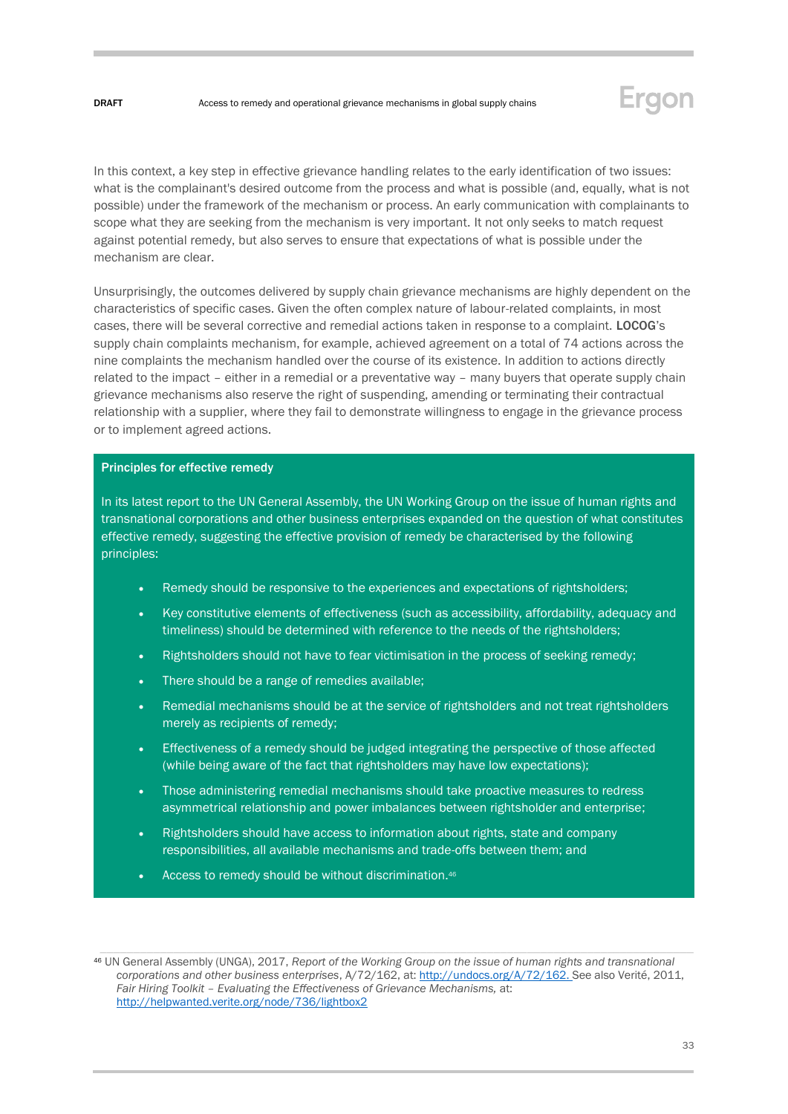

In this context, a key step in effective grievance handling relates to the early identification of two issues: what is the complainant's desired outcome from the process and what is possible (and, equally, what is not possible) under the framework of the mechanism or process. An early communication with complainants to scope what they are seeking from the mechanism is very important. It not only seeks to match request against potential remedy, but also serves to ensure that expectations of what is possible under the mechanism are clear.

Unsurprisingly, the outcomes delivered by supply chain grievance mechanisms are highly dependent on the characteristics of specific cases. Given the often complex nature of labour-related complaints, in most cases, there will be several corrective and remedial actions taken in response to a complaint. LOCOG's supply chain complaints mechanism, for example, achieved agreement on a total of 74 actions across the nine complaints the mechanism handled over the course of its existence. In addition to actions directly related to the impact – either in a remedial or a preventative way – many buyers that operate supply chain grievance mechanisms also reserve the right of suspending, amending or terminating their contractual relationship with a supplier, where they fail to demonstrate willingness to engage in the grievance process or to implement agreed actions.

#### Principles for effective remedy

In its latest report to the UN General Assembly, the UN Working Group on the issue of human rights and transnational corporations and other business enterprises expanded on the question of what constitutes effective remedy, suggesting the effective provision of remedy be characterised by the following principles:

- Remedy should be responsive to the experiences and expectations of rightsholders;
- Key constitutive elements of effectiveness (such as accessibility, affordability, adequacy and timeliness) should be determined with reference to the needs of the rightsholders;
- Rightsholders should not have to fear victimisation in the process of seeking remedy;
- There should be a range of remedies available:
- Remedial mechanisms should be at the service of rightsholders and not treat rightsholders merely as recipients of remedy;
- Effectiveness of a remedy should be judged integrating the perspective of those affected (while being aware of the fact that rightsholders may have low expectations);
- Those administering remedial mechanisms should take proactive measures to redress asymmetrical relationship and power imbalances between rightsholder and enterprise;
- Rightsholders should have access to information about rights, state and company responsibilities, all available mechanisms and trade-offs between them; and
- Access to remedy should be without discrimination.46

<sup>46</sup> UN General Assembly (UNGA), 2017, *Report of the Working Group on the issue of human rights and transnational corporations and other business enterprises*, A/72/162, at: [http://undocs.org/A/72/162.](http://undocs.org/A/72/162) See also Verité, 2011, *Fair Hiring Toolkit – Evaluating the Effectiveness of Grievance Mechanisms,* at: <http://helpwanted.verite.org/node/736/lightbox2>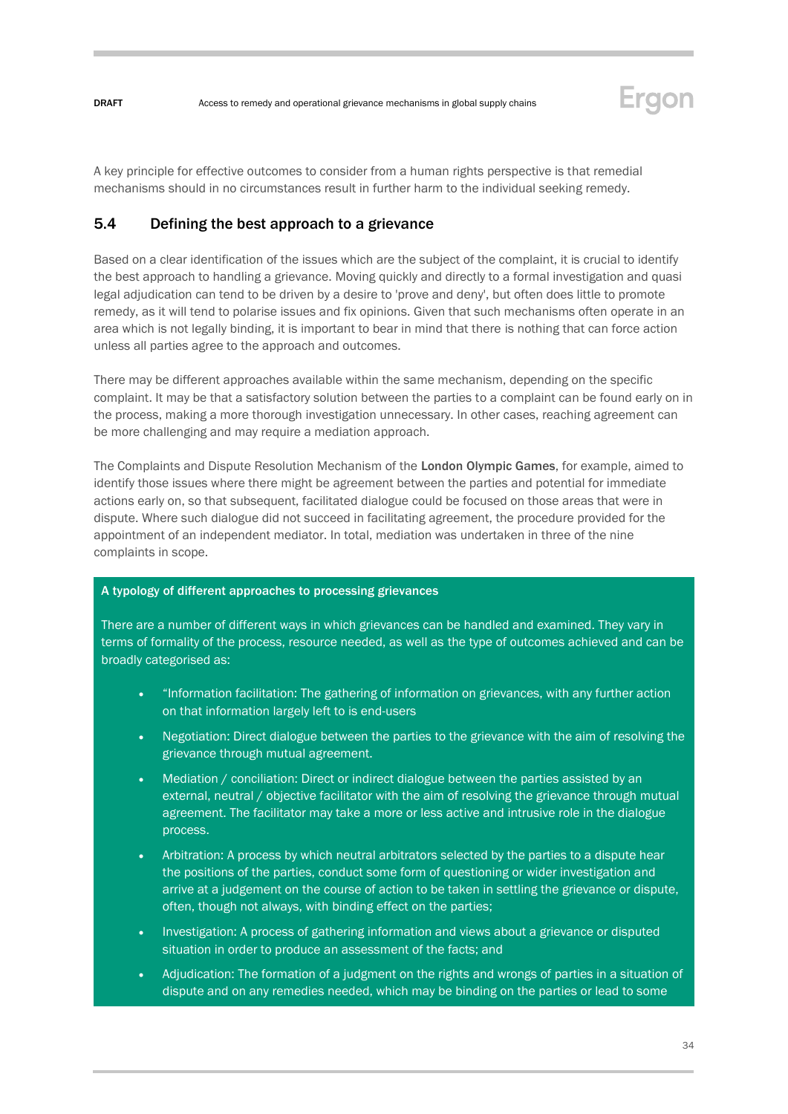

A key principle for effective outcomes to consider from a human rights perspective is that remedial mechanisms should in no circumstances result in further harm to the individual seeking remedy.

### <span id="page-33-0"></span>5.4 Defining the best approach to a grievance

Based on a clear identification of the issues which are the subject of the complaint, it is crucial to identify the best approach to handling a grievance. Moving quickly and directly to a formal investigation and quasi legal adjudication can tend to be driven by a desire to 'prove and deny', but often does little to promote remedy, as it will tend to polarise issues and fix opinions. Given that such mechanisms often operate in an area which is not legally binding, it is important to bear in mind that there is nothing that can force action unless all parties agree to the approach and outcomes.

There may be different approaches available within the same mechanism, depending on the specific complaint. It may be that a satisfactory solution between the parties to a complaint can be found early on in the process, making a more thorough investigation unnecessary. In other cases, reaching agreement can be more challenging and may require a mediation approach.

The Complaints and Dispute Resolution Mechanism of the London Olympic Games, for example, aimed to identify those issues where there might be agreement between the parties and potential for immediate actions early on, so that subsequent, facilitated dialogue could be focused on those areas that were in dispute. Where such dialogue did not succeed in facilitating agreement, the procedure provided for the appointment of an independent mediator. In total, mediation was undertaken in three of the nine complaints in scope.

#### A typology of different approaches to processing grievances

There are a number of different ways in which grievances can be handled and examined. They vary in terms of formality of the process, resource needed, as well as the type of outcomes achieved and can be broadly categorised as:

- "Information facilitation: The gathering of information on grievances, with any further action on that information largely left to is end-users
- Negotiation: Direct dialogue between the parties to the grievance with the aim of resolving the grievance through mutual agreement.
- Mediation / conciliation: Direct or indirect dialogue between the parties assisted by an external, neutral / objective facilitator with the aim of resolving the grievance through mutual agreement. The facilitator may take a more or less active and intrusive role in the dialogue process.
- Arbitration: A process by which neutral arbitrators selected by the parties to a dispute hear the positions of the parties, conduct some form of questioning or wider investigation and arrive at a judgement on the course of action to be taken in settling the grievance or dispute, often, though not always, with binding effect on the parties;
- Investigation: A process of gathering information and views about a grievance or disputed situation in order to produce an assessment of the facts; and
- Adjudication: The formation of a judgment on the rights and wrongs of parties in a situation of dispute and on any remedies needed, which may be binding on the parties or lead to some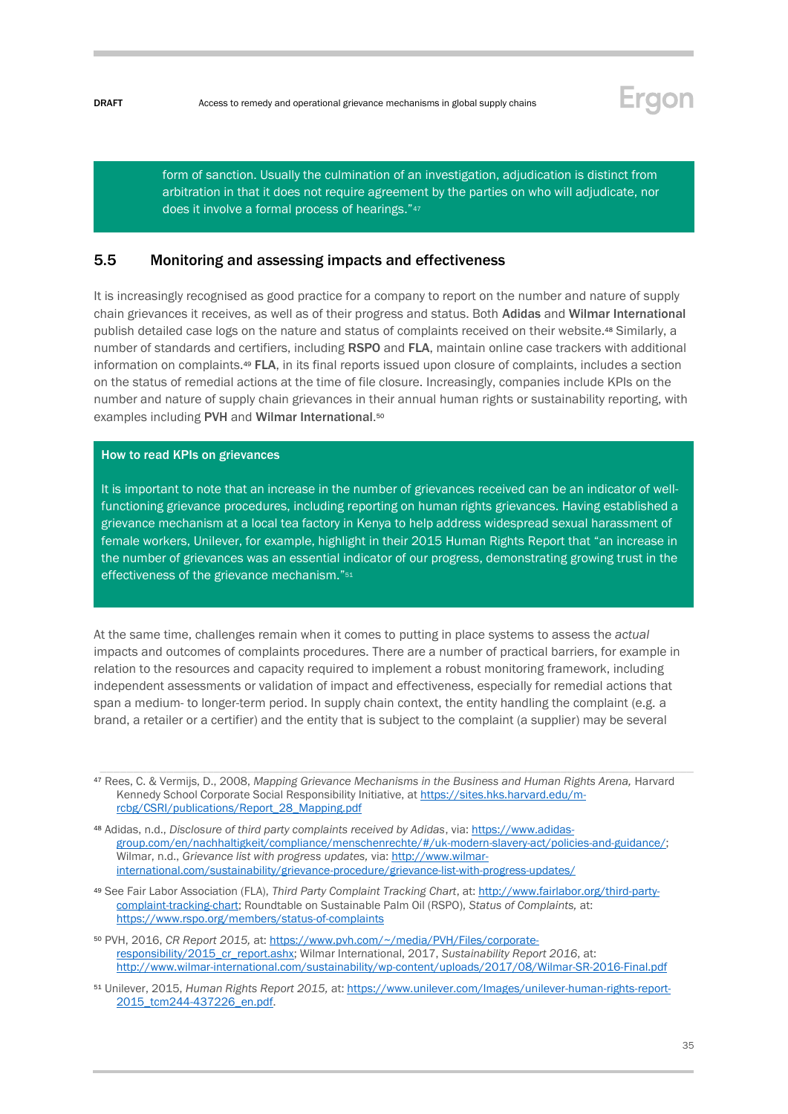

form of sanction. Usually the culmination of an investigation, adjudication is distinct from arbitration in that it does not require agreement by the parties on who will adjudicate, nor does it involve a formal process of hearings."<sup>47</sup>

#### <span id="page-34-0"></span>5.5 Monitoring and assessing impacts and effectiveness

It is increasingly recognised as good practice for a company to report on the number and nature of supply chain grievances it receives, as well as of their progress and status. Both Adidas and Wilmar International publish detailed case logs on the nature and status of complaints received on their website.<sup>48</sup> Similarly, a number of standards and certifiers, including RSPO and FLA, maintain online case trackers with additional information on complaints.<sup>49</sup> FLA, in its final reports issued upon closure of complaints, includes a section on the status of remedial actions at the time of file closure. Increasingly, companies include KPIs on the number and nature of supply chain grievances in their annual human rights or sustainability reporting, with examples including PVH and Wilmar International.<sup>50</sup>

#### How to read KPIs on grievances

It is important to note that an increase in the number of grievances received can be an indicator of wellfunctioning grievance procedures, including reporting on human rights grievances. Having established a grievance mechanism at a local tea factory in Kenya to help address widespread sexual harassment of female workers, Unilever, for example, highlight in their 2015 Human Rights Report that "an increase in the number of grievances was an essential indicator of our progress, demonstrating growing trust in the effectiveness of the grievance mechanism."<sup>51</sup>

At the same time, challenges remain when it comes to putting in place systems to assess the *actual* impacts and outcomes of complaints procedures. There are a number of practical barriers, for example in relation to the resources and capacity required to implement a robust monitoring framework, including independent assessments or validation of impact and effectiveness, especially for remedial actions that span a medium- to longer-term period. In supply chain context, the entity handling the complaint (e.g. a brand, a retailer or a certifier) and the entity that is subject to the complaint (a supplier) may be several

<sup>47</sup> Rees, C. & Vermijs, D., 2008, *Mapping Grievance Mechanisms in the Business and Human Rights Arena,* Harvard Kennedy School Corporate Social Responsibility Initiative, a[t https://sites.hks.harvard.edu/m](https://sites.hks.harvard.edu/m-rcbg/CSRI/publications/Report_28_Mapping.pdf)[rcbg/CSRI/publications/Report\\_28\\_Mapping.pdf](https://sites.hks.harvard.edu/m-rcbg/CSRI/publications/Report_28_Mapping.pdf)

<sup>48</sup> Adidas, n.d., *Disclosure of third party complaints received by Adidas*, via[: https://www.adidas](https://www.adidas-group.com/en/nachhaltigkeit/compliance/menschenrechte/#/uk-modern-slavery-act/policies-and-guidance/)[group.com/en/nachhaltigkeit/compliance/menschenrechte/#/uk-modern-slavery-act/policies-and-guidance/;](https://www.adidas-group.com/en/nachhaltigkeit/compliance/menschenrechte/#/uk-modern-slavery-act/policies-and-guidance/) Wilmar, n.d., *Grievance list with progress updates, via:* [http://www.wilmar](http://www.wilmar-international.com/sustainability/grievance-procedure/grievance-list-with-progress-updates/)[international.com/sustainability/grievance-procedure/grievance-list-with-progress-updates/](http://www.wilmar-international.com/sustainability/grievance-procedure/grievance-list-with-progress-updates/) 

<sup>49</sup> See Fair Labor Association (FLA), *Third Party Complaint Tracking Chart*, at[: http://www.fairlabor.org/third-party](http://www.fairlabor.org/third-party-complaint-tracking-chart)[complaint-tracking-chart;](http://www.fairlabor.org/third-party-complaint-tracking-chart) Roundtable on Sustainable Palm Oil (RSPO), *Status of Complaints,* at: <https://www.rspo.org/members/status-of-complaints>

<sup>50</sup> PVH, 2016, *CR Report 2015,* at[: https://www.pvh.com/~/media/PVH/Files/corporate](https://www.pvh.com/~/media/PVH/Files/corporate-responsibility/2015_cr_report.ashx)[responsibility/2015\\_cr\\_report.ashx;](https://www.pvh.com/~/media/PVH/Files/corporate-responsibility/2015_cr_report.ashx) Wilmar International, 2017, *Sustainability Report 2016*, at: <http://www.wilmar-international.com/sustainability/wp-content/uploads/2017/08/Wilmar-SR-2016-Final.pdf>

<sup>51</sup> Unilever, 2015, *Human Rights Report 2015,* at[: https://www.unilever.com/Images/unilever-human-rights-report-](https://www.unilever.com/Images/unilever-human-rights-report-2015_tcm244-437226_en.pdf)[2015\\_tcm244-437226\\_en.pdf.](https://www.unilever.com/Images/unilever-human-rights-report-2015_tcm244-437226_en.pdf)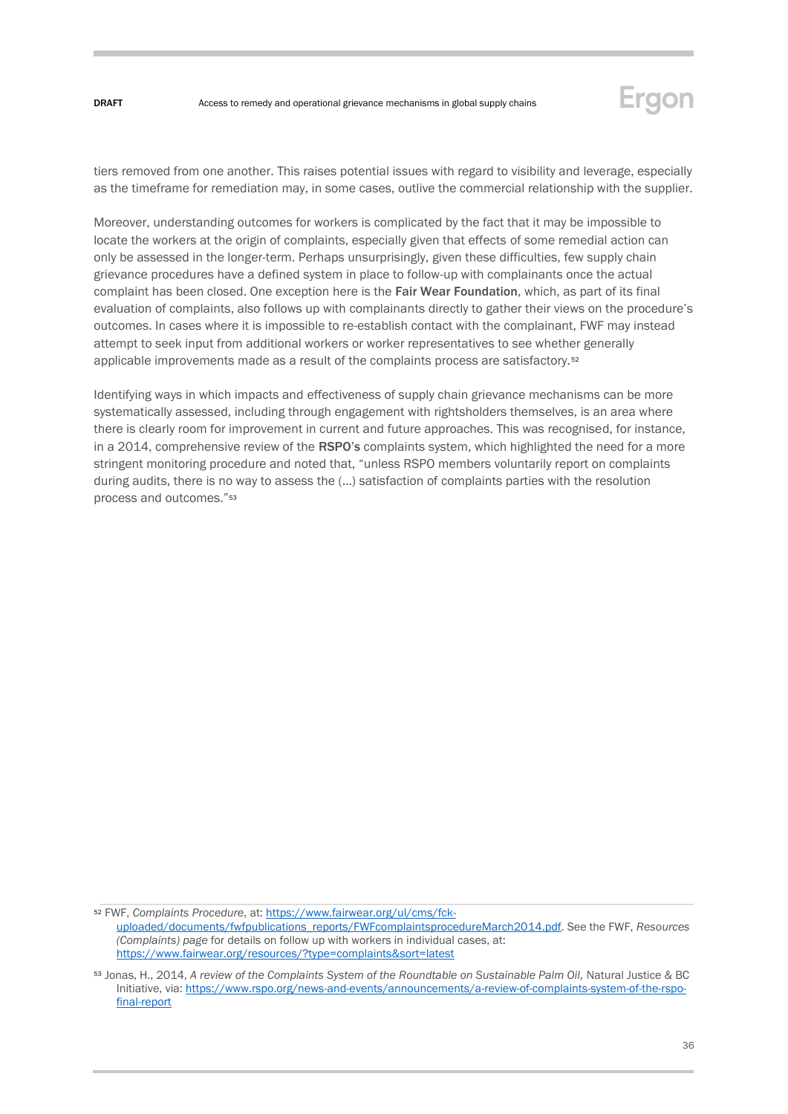

tiers removed from one another. This raises potential issues with regard to visibility and leverage, especially as the timeframe for remediation may, in some cases, outlive the commercial relationship with the supplier.

Moreover, understanding outcomes for workers is complicated by the fact that it may be impossible to locate the workers at the origin of complaints, especially given that effects of some remedial action can only be assessed in the longer-term. Perhaps unsurprisingly, given these difficulties, few supply chain grievance procedures have a defined system in place to follow-up with complainants once the actual complaint has been closed. One exception here is the Fair Wear Foundation, which, as part of its final evaluation of complaints, also follows up with complainants directly to gather their views on the procedure's outcomes. In cases where it is impossible to re-establish contact with the complainant, FWF may instead attempt to seek input from additional workers or worker representatives to see whether generally applicable improvements made as a result of the complaints process are satisfactory.<sup>52</sup>

Identifying ways in which impacts and effectiveness of supply chain grievance mechanisms can be more systematically assessed, including through engagement with rightsholders themselves, is an area where there is clearly room for improvement in current and future approaches. This was recognised, for instance, in a 2014, comprehensive review of the RSPO's complaints system, which highlighted the need for a more stringent monitoring procedure and noted that, "unless RSPO members voluntarily report on complaints during audits, there is no way to assess the (…) satisfaction of complaints parties with the resolution process and outcomes."<sup>53</sup>

<sup>52</sup> FWF, *Complaints Procedure*, at: [https://www.fairwear.org/ul/cms/fck](https://www.fairwear.org/ul/cms/fck-uploaded/documents/fwfpublications_reports/FWFcomplaintsprocedureMarch2014.pdf)[uploaded/documents/fwfpublications\\_reports/FWFcomplaintsprocedureMarch2014.pdf.](https://www.fairwear.org/ul/cms/fck-uploaded/documents/fwfpublications_reports/FWFcomplaintsprocedureMarch2014.pdf) See the FWF, *Resources (Complaints) page* for details on follow up with workers in individual cases, at: <https://www.fairwear.org/resources/?type=complaints&sort=latest>

<sup>53</sup> Jonas, H., 2014, A review of the Complaints System of the Roundtable on Sustainable Palm Oil, Natural Justice & BC Initiative, via[: https://www.rspo.org/news-and-events/announcements/a-review-of-complaints-system-of-the-rspo](https://www.rspo.org/news-and-events/announcements/a-review-of-complaints-system-of-the-rspo-final-report)[final-report](https://www.rspo.org/news-and-events/announcements/a-review-of-complaints-system-of-the-rspo-final-report)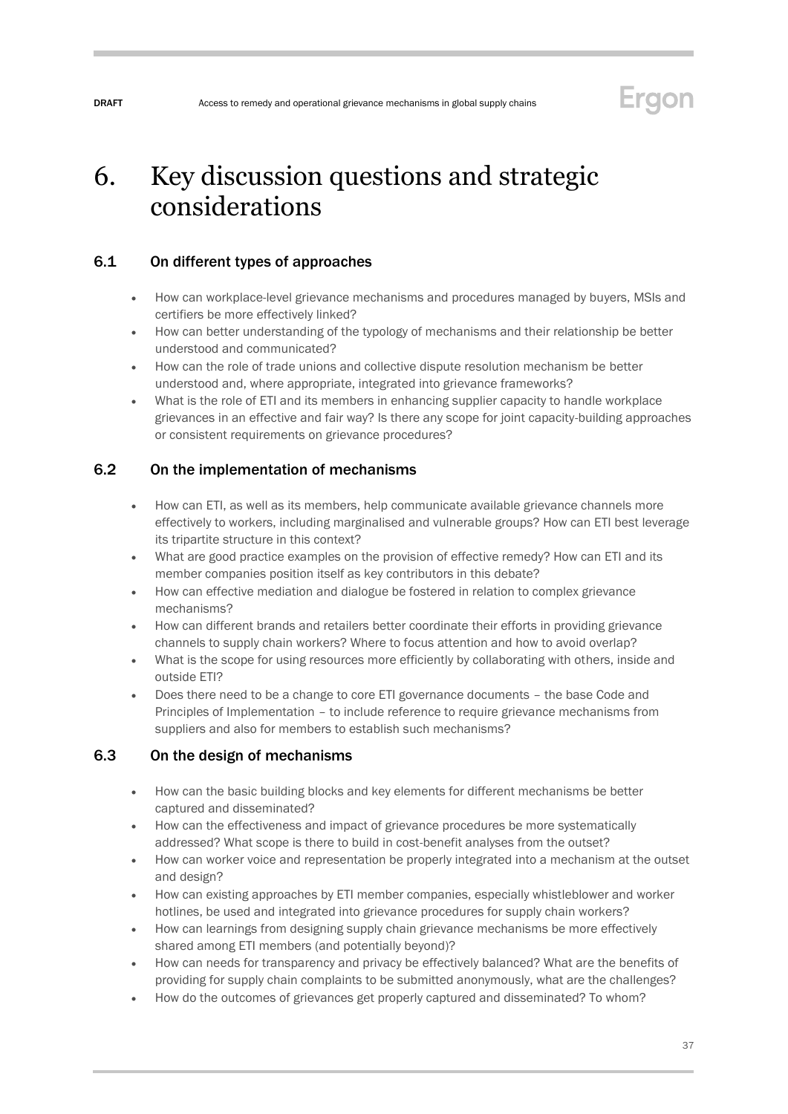## Ergon

# <span id="page-36-0"></span>6. Key discussion questions and strategic considerations

## <span id="page-36-1"></span>6.1 On different types of approaches

- How can workplace-level grievance mechanisms and procedures managed by buyers, MSIs and certifiers be more effectively linked?
- How can better understanding of the typology of mechanisms and their relationship be better understood and communicated?
- How can the role of trade unions and collective dispute resolution mechanism be better understood and, where appropriate, integrated into grievance frameworks?
- What is the role of ETI and its members in enhancing supplier capacity to handle workplace grievances in an effective and fair way? Is there any scope for joint capacity-building approaches or consistent requirements on grievance procedures?

## <span id="page-36-2"></span>6.2 On the implementation of mechanisms

- How can ETI, as well as its members, help communicate available grievance channels more effectively to workers, including marginalised and vulnerable groups? How can ETI best leverage its tripartite structure in this context?
- What are good practice examples on the provision of effective remedy? How can ETI and its member companies position itself as key contributors in this debate?
- How can effective mediation and dialogue be fostered in relation to complex grievance mechanisms?
- How can different brands and retailers better coordinate their efforts in providing grievance channels to supply chain workers? Where to focus attention and how to avoid overlap?
- What is the scope for using resources more efficiently by collaborating with others, inside and outside ETI?
- Does there need to be a change to core ETI governance documents the base Code and Principles of Implementation – to include reference to require grievance mechanisms from suppliers and also for members to establish such mechanisms?

## <span id="page-36-3"></span>6.3 On the design of mechanisms

- How can the basic building blocks and key elements for different mechanisms be better captured and disseminated?
- How can the effectiveness and impact of grievance procedures be more systematically addressed? What scope is there to build in cost-benefit analyses from the outset?
- How can worker voice and representation be properly integrated into a mechanism at the outset and design?
- How can existing approaches by ETI member companies, especially whistleblower and worker hotlines, be used and integrated into grievance procedures for supply chain workers?
- How can learnings from designing supply chain grievance mechanisms be more effectively shared among ETI members (and potentially beyond)?
- How can needs for transparency and privacy be effectively balanced? What are the benefits of providing for supply chain complaints to be submitted anonymously, what are the challenges?
- How do the outcomes of grievances get properly captured and disseminated? To whom?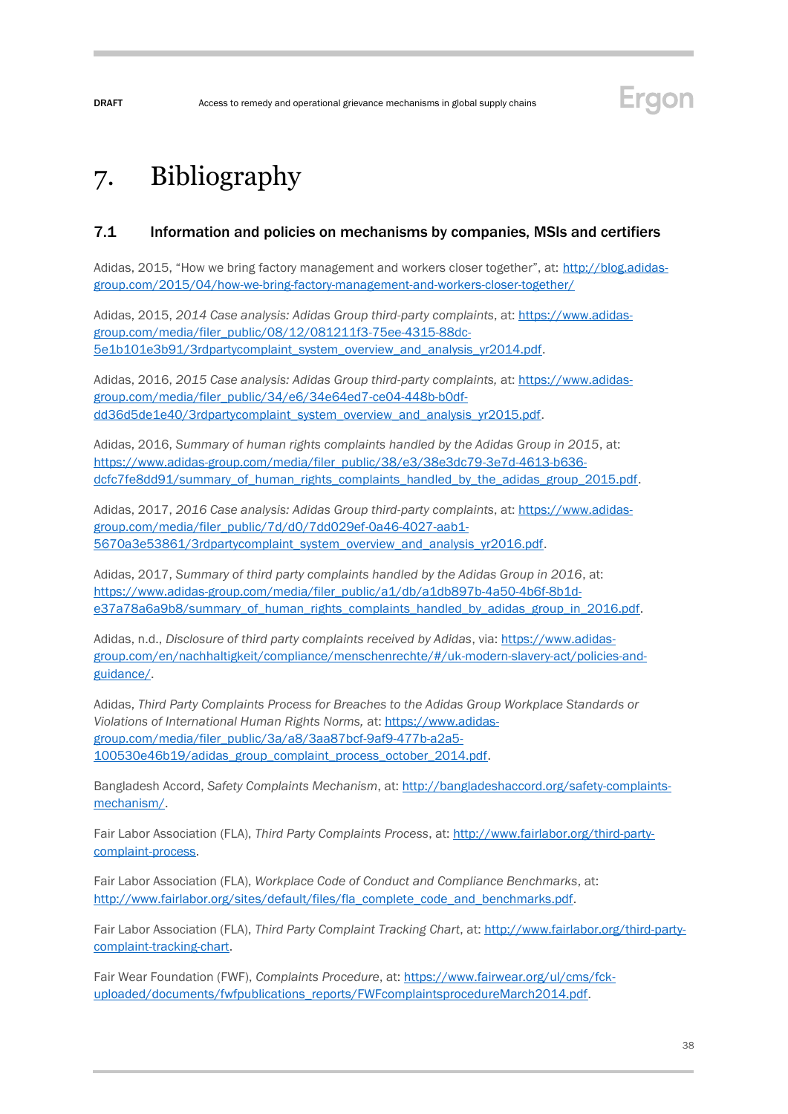# <span id="page-37-0"></span>7. Bibliography

### <span id="page-37-1"></span>7.1 Information and policies on mechanisms by companies, MSIs and certifiers

Adidas, 2015, "How we bring factory management and workers closer together", at: [http://blog.adidas](http://blog.adidas-group.com/2015/04/how-we-bring-factory-management-and-workers-closer-together/)[group.com/2015/04/how-we-bring-factory-management-and-workers-closer-together/](http://blog.adidas-group.com/2015/04/how-we-bring-factory-management-and-workers-closer-together/) 

Adidas, 2015, *2014 Case analysis: Adidas Group third-party complaints*, at: [https://www.adidas](https://www.adidas-group.com/media/filer_public/08/12/081211f3-75ee-4315-88dc-5e1b101e3b91/3rdpartycomplaint_system_overview_and_analysis_yr2014.pdf)[group.com/media/filer\\_public/08/12/081211f3-75ee-4315-88dc-](https://www.adidas-group.com/media/filer_public/08/12/081211f3-75ee-4315-88dc-5e1b101e3b91/3rdpartycomplaint_system_overview_and_analysis_yr2014.pdf)[5e1b101e3b91/3rdpartycomplaint\\_system\\_overview\\_and\\_analysis\\_yr2014.pdf.](https://www.adidas-group.com/media/filer_public/08/12/081211f3-75ee-4315-88dc-5e1b101e3b91/3rdpartycomplaint_system_overview_and_analysis_yr2014.pdf)

Adidas, 2016, *2015 Case analysis: Adidas Group third-party complaints,* at: [https://www.adidas](https://www.adidas-group.com/media/filer_public/34/e6/34e64ed7-ce04-448b-b0df-dd36d5de1e40/3rdpartycomplaint_system_overview_and_analysis_yr2015.pdf)[group.com/media/filer\\_public/34/e6/34e64ed7-ce04-448b-b0df](https://www.adidas-group.com/media/filer_public/34/e6/34e64ed7-ce04-448b-b0df-dd36d5de1e40/3rdpartycomplaint_system_overview_and_analysis_yr2015.pdf)dd36d5de1e40/3rdpartycomplaint\_system\_overview\_and\_analysis\_vr2015.pdf.

Adidas, 2016, *Summary of human rights complaints handled by the Adidas Group in 2015*, at: [https://www.adidas-group.com/media/filer\\_public/38/e3/38e3dc79-3e7d-4613-b636](https://www.adidas-group.com/media/filer_public/38/e3/38e3dc79-3e7d-4613-b636-dcfc7fe8dd91/summary_of_human_rights_complaints_handled_by_the_adidas_group_2015.pdf) [dcfc7fe8dd91/summary\\_of\\_human\\_rights\\_complaints\\_handled\\_by\\_the\\_adidas\\_group\\_2015.pdf.](https://www.adidas-group.com/media/filer_public/38/e3/38e3dc79-3e7d-4613-b636-dcfc7fe8dd91/summary_of_human_rights_complaints_handled_by_the_adidas_group_2015.pdf)

Adidas, 2017, *2016 Case analysis: Adidas Group third-party complaints*, at: [https://www.adidas](https://www.adidas-group.com/media/filer_public/7d/d0/7dd029ef-0a46-4027-aab1-5670a3e53861/3rdpartycomplaint_system_overview_and_analysis_yr2016.pdf)[group.com/media/filer\\_public/7d/d0/7dd029ef-0a46-4027-aab1-](https://www.adidas-group.com/media/filer_public/7d/d0/7dd029ef-0a46-4027-aab1-5670a3e53861/3rdpartycomplaint_system_overview_and_analysis_yr2016.pdf) [5670a3e53861/3rdpartycomplaint\\_system\\_overview\\_and\\_analysis\\_yr2016.pdf.](https://www.adidas-group.com/media/filer_public/7d/d0/7dd029ef-0a46-4027-aab1-5670a3e53861/3rdpartycomplaint_system_overview_and_analysis_yr2016.pdf)

Adidas, 2017, *Summary of third party complaints handled by the Adidas Group in 2016*, at: [https://www.adidas-group.com/media/filer\\_public/a1/db/a1db897b-4a50-4b6f-8b1d](https://www.adidas-group.com/media/filer_public/a1/db/a1db897b-4a50-4b6f-8b1d-e37a78a6a9b8/summary_of_human_rights_complaints_handled_by_adidas_group_in_2016.pdf)[e37a78a6a9b8/summary\\_of\\_human\\_rights\\_complaints\\_handled\\_by\\_adidas\\_group\\_in\\_2016.pdf.](https://www.adidas-group.com/media/filer_public/a1/db/a1db897b-4a50-4b6f-8b1d-e37a78a6a9b8/summary_of_human_rights_complaints_handled_by_adidas_group_in_2016.pdf)

Adidas, n.d., *Disclosure of third party complaints received by Adidas*, via: [https://www.adidas](https://www.adidas-group.com/en/nachhaltigkeit/compliance/menschenrechte/#/uk-modern-slavery-act/policies-and-guidance/)[group.com/en/nachhaltigkeit/compliance/menschenrechte/#/uk-modern-slavery-act/policies-and](https://www.adidas-group.com/en/nachhaltigkeit/compliance/menschenrechte/#/uk-modern-slavery-act/policies-and-guidance/)[guidance/.](https://www.adidas-group.com/en/nachhaltigkeit/compliance/menschenrechte/#/uk-modern-slavery-act/policies-and-guidance/)

Adidas, *Third Party Complaints Process for Breaches to the Adidas Group Workplace Standards or Violations of International Human Rights Norms,* at: [https://www.adidas](https://www.adidas-group.com/media/filer_public/3a/a8/3aa87bcf-9af9-477b-a2a5-100530e46b19/adidas_group_complaint_process_october_2014.pdf)[group.com/media/filer\\_public/3a/a8/3aa87bcf-9af9-477b-a2a5-](https://www.adidas-group.com/media/filer_public/3a/a8/3aa87bcf-9af9-477b-a2a5-100530e46b19/adidas_group_complaint_process_october_2014.pdf) [100530e46b19/adidas\\_group\\_complaint\\_process\\_october\\_2014.pdf.](https://www.adidas-group.com/media/filer_public/3a/a8/3aa87bcf-9af9-477b-a2a5-100530e46b19/adidas_group_complaint_process_october_2014.pdf)

Bangladesh Accord, *Safety Complaints Mechanism*, at: [http://bangladeshaccord.org/safety-complaints](http://bangladeshaccord.org/safety-complaints-mechanism/)[mechanism/.](http://bangladeshaccord.org/safety-complaints-mechanism/)

Fair Labor Association (FLA), *Third Party Complaints Process*, at: [http://www.fairlabor.org/third-party](http://www.fairlabor.org/third-party-complaint-process)[complaint-process.](http://www.fairlabor.org/third-party-complaint-process)

Fair Labor Association (FLA), *Workplace Code of Conduct and Compliance Benchmarks*, at: [http://www.fairlabor.org/sites/default/files/fla\\_complete\\_code\\_and\\_benchmarks.pdf.](http://www.fairlabor.org/sites/default/files/fla_complete_code_and_benchmarks.pdf)

Fair Labor Association (FLA), *Third Party Complaint Tracking Chart*, at: [http://www.fairlabor.org/third-party](http://www.fairlabor.org/third-party-complaint-tracking-chart)[complaint-tracking-chart.](http://www.fairlabor.org/third-party-complaint-tracking-chart) 

Fair Wear Foundation (FWF), *Complaints Procedure*, at: [https://www.fairwear.org/ul/cms/fck](https://www.fairwear.org/ul/cms/fck-uploaded/documents/fwfpublications_reports/FWFcomplaintsprocedureMarch2014.pdf)[uploaded/documents/fwfpublications\\_reports/FWFcomplaintsprocedureMarch2014.pdf.](https://www.fairwear.org/ul/cms/fck-uploaded/documents/fwfpublications_reports/FWFcomplaintsprocedureMarch2014.pdf)

Ergon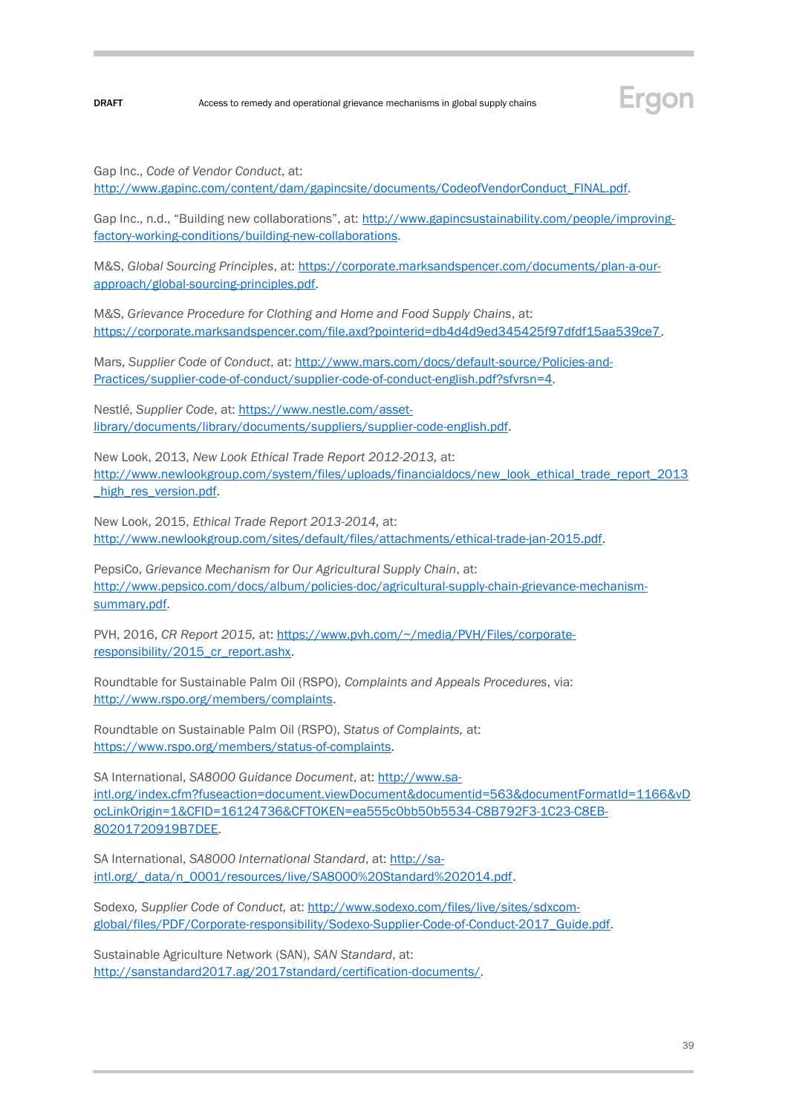

Gap Inc., *Code of Vendor Conduct*, at:

[http://www.gapinc.com/content/dam/gapincsite/documents/CodeofVendorConduct\\_FINAL.pdf.](http://www.gapinc.com/content/dam/gapincsite/documents/CodeofVendorConduct_FINAL.pdf)

Gap Inc., n.d., "Building new collaborations", at: [http://www.gapincsustainability.com/people/improving](http://www.gapincsustainability.com/people/improving-factory-working-conditions/building-new-collaborations)[factory-working-conditions/building-new-collaborations.](http://www.gapincsustainability.com/people/improving-factory-working-conditions/building-new-collaborations)

M&S, *Global Sourcing Principles*, at: [https://corporate.marksandspencer.com/documents/plan-a-our](https://corporate.marksandspencer.com/documents/plan-a-our-approach/global-sourcing-principles.pdf)[approach/global-sourcing-principles.pdf.](https://corporate.marksandspencer.com/documents/plan-a-our-approach/global-sourcing-principles.pdf)

M&S, *Grievance Procedure for Clothing and Home and Food Supply Chains*, at: [https://corporate.marksandspencer.com/file.axd?pointerid=db4d4d9ed345425f97dfdf15aa539ce7.](https://corporate.marksandspencer.com/file.axd?pointerid=db4d4d9ed345425f97dfdf15aa539ce7)

Mars, *Supplier Code of Conduct*, at: [http://www.mars.com/docs/default-source/Policies-and-](http://www.mars.com/docs/default-source/Policies-and-Practices/supplier-code-of-conduct/supplier-code-of-conduct-english.pdf?sfvrsn=4)[Practices/supplier-code-of-conduct/supplier-code-of-conduct-english.pdf?sfvrsn=4.](http://www.mars.com/docs/default-source/Policies-and-Practices/supplier-code-of-conduct/supplier-code-of-conduct-english.pdf?sfvrsn=4) 

Nestlé, *Supplier Code*, at: [https://www.nestle.com/asset](https://www.nestle.com/asset-library/documents/library/documents/suppliers/supplier-code-english.pdf)[library/documents/library/documents/suppliers/supplier-code-english.pdf.](https://www.nestle.com/asset-library/documents/library/documents/suppliers/supplier-code-english.pdf)

New Look, 2013, *New Look Ethical Trade Report 2012-2013,* at: [http://www.newlookgroup.com/system/files/uploads/financialdocs/new\\_look\\_ethical\\_trade\\_report\\_2013](http://www.newlookgroup.com/system/files/uploads/financialdocs/new_look_ethical_trade_report_2013_high_res_version.pdf) high res version.pdf.

New Look, 2015, *Ethical Trade Report 2013-2014,* at: [http://www.newlookgroup.com/sites/default/files/attachments/ethical-trade-jan-2015.pdf.](http://www.newlookgroup.com/sites/default/files/attachments/ethical-trade-jan-2015.pdf)

PepsiCo, *Grievance Mechanism for Our Agricultural Supply Chain*, at: [http://www.pepsico.com/docs/album/policies-doc/agricultural-supply-chain-grievance-mechanism](http://www.pepsico.com/docs/album/policies-doc/agricultural-supply-chain-grievance-mechanism-summary.pdf)[summary.pdf.](http://www.pepsico.com/docs/album/policies-doc/agricultural-supply-chain-grievance-mechanism-summary.pdf)

PVH, 2016, *CR Report 2015,* at: [https://www.pvh.com/~/media/PVH/Files/corporate](https://www.pvh.com/~/media/PVH/Files/corporate-responsibility/2015_cr_report.ashx)[responsibility/2015\\_cr\\_report.ashx.](https://www.pvh.com/~/media/PVH/Files/corporate-responsibility/2015_cr_report.ashx)

Roundtable for Sustainable Palm Oil (RSPO), *Complaints and Appeals Procedures*, via: [http://www.rspo.org/members/complaints.](http://www.rspo.org/members/complaints)

Roundtable on Sustainable Palm Oil (RSPO), *Status of Complaints,* at: [https://www.rspo.org/members/status-of-complaints.](https://www.rspo.org/members/status-of-complaints)

SA International, *SA8000 Guidance Document*, at[: http://www.sa](http://www.sa-intl.org/index.cfm?fuseaction=document.viewDocument&documentid=563&documentFormatId=1166&vDocLinkOrigin=1&CFID=16124736&CFTOKEN=ea555c0bb50b5534-C8B792F3-1C23-C8EB-80201720919B7DEE)[intl.org/index.cfm?fuseaction=document.viewDocument&documentid=563&documentFormatId=1166&vD](http://www.sa-intl.org/index.cfm?fuseaction=document.viewDocument&documentid=563&documentFormatId=1166&vDocLinkOrigin=1&CFID=16124736&CFTOKEN=ea555c0bb50b5534-C8B792F3-1C23-C8EB-80201720919B7DEE) [ocLinkOrigin=1&CFID=16124736&CFTOKEN=ea555c0bb50b5534-C8B792F3-1C23-C8EB-](http://www.sa-intl.org/index.cfm?fuseaction=document.viewDocument&documentid=563&documentFormatId=1166&vDocLinkOrigin=1&CFID=16124736&CFTOKEN=ea555c0bb50b5534-C8B792F3-1C23-C8EB-80201720919B7DEE)[80201720919B7DEE.](http://www.sa-intl.org/index.cfm?fuseaction=document.viewDocument&documentid=563&documentFormatId=1166&vDocLinkOrigin=1&CFID=16124736&CFTOKEN=ea555c0bb50b5534-C8B792F3-1C23-C8EB-80201720919B7DEE)

SA International, *SA8000 International Standard*, at[: http://sa](http://sa-intl.org/_data/n_0001/resources/live/SA8000%20Standard%202014.pdf)[intl.org/\\_data/n\\_0001/resources/live/SA8000%20Standard%202014.pdf.](http://sa-intl.org/_data/n_0001/resources/live/SA8000%20Standard%202014.pdf)

Sodexo*, Supplier Code of Conduct,* at[: http://www.sodexo.com/files/live/sites/sdxcom](http://www.sodexo.com/files/live/sites/sdxcom-global/files/PDF/Corporate-responsibility/Sodexo-Supplier-Code-of-Conduct-2017_Guide.pdf)[global/files/PDF/Corporate-responsibility/Sodexo-Supplier-Code-of-Conduct-2017\\_Guide.pdf.](http://www.sodexo.com/files/live/sites/sdxcom-global/files/PDF/Corporate-responsibility/Sodexo-Supplier-Code-of-Conduct-2017_Guide.pdf)

Sustainable Agriculture Network (SAN), *SAN Standard*, at: [http://sanstandard2017.ag/2017standard/certification-documents/.](http://sanstandard2017.ag/2017standard/certification-documents/)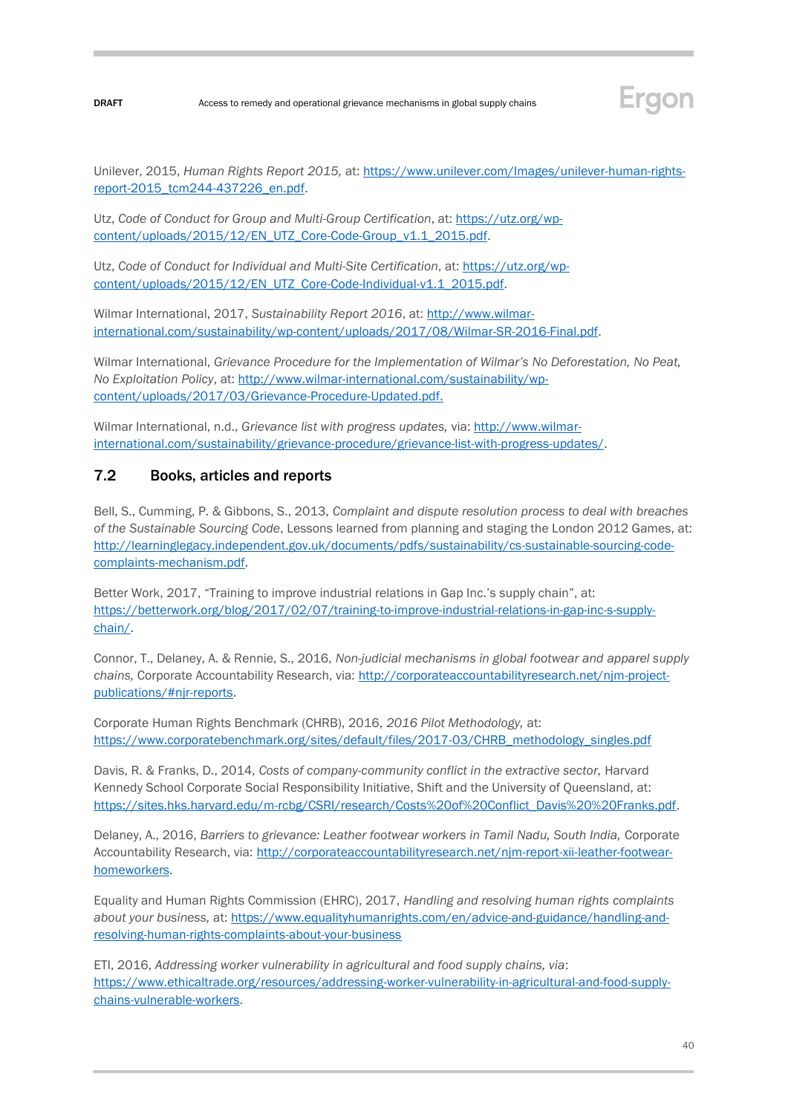

Unilever, 2015, *Human Rights Report 2015,* at: [https://www.unilever.com/Images/unilever-human-rights](https://www.unilever.com/Images/unilever-human-rights-report-2015_tcm244-437226_en.pdf)[report-2015\\_tcm244-437226\\_en.pdf.](https://www.unilever.com/Images/unilever-human-rights-report-2015_tcm244-437226_en.pdf)

Utz, *Code of Conduct for Group and Multi-Group Certification*, at: [https://utz.org/wp](https://utz.org/wp-content/uploads/2015/12/EN_UTZ_Core-Code-Group_v1.1_2015.pdf)[content/uploads/2015/12/EN\\_UTZ\\_Core-Code-Group\\_v1.1\\_2015.pdf.](https://utz.org/wp-content/uploads/2015/12/EN_UTZ_Core-Code-Group_v1.1_2015.pdf)

Utz, *Code of Conduct for Individual and Multi-Site Certification*, at[: https://utz.org/wp](https://utz.org/wp-content/uploads/2015/12/EN_UTZ_Core-Code-Individual-v1.1_2015.pdf)[content/uploads/2015/12/EN\\_UTZ\\_Core-Code-Individual-v1.1\\_2015.pdf.](https://utz.org/wp-content/uploads/2015/12/EN_UTZ_Core-Code-Individual-v1.1_2015.pdf)

Wilmar International, 2017, *Sustainability Report 2016*, at[: http://www.wilmar](http://www.wilmar-international.com/sustainability/wp-content/uploads/2017/08/Wilmar-SR-2016-Final.pdf)[international.com/sustainability/wp-content/uploads/2017/08/Wilmar-SR-2016-Final.pdf.](http://www.wilmar-international.com/sustainability/wp-content/uploads/2017/08/Wilmar-SR-2016-Final.pdf)

Wilmar International, *Grievance Procedure for the Implementation of Wilmar's No Deforestation, No Peat, No Exploitation Policy*, at: [http://www.wilmar-international.com/sustainability/wp](http://www.wilmar-international.com/sustainability/wp-content/uploads/2017/03/Grievance-Procedure-Updated.pdf)[content/uploads/2017/03/Grievance-Procedure-Updated.pdf.](http://www.wilmar-international.com/sustainability/wp-content/uploads/2017/03/Grievance-Procedure-Updated.pdf)

Wilmar International, n.d., *Grievance list with progress updates,* via: [http://www.wilmar](http://www.wilmar-international.com/sustainability/grievance-procedure/grievance-list-with-progress-updates/)[international.com/sustainability/grievance-procedure/grievance-list-with-progress-updates/.](http://www.wilmar-international.com/sustainability/grievance-procedure/grievance-list-with-progress-updates/)

### <span id="page-39-0"></span>7.2 Books, articles and reports

Bell, S., Cumming, P. & Gibbons, S., 2013, *Complaint and dispute resolution process to deal with breaches of the Sustainable Sourcing Code*, Lessons learned from planning and staging the London 2012 Games, at: [http://learninglegacy.independent.gov.uk/documents/pdfs/sustainability/cs-sustainable-sourcing-code](http://learninglegacy.independent.gov.uk/documents/pdfs/sustainability/cs-sustainable-sourcing-code-complaints-mechanism.pdf)[complaints-mechanism.pdf.](http://learninglegacy.independent.gov.uk/documents/pdfs/sustainability/cs-sustainable-sourcing-code-complaints-mechanism.pdf)

Better Work, 2017, "Training to improve industrial relations in Gap Inc.'s supply chain", at: [https://betterwork.org/blog/2017/02/07/training-to-improve-industrial-relations-in-gap-inc-s-supply](https://betterwork.org/blog/2017/02/07/training-to-improve-industrial-relations-in-gap-inc-s-supply-chain/)[chain/.](https://betterwork.org/blog/2017/02/07/training-to-improve-industrial-relations-in-gap-inc-s-supply-chain/)

Connor, T., Delaney, A. & Rennie, S., 2016, *Non-judicial mechanisms in global footwear and apparel supply chains,* Corporate Accountability Research, via: [http://corporateaccountabilityresearch.net/njm-project](http://corporateaccountabilityresearch.net/njm-project-publications/#njr-reports)[publications/#njr-reports.](http://corporateaccountabilityresearch.net/njm-project-publications/#njr-reports)

Corporate Human Rights Benchmark (CHRB), 2016, *2016 Pilot Methodology,* at: [https://www.corporatebenchmark.org/sites/default/files/2017-03/CHRB\\_methodology\\_singles.pdf](https://www.corporatebenchmark.org/sites/default/files/2017-03/CHRB_methodology_singles.pdf)

Davis, R. & Franks, D., 2014, *Costs of company-community conflict in the extractive sector,* Harvard Kennedy School Corporate Social Responsibility Initiative, Shift and the University of Queensland, at: [https://sites.hks.harvard.edu/m-rcbg/CSRI/research/Costs%20of%20Conflict\\_Davis%20%20Franks.pdf.](https://sites.hks.harvard.edu/m-rcbg/CSRI/research/Costs%20of%20Conflict_Davis%20%20Franks.pdf)

Delaney, A., 2016, *Barriers to grievance: Leather footwear workers in Tamil Nadu, South India, Corporate* Accountability Research, via: [http://corporateaccountabilityresearch.net/njm-report-xii-leather-footwear](http://corporateaccountabilityresearch.net/njm-report-xii-leather-footwear-homeworkers)[homeworkers.](http://corporateaccountabilityresearch.net/njm-report-xii-leather-footwear-homeworkers)

Equality and Human Rights Commission (EHRC), 2017, *Handling and resolving human rights complaints about your business,* at[: https://www.equalityhumanrights.com/en/advice-and-guidance/handling-and](https://www.equalityhumanrights.com/en/advice-and-guidance/handling-and-resolving-human-rights-complaints-about-your-business)[resolving-human-rights-complaints-about-your-business](https://www.equalityhumanrights.com/en/advice-and-guidance/handling-and-resolving-human-rights-complaints-about-your-business) 

ETI, 2016, *Addressing worker vulnerability in agricultural and food supply chains, via*: [https://www.ethicaltrade.org/resources/addressing-worker-vulnerability-in-agricultural-and-food-supply](https://www.ethicaltrade.org/resources/addressing-worker-vulnerability-in-agricultural-and-food-supply-chains-vulnerable-workers)[chains-vulnerable-workers.](https://www.ethicaltrade.org/resources/addressing-worker-vulnerability-in-agricultural-and-food-supply-chains-vulnerable-workers)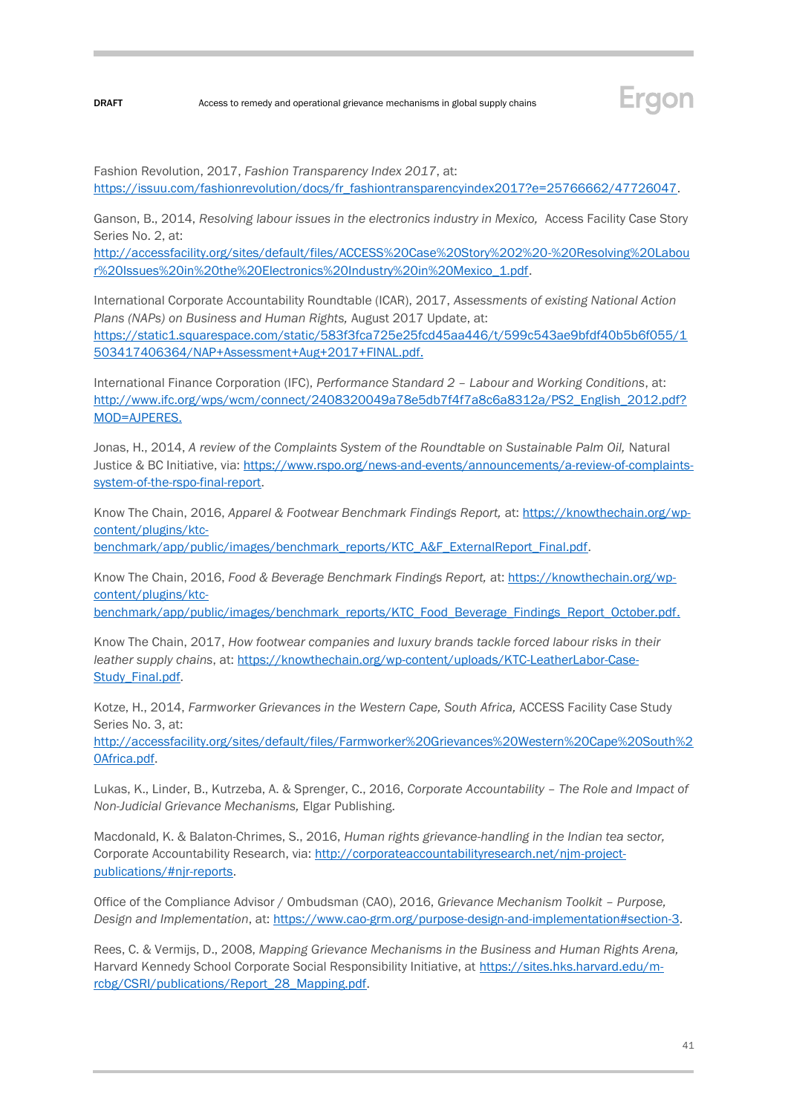

Fashion Revolution, 2017, *Fashion Transparency Index 2017*, at: [https://issuu.com/fashionrevolution/docs/fr\\_fashiontransparencyindex2017?e=25766662/47726047.](https://issuu.com/fashionrevolution/docs/fr_fashiontransparencyindex2017?e=25766662/47726047)

Ganson, B., 2014, *Resolving labour issues in the electronics industry in Mexico,* Access Facility Case Story Series No. 2, at:

[http://accessfacility.org/sites/default/files/ACCESS%20Case%20Story%202%20-%20Resolving%20Labou](http://accessfacility.org/sites/default/files/ACCESS%20Case%20Story%202%20-%20Resolving%20Labour%20Issues%20in%20the%20Electronics%20Industry%20in%20Mexico_1.pdf) [r%20Issues%20in%20the%20Electronics%20Industry%20in%20Mexico\\_1.pdf.](http://accessfacility.org/sites/default/files/ACCESS%20Case%20Story%202%20-%20Resolving%20Labour%20Issues%20in%20the%20Electronics%20Industry%20in%20Mexico_1.pdf)

International Corporate Accountability Roundtable (ICAR), 2017, *Assessments of existing National Action Plans (NAPs) on Business and Human Rights,* August 2017 Update, at: [https://static1.squarespace.com/static/583f3fca725e25fcd45aa446/t/599c543ae9bfdf40b5b6f055/1](https://static1.squarespace.com/static/583f3fca725e25fcd45aa446/t/599c543ae9bfdf40b5b6f055/1503417406364/NAP+Assessment+Aug+2017+FINAL.pdf) [503417406364/NAP+Assessment+Aug+2017+FINAL.pdf.](https://static1.squarespace.com/static/583f3fca725e25fcd45aa446/t/599c543ae9bfdf40b5b6f055/1503417406364/NAP+Assessment+Aug+2017+FINAL.pdf)

International Finance Corporation (IFC), *Performance Standard 2 – Labour and Working Conditions*, at: [http://www.ifc.org/wps/wcm/connect/2408320049a78e5db7f4f7a8c6a8312a/PS2\\_English\\_2012.pdf?](http://www.ifc.org/wps/wcm/connect/2408320049a78e5db7f4f7a8c6a8312a/PS2_English_2012.pdf?MOD=AJPERES) [MOD=AJPERES.](http://www.ifc.org/wps/wcm/connect/2408320049a78e5db7f4f7a8c6a8312a/PS2_English_2012.pdf?MOD=AJPERES)

Jonas, H., 2014, A review of the Complaints System of the Roundtable on Sustainable Palm Oil, Natural Justice & BC Initiative, via: [https://www.rspo.org/news-and-events/announcements/a-review-of-complaints](https://www.rspo.org/news-and-events/announcements/a-review-of-complaints-system-of-the-rspo-final-report)[system-of-the-rspo-final-report.](https://www.rspo.org/news-and-events/announcements/a-review-of-complaints-system-of-the-rspo-final-report)

Know The Chain, 2016, *Apparel & Footwear Benchmark Findings Report,* at: [https://knowthechain.org/wp](https://knowthechain.org/wp-content/plugins/ktc-benchmark/app/public/images/benchmark_reports/KTC_A&F_ExternalReport_Final.pdf)[content/plugins/ktc-](https://knowthechain.org/wp-content/plugins/ktc-benchmark/app/public/images/benchmark_reports/KTC_A&F_ExternalReport_Final.pdf)

[benchmark/app/public/images/benchmark\\_reports/KTC\\_A&F\\_ExternalReport\\_Final.pdf.](https://knowthechain.org/wp-content/plugins/ktc-benchmark/app/public/images/benchmark_reports/KTC_A&F_ExternalReport_Final.pdf)

Know The Chain, 2016, *Food & Beverage Benchmark Findings Report,* at: [https://knowthechain.org/wp](https://knowthechain.org/wp-content/plugins/ktc-benchmark/app/public/images/benchmark_reports/KTC_Food_Beverage_Findings_Report_October.pdf)[content/plugins/ktc-](https://knowthechain.org/wp-content/plugins/ktc-benchmark/app/public/images/benchmark_reports/KTC_Food_Beverage_Findings_Report_October.pdf)

[benchmark/app/public/images/benchmark\\_reports/KTC\\_Food\\_Beverage\\_Findings\\_Report\\_October.pdf.](https://knowthechain.org/wp-content/plugins/ktc-benchmark/app/public/images/benchmark_reports/KTC_Food_Beverage_Findings_Report_October.pdf)

Know The Chain, 2017, *How footwear companies and luxury brands tackle forced labour risks in their leather supply chains*, at: [https://knowthechain.org/wp-content/uploads/KTC-LeatherLabor-Case-](https://knowthechain.org/wp-content/uploads/KTC-LeatherLabor-Case-Study_Final.pdf)[Study\\_Final.pdf.](https://knowthechain.org/wp-content/uploads/KTC-LeatherLabor-Case-Study_Final.pdf)

Kotze, H., 2014, *Farmworker Grievances in the Western Cape, South Africa,* ACCESS Facility Case Study Series No. 3, at:

[http://accessfacility.org/sites/default/files/Farmworker%20Grievances%20Western%20Cape%20South%2](http://accessfacility.org/sites/default/files/Farmworker%20Grievances%20Western%20Cape%20South%20Africa.pdf) [0Africa.pdf.](http://accessfacility.org/sites/default/files/Farmworker%20Grievances%20Western%20Cape%20South%20Africa.pdf)

Lukas, K., Linder, B., Kutrzeba, A. & Sprenger, C., 2016, *Corporate Accountability – The Role and Impact of Non-Judicial Grievance Mechanisms,* Elgar Publishing.

Macdonald, K. & Balaton-Chrimes, S., 2016, *Human rights grievance-handling in the Indian tea sector,*  Corporate Accountability Research, via: [http://corporateaccountabilityresearch.net/njm-project](http://corporateaccountabilityresearch.net/njm-project-publications/#njr-reports)[publications/#njr-reports.](http://corporateaccountabilityresearch.net/njm-project-publications/#njr-reports)

Office of the Compliance Advisor / Ombudsman (CAO), 2016, *Grievance Mechanism Toolkit – Purpose, Design and Implementation*, at: [https://www.cao-grm.org/purpose-design-and-implementation#section-3.](https://www.cao-grm.org/purpose-design-and-implementation#section-3) 

Rees, C. & Vermijs, D., 2008, *Mapping Grievance Mechanisms in the Business and Human Rights Arena,*  Harvard Kennedy School Corporate Social Responsibility Initiative, at [https://sites.hks.harvard.edu/m](https://sites.hks.harvard.edu/m-rcbg/CSRI/publications/Report_28_Mapping.pdf)[rcbg/CSRI/publications/Report\\_28\\_Mapping.pdf.](https://sites.hks.harvard.edu/m-rcbg/CSRI/publications/Report_28_Mapping.pdf)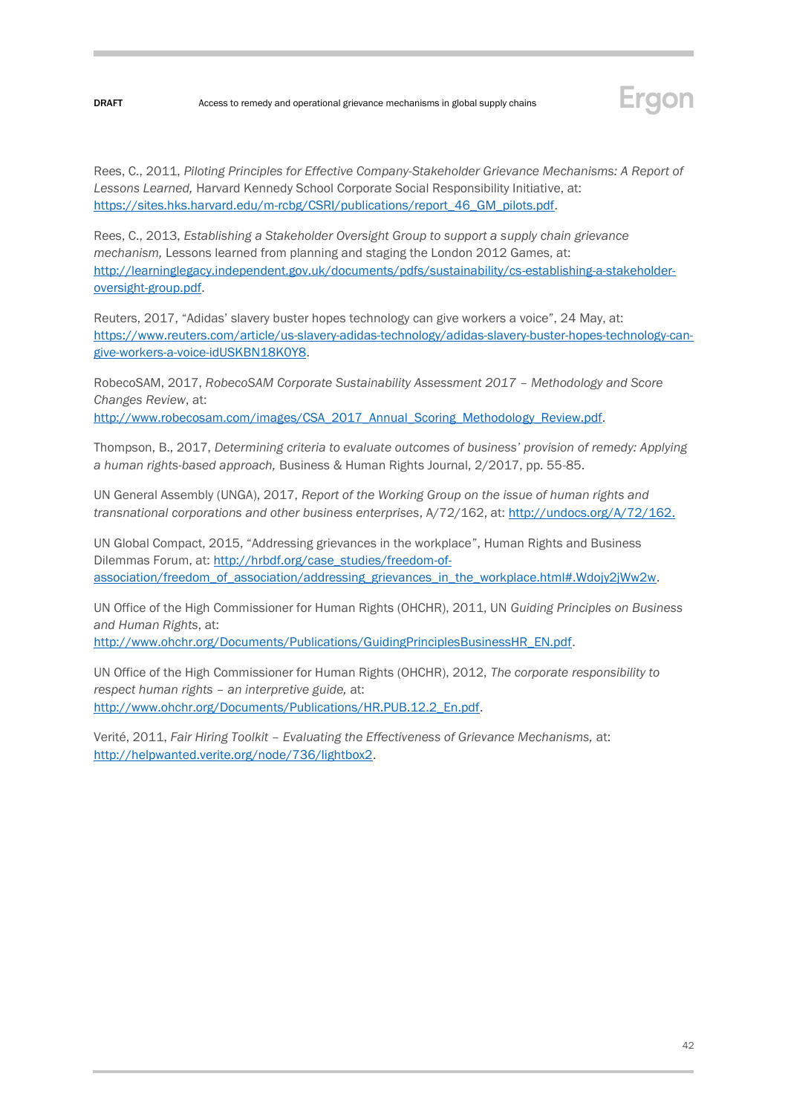

Rees, C., 2011, *Piloting Principles for Effective Company-Stakeholder Grievance Mechanisms: A Report of Lessons Learned,* Harvard Kennedy School Corporate Social Responsibility Initiative, at: [https://sites.hks.harvard.edu/m-rcbg/CSRI/publications/report\\_46\\_GM\\_pilots.pdf.](https://sites.hks.harvard.edu/m-rcbg/CSRI/publications/report_46_GM_pilots.pdf)

Rees, C., 2013, *Establishing a Stakeholder Oversight Group to support a supply chain grievance mechanism,* Lessons learned from planning and staging the London 2012 Games, at: [http://learninglegacy.independent.gov.uk/documents/pdfs/sustainability/cs-establishing-a-stakeholder](http://learninglegacy.independent.gov.uk/documents/pdfs/sustainability/cs-establishing-a-stakeholder-oversight-group.pdf)[oversight-group.pdf.](http://learninglegacy.independent.gov.uk/documents/pdfs/sustainability/cs-establishing-a-stakeholder-oversight-group.pdf)

Reuters, 2017, "Adidas' slavery buster hopes technology can give workers a voice", 24 May, at: [https://www.reuters.com/article/us-slavery-adidas-technology/adidas-slavery-buster-hopes-technology-can](https://www.reuters.com/article/us-slavery-adidas-technology/adidas-slavery-buster-hopes-technology-can-give-workers-a-voice-idUSKBN18K0Y8)[give-workers-a-voice-idUSKBN18K0Y8.](https://www.reuters.com/article/us-slavery-adidas-technology/adidas-slavery-buster-hopes-technology-can-give-workers-a-voice-idUSKBN18K0Y8)

RobecoSAM, 2017, *RobecoSAM Corporate Sustainability Assessment 2017 – Methodology and Score Changes Review*, at: [http://www.robecosam.com/images/CSA\\_2017\\_Annual\\_Scoring\\_Methodology\\_Review.pdf.](http://www.robecosam.com/images/CSA_2017_Annual_Scoring_Methodology_Review.pdf)

Thompson, B., 2017, *Determining criteria to evaluate outcomes of business' provision of remedy: Applying a human rights-based approach,* Business & Human Rights Journal, 2/2017, pp. 55-85.

UN General Assembly (UNGA), 2017, *Report of the Working Group on the issue of human rights and transnational corporations and other business enterprises*, A/72/162, at: [http://undocs.org/A/72/162.](http://undocs.org/A/72/162)

UN Global Compact, 2015, "Addressing grievances in the workplace", Human Rights and Business Dilemmas Forum, at: [http://hrbdf.org/case\\_studies/freedom-of](http://hrbdf.org/case_studies/freedom-of-association/freedom_of_association/addressing_grievances_in_the_workplace.html#.Wdojy2jWw2w)[association/freedom\\_of\\_association/addressing\\_grievances\\_in\\_the\\_workplace.html#.Wdojy2jWw2w.](http://hrbdf.org/case_studies/freedom-of-association/freedom_of_association/addressing_grievances_in_the_workplace.html#.Wdojy2jWw2w)

UN Office of the High Commissioner for Human Rights (OHCHR), 2011, UN *Guiding Principles on Business and Human Rights*, at:

[http://www.ohchr.org/Documents/Publications/GuidingPrinciplesBusinessHR\\_EN.pdf.](http://www.ohchr.org/Documents/Publications/GuidingPrinciplesBusinessHR_EN.pdf) 

UN Office of the High Commissioner for Human Rights (OHCHR), 2012, *The corporate responsibility to respect human rights – an interpretive guide,* at: [http://www.ohchr.org/Documents/Publications/HR.PUB.12.2\\_En.pdf.](http://www.ohchr.org/Documents/Publications/HR.PUB.12.2_En.pdf)

Verité, 2011, *Fair Hiring Toolkit – Evaluating the Effectiveness of Grievance Mechanisms,* at: [http://helpwanted.verite.org/node/736/lightbox2.](http://helpwanted.verite.org/node/736/lightbox2)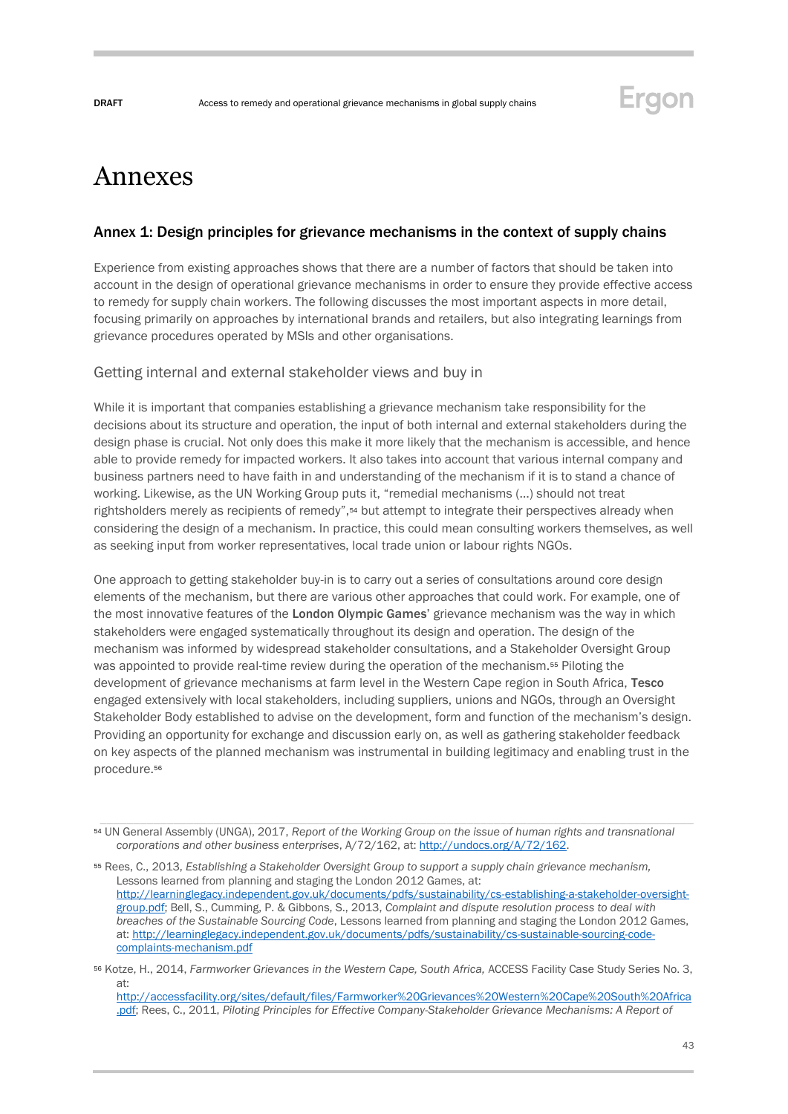

## <span id="page-42-0"></span>Annexes

#### Annex 1: Design principles for grievance mechanisms in the context of supply chains

Experience from existing approaches shows that there are a number of factors that should be taken into account in the design of operational grievance mechanisms in order to ensure they provide effective access to remedy for supply chain workers. The following discusses the most important aspects in more detail, focusing primarily on approaches by international brands and retailers, but also integrating learnings from grievance procedures operated by MSIs and other organisations.

#### Getting internal and external stakeholder views and buy in

While it is important that companies establishing a grievance mechanism take responsibility for the decisions about its structure and operation, the input of both internal and external stakeholders during the design phase is crucial. Not only does this make it more likely that the mechanism is accessible, and hence able to provide remedy for impacted workers. It also takes into account that various internal company and business partners need to have faith in and understanding of the mechanism if it is to stand a chance of working. Likewise, as the UN Working Group puts it, "remedial mechanisms (…) should not treat rightsholders merely as recipients of remedy",<sup>54</sup> but attempt to integrate their perspectives already when considering the design of a mechanism. In practice, this could mean consulting workers themselves, as well as seeking input from worker representatives, local trade union or labour rights NGOs.

One approach to getting stakeholder buy-in is to carry out a series of consultations around core design elements of the mechanism, but there are various other approaches that could work. For example, one of the most innovative features of the London Olympic Games' grievance mechanism was the way in which stakeholders were engaged systematically throughout its design and operation. The design of the mechanism was informed by widespread stakeholder consultations, and a Stakeholder Oversight Group was appointed to provide real-time review during the operation of the mechanism.<sup>55</sup> Piloting the development of grievance mechanisms at farm level in the Western Cape region in South Africa, Tesco engaged extensively with local stakeholders, including suppliers, unions and NGOs, through an Oversight Stakeholder Body established to advise on the development, form and function of the mechanism's design. Providing an opportunity for exchange and discussion early on, as well as gathering stakeholder feedback on key aspects of the planned mechanism was instrumental in building legitimacy and enabling trust in the procedure.<sup>56</sup>

[http://accessfacility.org/sites/default/files/Farmworker%20Grievances%20Western%20Cape%20South%20Africa](http://accessfacility.org/sites/default/files/Farmworker%20Grievances%20Western%20Cape%20South%20Africa.pdf) [.pdf;](http://accessfacility.org/sites/default/files/Farmworker%20Grievances%20Western%20Cape%20South%20Africa.pdf) Rees, C., 2011, *Piloting Principles for Effective Company-Stakeholder Grievance Mechanisms: A Report of* 

<sup>54</sup> UN General Assembly (UNGA), 2017, *Report of the Working Group on the issue of human rights and transnational corporations and other business enterprises*, A/72/162, at: [http://undocs.org/A/72/162.](http://undocs.org/A/72/162)

<sup>55</sup> Rees, C., 2013, *Establishing a Stakeholder Oversight Group to support a supply chain grievance mechanism,* Lessons learned from planning and staging the London 2012 Games, at: [http://learninglegacy.independent.gov.uk/documents/pdfs/sustainability/cs-establishing-a-stakeholder-oversight](http://learninglegacy.independent.gov.uk/documents/pdfs/sustainability/cs-establishing-a-stakeholder-oversight-group.pdf)[group.pdf;](http://learninglegacy.independent.gov.uk/documents/pdfs/sustainability/cs-establishing-a-stakeholder-oversight-group.pdf) Bell, S., Cumming, P. & Gibbons, S., 2013, *Complaint and dispute resolution process to deal with breaches of the Sustainable Sourcing Code*, Lessons learned from planning and staging the London 2012 Games, at: [http://learninglegacy.independent.gov.uk/documents/pdfs/sustainability/cs-sustainable-sourcing-code](http://learninglegacy.independent.gov.uk/documents/pdfs/sustainability/cs-sustainable-sourcing-code-complaints-mechanism.pdf)[complaints-mechanism.pdf](http://learninglegacy.independent.gov.uk/documents/pdfs/sustainability/cs-sustainable-sourcing-code-complaints-mechanism.pdf)

<sup>56</sup> Kotze, H., 2014, *Farmworker Grievances in the Western Cape, South Africa,* ACCESS Facility Case Study Series No. 3, at: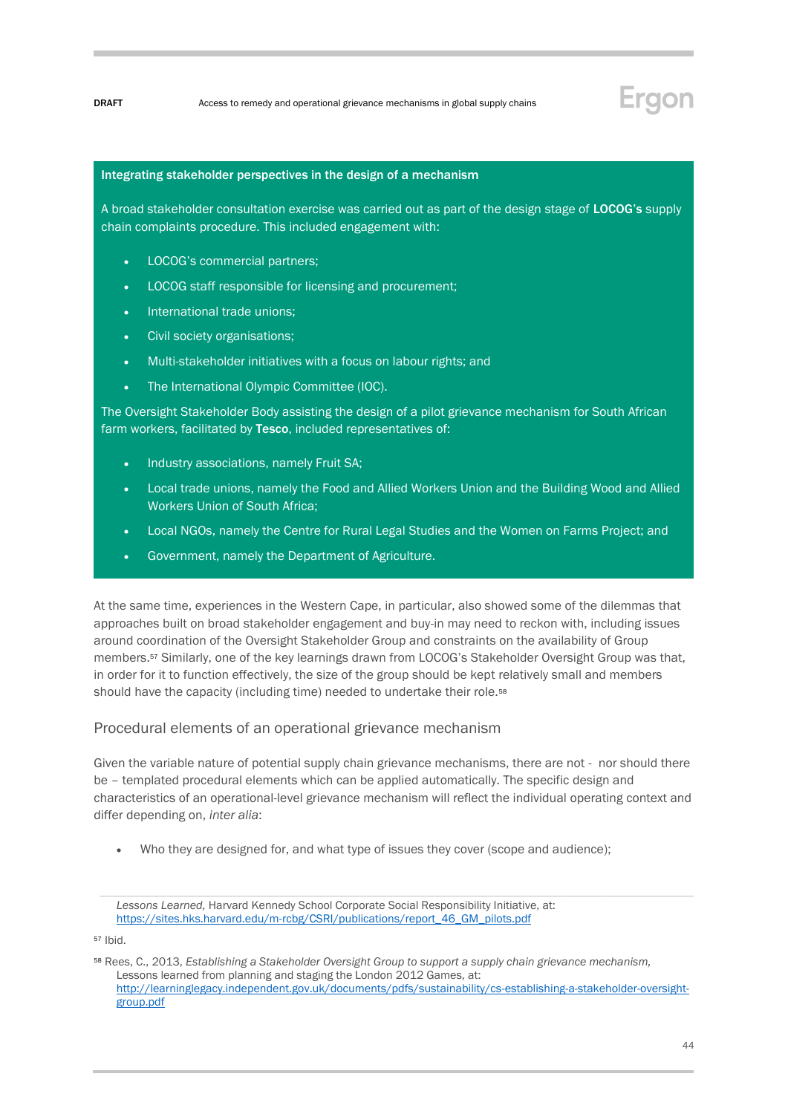#### Integrating stakeholder perspectives in the design of a mechanism

A broad stakeholder consultation exercise was carried out as part of the design stage of LOCOG's supply chain complaints procedure. This included engagement with:

- LOCOG's commercial partners;
- LOCOG staff responsible for licensing and procurement;
- International trade unions;
- Civil society organisations;
- Multi-stakeholder initiatives with a focus on labour rights; and
- The International Olympic Committee (IOC).

The Oversight Stakeholder Body assisting the design of a pilot grievance mechanism for South African farm workers, facilitated by Tesco, included representatives of:

- Industry associations, namely Fruit SA;
- Local trade unions, namely the Food and Allied Workers Union and the Building Wood and Allied Workers Union of South Africa;
- Local NGOs, namely the Centre for Rural Legal Studies and the Women on Farms Project; and
- Government, namely the Department of Agriculture.

At the same time, experiences in the Western Cape, in particular, also showed some of the dilemmas that approaches built on broad stakeholder engagement and buy-in may need to reckon with, including issues around coordination of the Oversight Stakeholder Group and constraints on the availability of Group members.<sup>57</sup> Similarly, one of the key learnings drawn from LOCOG's Stakeholder Oversight Group was that, in order for it to function effectively, the size of the group should be kept relatively small and members should have the capacity (including time) needed to undertake their role.<sup>58</sup>

#### Procedural elements of an operational grievance mechanism

Given the variable nature of potential supply chain grievance mechanisms, there are not - nor should there be – templated procedural elements which can be applied automatically. The specific design and characteristics of an operational-level grievance mechanism will reflect the individual operating context and differ depending on, *inter alia*:

• Who they are designed for, and what type of issues they cover (scope and audience);

<sup>57</sup> Ibid.

*Lessons Learned,* Harvard Kennedy School Corporate Social Responsibility Initiative, at: [https://sites.hks.harvard.edu/m-rcbg/CSRI/publications/report\\_46\\_GM\\_pilots.pdf](https://sites.hks.harvard.edu/m-rcbg/CSRI/publications/report_46_GM_pilots.pdf)

<sup>58</sup> Rees, C., 2013, *Establishing a Stakeholder Oversight Group to support a supply chain grievance mechanism,* Lessons learned from planning and staging the London 2012 Games, at: [http://learninglegacy.independent.gov.uk/documents/pdfs/sustainability/cs-establishing-a-stakeholder-oversight](http://learninglegacy.independent.gov.uk/documents/pdfs/sustainability/cs-establishing-a-stakeholder-oversight-group.pdf)[group.pdf](http://learninglegacy.independent.gov.uk/documents/pdfs/sustainability/cs-establishing-a-stakeholder-oversight-group.pdf)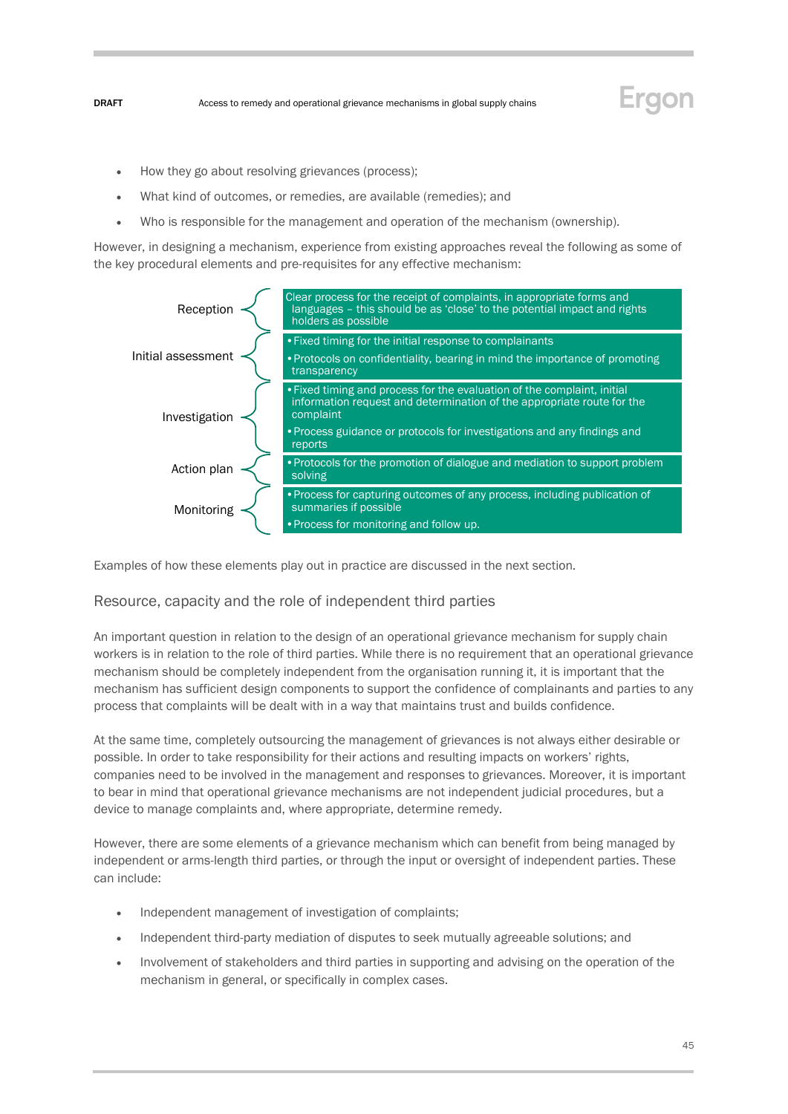- How they go about resolving grievances (process);
- What kind of outcomes, or remedies, are available (remedies); and
- Who is responsible for the management and operation of the mechanism (ownership).

However, in designing a mechanism, experience from existing approaches reveal the following as some of the key procedural elements and pre-requisites for any effective mechanism:



Examples of how these elements play out in practice are discussed in the next section.

#### Resource, capacity and the role of independent third parties

An important question in relation to the design of an operational grievance mechanism for supply chain workers is in relation to the role of third parties. While there is no requirement that an operational grievance mechanism should be completely independent from the organisation running it, it is important that the mechanism has sufficient design components to support the confidence of complainants and parties to any process that complaints will be dealt with in a way that maintains trust and builds confidence.

At the same time, completely outsourcing the management of grievances is not always either desirable or possible. In order to take responsibility for their actions and resulting impacts on workers' rights, companies need to be involved in the management and responses to grievances. Moreover, it is important to bear in mind that operational grievance mechanisms are not independent judicial procedures, but a device to manage complaints and, where appropriate, determine remedy.

However, there are some elements of a grievance mechanism which can benefit from being managed by independent or arms-length third parties, or through the input or oversight of independent parties. These can include:

- Independent management of investigation of complaints;
- Independent third-party mediation of disputes to seek mutually agreeable solutions; and
- Involvement of stakeholders and third parties in supporting and advising on the operation of the mechanism in general, or specifically in complex cases.

Ergon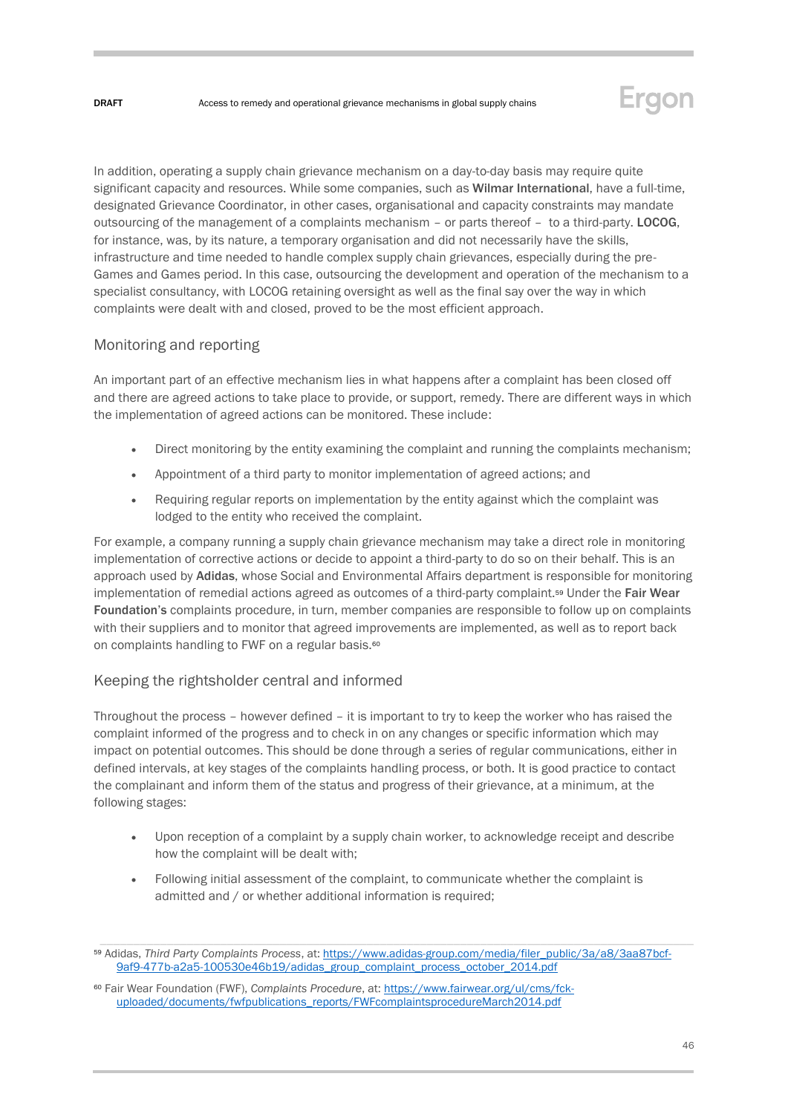

In addition, operating a supply chain grievance mechanism on a day-to-day basis may require quite significant capacity and resources. While some companies, such as Wilmar International, have a full-time, designated Grievance Coordinator, in other cases, organisational and capacity constraints may mandate outsourcing of the management of a complaints mechanism – or parts thereof – to a third-party. LOCOG, for instance, was, by its nature, a temporary organisation and did not necessarily have the skills, infrastructure and time needed to handle complex supply chain grievances, especially during the pre-Games and Games period. In this case, outsourcing the development and operation of the mechanism to a specialist consultancy, with LOCOG retaining oversight as well as the final say over the way in which complaints were dealt with and closed, proved to be the most efficient approach.

### Monitoring and reporting

An important part of an effective mechanism lies in what happens after a complaint has been closed off and there are agreed actions to take place to provide, or support, remedy. There are different ways in which the implementation of agreed actions can be monitored. These include:

- Direct monitoring by the entity examining the complaint and running the complaints mechanism;
- Appointment of a third party to monitor implementation of agreed actions; and
- Requiring regular reports on implementation by the entity against which the complaint was lodged to the entity who received the complaint.

For example, a company running a supply chain grievance mechanism may take a direct role in monitoring implementation of corrective actions or decide to appoint a third-party to do so on their behalf. This is an approach used by Adidas, whose Social and Environmental Affairs department is responsible for monitoring implementation of remedial actions agreed as outcomes of a third-party complaint.<sup>59</sup> Under the Fair Wear Foundation's complaints procedure, in turn, member companies are responsible to follow up on complaints with their suppliers and to monitor that agreed improvements are implemented, as well as to report back on complaints handling to FWF on a regular basis.<sup>60</sup>

### Keeping the rightsholder central and informed

Throughout the process – however defined – it is important to try to keep the worker who has raised the complaint informed of the progress and to check in on any changes or specific information which may impact on potential outcomes. This should be done through a series of regular communications, either in defined intervals, at key stages of the complaints handling process, or both. It is good practice to contact the complainant and inform them of the status and progress of their grievance, at a minimum, at the following stages:

- Upon reception of a complaint by a supply chain worker, to acknowledge receipt and describe how the complaint will be dealt with;
- Following initial assessment of the complaint, to communicate whether the complaint is admitted and / or whether additional information is required;

<sup>59</sup> Adidas, *Third Party Complaints Process*, at: [https://www.adidas-group.com/media/filer\\_public/3a/a8/3aa87bcf-](https://www.adidas-group.com/media/filer_public/3a/a8/3aa87bcf-9af9-477b-a2a5-100530e46b19/adidas_group_complaint_process_october_2014.pdf)[9af9-477b-a2a5-100530e46b19/adidas\\_group\\_complaint\\_process\\_october\\_2014.pdf](https://www.adidas-group.com/media/filer_public/3a/a8/3aa87bcf-9af9-477b-a2a5-100530e46b19/adidas_group_complaint_process_october_2014.pdf)

<sup>60</sup> Fair Wear Foundation (FWF), *Complaints Procedure*, at: [https://www.fairwear.org/ul/cms/fck](https://www.fairwear.org/ul/cms/fck-uploaded/documents/fwfpublications_reports/FWFcomplaintsprocedureMarch2014.pdf)[uploaded/documents/fwfpublications\\_reports/FWFcomplaintsprocedureMarch2014.pdf](https://www.fairwear.org/ul/cms/fck-uploaded/documents/fwfpublications_reports/FWFcomplaintsprocedureMarch2014.pdf)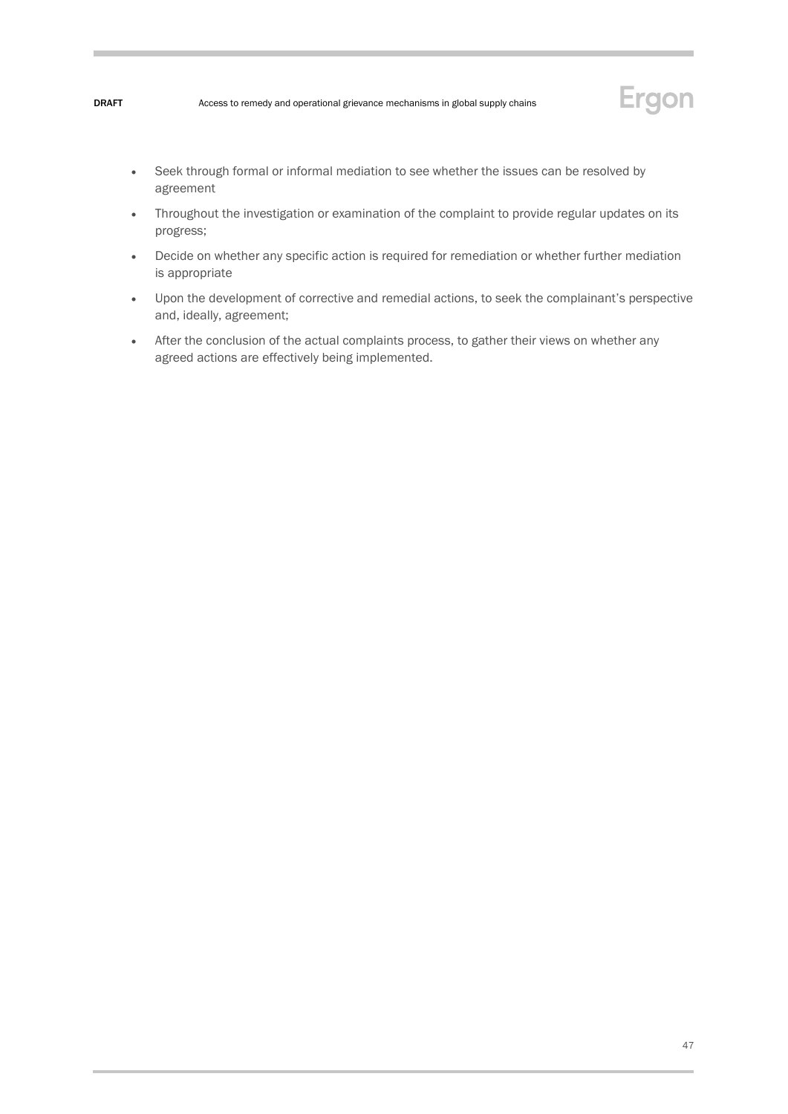

- Seek through formal or informal mediation to see whether the issues can be resolved by agreement
- Throughout the investigation or examination of the complaint to provide regular updates on its progress;
- Decide on whether any specific action is required for remediation or whether further mediation is appropriate
- Upon the development of corrective and remedial actions, to seek the complainant's perspective and, ideally, agreement;
- After the conclusion of the actual complaints process, to gather their views on whether any agreed actions are effectively being implemented.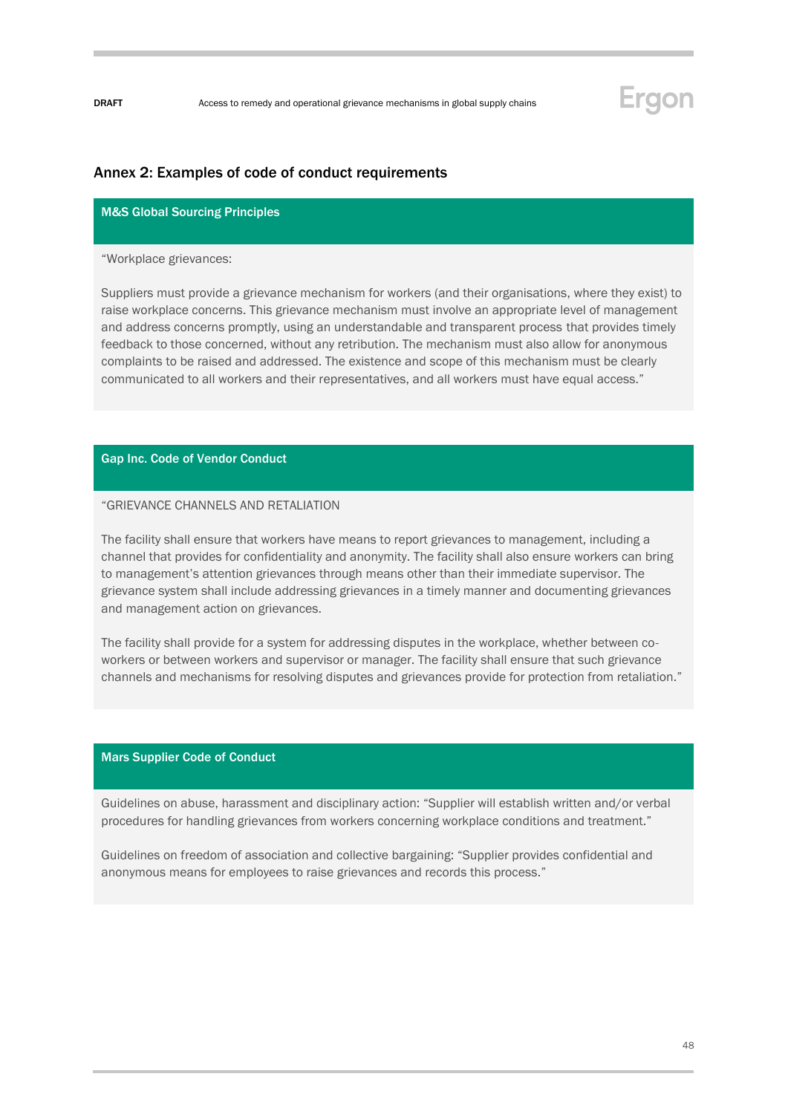## Ergon

### Annex 2: Examples of code of conduct requirements

#### M&S Global Sourcing Principles

#### "Workplace grievances:

Suppliers must provide a grievance mechanism for workers (and their organisations, where they exist) to raise workplace concerns. This grievance mechanism must involve an appropriate level of management and address concerns promptly, using an understandable and transparent process that provides timely feedback to those concerned, without any retribution. The mechanism must also allow for anonymous complaints to be raised and addressed. The existence and scope of this mechanism must be clearly communicated to all workers and their representatives, and all workers must have equal access."

### Gap Inc. Code of Vendor Conduct

#### "GRIEVANCE CHANNELS AND RETALIATION

The facility shall ensure that workers have means to report grievances to management, including a channel that provides for confidentiality and anonymity. The facility shall also ensure workers can bring to management's attention grievances through means other than their immediate supervisor. The grievance system shall include addressing grievances in a timely manner and documenting grievances and management action on grievances.

The facility shall provide for a system for addressing disputes in the workplace, whether between coworkers or between workers and supervisor or manager. The facility shall ensure that such grievance channels and mechanisms for resolving disputes and grievances provide for protection from retaliation."

#### Mars Supplier Code of Conduct

Guidelines on abuse, harassment and disciplinary action: "Supplier will establish written and/or verbal procedures for handling grievances from workers concerning workplace conditions and treatment."

Guidelines on freedom of association and collective bargaining: "Supplier provides confidential and anonymous means for employees to raise grievances and records this process."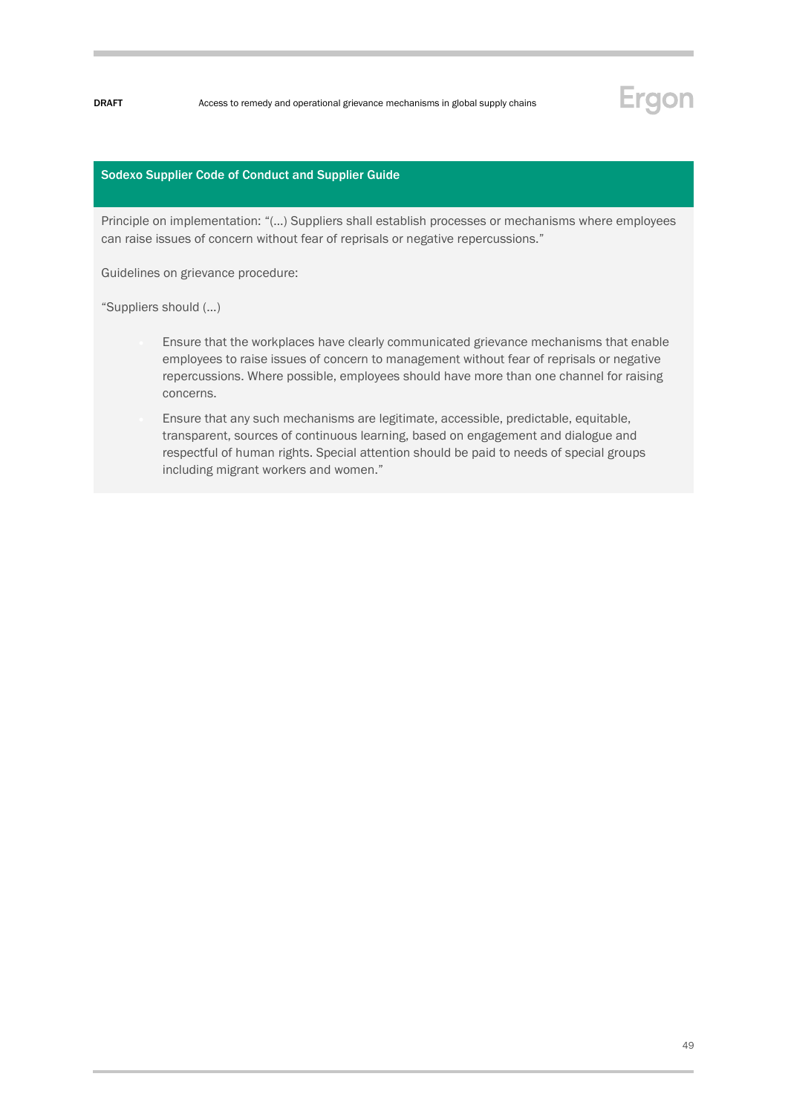# Ergon

#### Sodexo Supplier Code of Conduct and Supplier Guide

Principle on implementation: "(…) Suppliers shall establish processes or mechanisms where employees can raise issues of concern without fear of reprisals or negative repercussions."

Guidelines on grievance procedure:

"Suppliers should (…)

- Ensure that the workplaces have clearly communicated grievance mechanisms that enable employees to raise issues of concern to management without fear of reprisals or negative repercussions. Where possible, employees should have more than one channel for raising concerns.
- Ensure that any such mechanisms are legitimate, accessible, predictable, equitable, transparent, sources of continuous learning, based on engagement and dialogue and respectful of human rights. Special attention should be paid to needs of special groups including migrant workers and women."